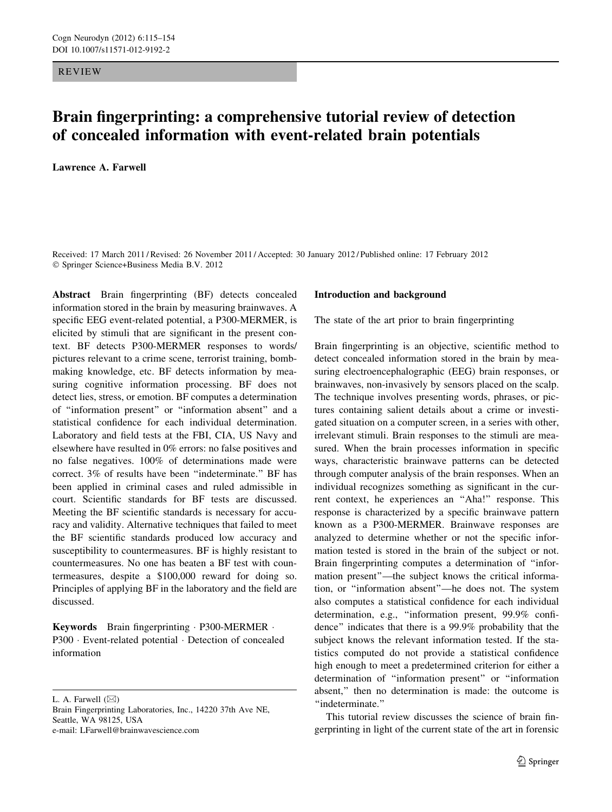REVIEW

# Brain fingerprinting: a comprehensive tutorial review of detection of concealed information with event-related brain potentials

Lawrence A. Farwell

Received: 17 March 2011 / Revised: 26 November 2011 / Accepted: 30 January 2012 / Published online: 17 February 2012 - Springer Science+Business Media B.V. 2012

Abstract Brain fingerprinting (BF) detects concealed information stored in the brain by measuring brainwaves. A specific EEG event-related potential, a P300-MERMER, is elicited by stimuli that are significant in the present context. BF detects P300-MERMER responses to words/ pictures relevant to a crime scene, terrorist training, bombmaking knowledge, etc. BF detects information by measuring cognitive information processing. BF does not detect lies, stress, or emotion. BF computes a determination of ''information present'' or ''information absent'' and a statistical confidence for each individual determination. Laboratory and field tests at the FBI, CIA, US Navy and elsewhere have resulted in 0% errors: no false positives and no false negatives. 100% of determinations made were correct. 3% of results have been ''indeterminate.'' BF has been applied in criminal cases and ruled admissible in court. Scientific standards for BF tests are discussed. Meeting the BF scientific standards is necessary for accuracy and validity. Alternative techniques that failed to meet the BF scientific standards produced low accuracy and susceptibility to countermeasures. BF is highly resistant to countermeasures. No one has beaten a BF test with countermeasures, despite a \$100,000 reward for doing so. Principles of applying BF in the laboratory and the field are discussed.

Keywords Brain fingerprinting - P300-MERMER - P300 - Event-related potential - Detection of concealed information

L. A. Farwell  $(\boxtimes)$ 

Brain Fingerprinting Laboratories, Inc., 14220 37th Ave NE, Seattle, WA 98125, USA e-mail: LFarwell@brainwavescience.com

#### Introduction and background

The state of the art prior to brain fingerprinting

Brain fingerprinting is an objective, scientific method to detect concealed information stored in the brain by measuring electroencephalographic (EEG) brain responses, or brainwaves, non-invasively by sensors placed on the scalp. The technique involves presenting words, phrases, or pictures containing salient details about a crime or investigated situation on a computer screen, in a series with other, irrelevant stimuli. Brain responses to the stimuli are measured. When the brain processes information in specific ways, characteristic brainwave patterns can be detected through computer analysis of the brain responses. When an individual recognizes something as significant in the current context, he experiences an ''Aha!'' response. This response is characterized by a specific brainwave pattern known as a P300-MERMER. Brainwave responses are analyzed to determine whether or not the specific information tested is stored in the brain of the subject or not. Brain fingerprinting computes a determination of ''information present''—the subject knows the critical information, or ''information absent''—he does not. The system also computes a statistical confidence for each individual determination, e.g., ''information present, 99.9% confidence'' indicates that there is a 99.9% probability that the subject knows the relevant information tested. If the statistics computed do not provide a statistical confidence high enough to meet a predetermined criterion for either a determination of ''information present'' or ''information absent,'' then no determination is made: the outcome is ''indeterminate.''

This tutorial review discusses the science of brain fingerprinting in light of the current state of the art in forensic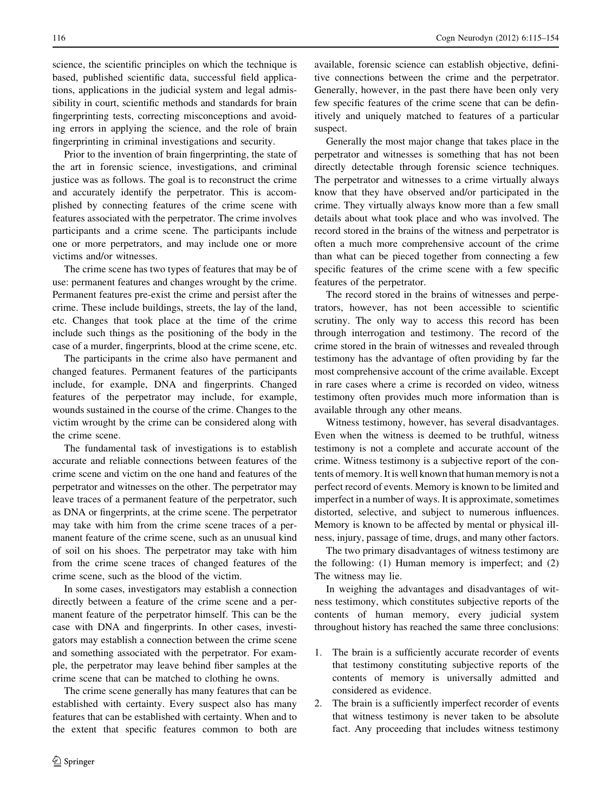science, the scientific principles on which the technique is based, published scientific data, successful field applications, applications in the judicial system and legal admissibility in court, scientific methods and standards for brain fingerprinting tests, correcting misconceptions and avoiding errors in applying the science, and the role of brain fingerprinting in criminal investigations and security.

Prior to the invention of brain fingerprinting, the state of the art in forensic science, investigations, and criminal justice was as follows. The goal is to reconstruct the crime and accurately identify the perpetrator. This is accomplished by connecting features of the crime scene with features associated with the perpetrator. The crime involves participants and a crime scene. The participants include one or more perpetrators, and may include one or more victims and/or witnesses.

The crime scene has two types of features that may be of use: permanent features and changes wrought by the crime. Permanent features pre-exist the crime and persist after the crime. These include buildings, streets, the lay of the land, etc. Changes that took place at the time of the crime include such things as the positioning of the body in the case of a murder, fingerprints, blood at the crime scene, etc.

The participants in the crime also have permanent and changed features. Permanent features of the participants include, for example, DNA and fingerprints. Changed features of the perpetrator may include, for example, wounds sustained in the course of the crime. Changes to the victim wrought by the crime can be considered along with the crime scene.

The fundamental task of investigations is to establish accurate and reliable connections between features of the crime scene and victim on the one hand and features of the perpetrator and witnesses on the other. The perpetrator may leave traces of a permanent feature of the perpetrator, such as DNA or fingerprints, at the crime scene. The perpetrator may take with him from the crime scene traces of a permanent feature of the crime scene, such as an unusual kind of soil on his shoes. The perpetrator may take with him from the crime scene traces of changed features of the crime scene, such as the blood of the victim.

In some cases, investigators may establish a connection directly between a feature of the crime scene and a permanent feature of the perpetrator himself. This can be the case with DNA and fingerprints. In other cases, investigators may establish a connection between the crime scene and something associated with the perpetrator. For example, the perpetrator may leave behind fiber samples at the crime scene that can be matched to clothing he owns.

The crime scene generally has many features that can be established with certainty. Every suspect also has many features that can be established with certainty. When and to the extent that specific features common to both are available, forensic science can establish objective, definitive connections between the crime and the perpetrator. Generally, however, in the past there have been only very few specific features of the crime scene that can be definitively and uniquely matched to features of a particular suspect.

Generally the most major change that takes place in the perpetrator and witnesses is something that has not been directly detectable through forensic science techniques. The perpetrator and witnesses to a crime virtually always know that they have observed and/or participated in the crime. They virtually always know more than a few small details about what took place and who was involved. The record stored in the brains of the witness and perpetrator is often a much more comprehensive account of the crime than what can be pieced together from connecting a few specific features of the crime scene with a few specific features of the perpetrator.

The record stored in the brains of witnesses and perpetrators, however, has not been accessible to scientific scrutiny. The only way to access this record has been through interrogation and testimony. The record of the crime stored in the brain of witnesses and revealed through testimony has the advantage of often providing by far the most comprehensive account of the crime available. Except in rare cases where a crime is recorded on video, witness testimony often provides much more information than is available through any other means.

Witness testimony, however, has several disadvantages. Even when the witness is deemed to be truthful, witness testimony is not a complete and accurate account of the crime. Witness testimony is a subjective report of the contents of memory. It is well known that human memory is not a perfect record of events. Memory is known to be limited and imperfect in a number of ways. It is approximate, sometimes distorted, selective, and subject to numerous influences. Memory is known to be affected by mental or physical illness, injury, passage of time, drugs, and many other factors.

The two primary disadvantages of witness testimony are the following: (1) Human memory is imperfect; and (2) The witness may lie.

In weighing the advantages and disadvantages of witness testimony, which constitutes subjective reports of the contents of human memory, every judicial system throughout history has reached the same three conclusions:

- 1. The brain is a sufficiently accurate recorder of events that testimony constituting subjective reports of the contents of memory is universally admitted and considered as evidence.
- 2. The brain is a sufficiently imperfect recorder of events that witness testimony is never taken to be absolute fact. Any proceeding that includes witness testimony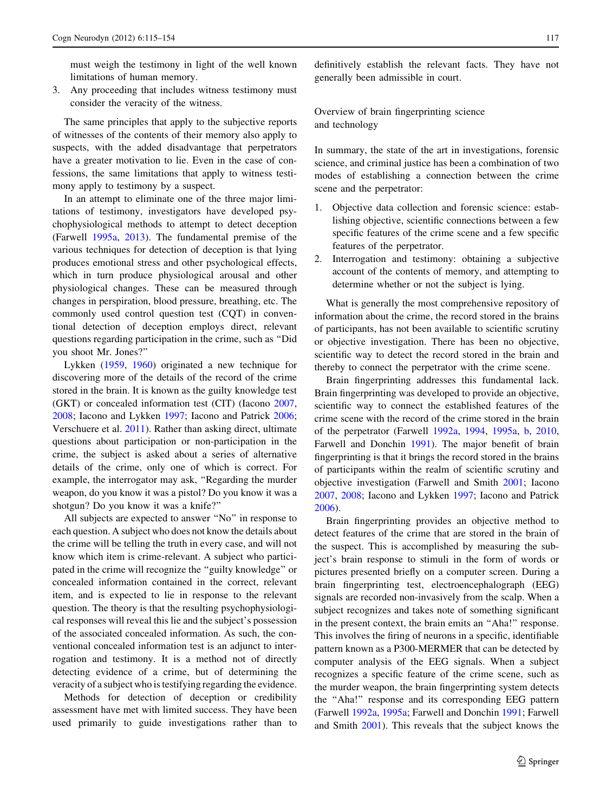must weigh the testimony in light of the well known limitations of human memory.

3. Any proceeding that includes witness testimony must consider the veracity of the witness.

The same principles that apply to the subjective reports of witnesses of the contents of their memory also apply to suspects, with the added disadvantage that perpetrators have a greater motivation to lie. Even in the case of confessions, the same limitations that apply to witness testimony apply to testimony by a suspect.

In an attempt to eliminate one of the three major limitations of testimony, investigators have developed psychophysiological methods to attempt to detect deception (Farwell [1995a](#page-36-0), [2013](#page-37-0)). The fundamental premise of the various techniques for detection of deception is that lying produces emotional stress and other psychological effects, which in turn produce physiological arousal and other physiological changes. These can be measured through changes in perspiration, blood pressure, breathing, etc. The commonly used control question test (CQT) in conventional detection of deception employs direct, relevant questions regarding participation in the crime, such as ''Did you shoot Mr. Jones?''

Lykken [\(1959](#page-38-0), [1960\)](#page-38-0) originated a new technique for discovering more of the details of the record of the crime stored in the brain. It is known as the guilty knowledge test (GKT) or concealed information test (CIT) (Iacono [2007,](#page-37-0) [2008;](#page-37-0) Iacono and Lykken [1997;](#page-37-0) Iacono and Patrick [2006](#page-37-0); Verschuere et al. [2011\)](#page-39-0). Rather than asking direct, ultimate questions about participation or non-participation in the crime, the subject is asked about a series of alternative details of the crime, only one of which is correct. For example, the interrogator may ask, ''Regarding the murder weapon, do you know it was a pistol? Do you know it was a shotgun? Do you know it was a knife?''

All subjects are expected to answer ''No'' in response to each question. A subject who does not know the details about the crime will be telling the truth in every case, and will not know which item is crime-relevant. A subject who participated in the crime will recognize the ''guilty knowledge'' or concealed information contained in the correct, relevant item, and is expected to lie in response to the relevant question. The theory is that the resulting psychophysiological responses will reveal this lie and the subject's possession of the associated concealed information. As such, the conventional concealed information test is an adjunct to interrogation and testimony. It is a method not of directly detecting evidence of a crime, but of determining the veracity of a subject who is testifying regarding the evidence.

Methods for detection of deception or credibility assessment have met with limited success. They have been used primarily to guide investigations rather than to definitively establish the relevant facts. They have not generally been admissible in court.

Overview of brain fingerprinting science and technology

In summary, the state of the art in investigations, forensic science, and criminal justice has been a combination of two modes of establishing a connection between the crime scene and the perpetrator:

- 1. Objective data collection and forensic science: establishing objective, scientific connections between a few specific features of the crime scene and a few specific features of the perpetrator.
- 2. Interrogation and testimony: obtaining a subjective account of the contents of memory, and attempting to determine whether or not the subject is lying.

What is generally the most comprehensive repository of information about the crime, the record stored in the brains of participants, has not been available to scientific scrutiny or objective investigation. There has been no objective, scientific way to detect the record stored in the brain and thereby to connect the perpetrator with the crime scene.

Brain fingerprinting addresses this fundamental lack. Brain fingerprinting was developed to provide an objective, scientific way to connect the established features of the crime scene with the record of the crime stored in the brain of the perpetrator (Farwell [1992a,](#page-36-0) [1994](#page-36-0), [1995a](#page-36-0), [b](#page-36-0), [2010,](#page-37-0) Farwell and Donchin [1991\)](#page-37-0). The major benefit of brain fingerprinting is that it brings the record stored in the brains of participants within the realm of scientific scrutiny and objective investigation (Farwell and Smith [2001;](#page-37-0) Iacono [2007](#page-37-0), [2008](#page-37-0); Iacono and Lykken [1997;](#page-37-0) Iacono and Patrick [2006](#page-37-0)).

Brain fingerprinting provides an objective method to detect features of the crime that are stored in the brain of the suspect. This is accomplished by measuring the subject's brain response to stimuli in the form of words or pictures presented briefly on a computer screen. During a brain fingerprinting test, electroencephalograph (EEG) signals are recorded non-invasively from the scalp. When a subject recognizes and takes note of something significant in the present context, the brain emits an ''Aha!'' response. This involves the firing of neurons in a specific, identifiable pattern known as a P300-MERMER that can be detected by computer analysis of the EEG signals. When a subject recognizes a specific feature of the crime scene, such as the murder weapon, the brain fingerprinting system detects the ''Aha!'' response and its corresponding EEG pattern (Farwell [1992a,](#page-36-0) [1995a](#page-36-0); Farwell and Donchin [1991](#page-37-0); Farwell and Smith [2001\)](#page-37-0). This reveals that the subject knows the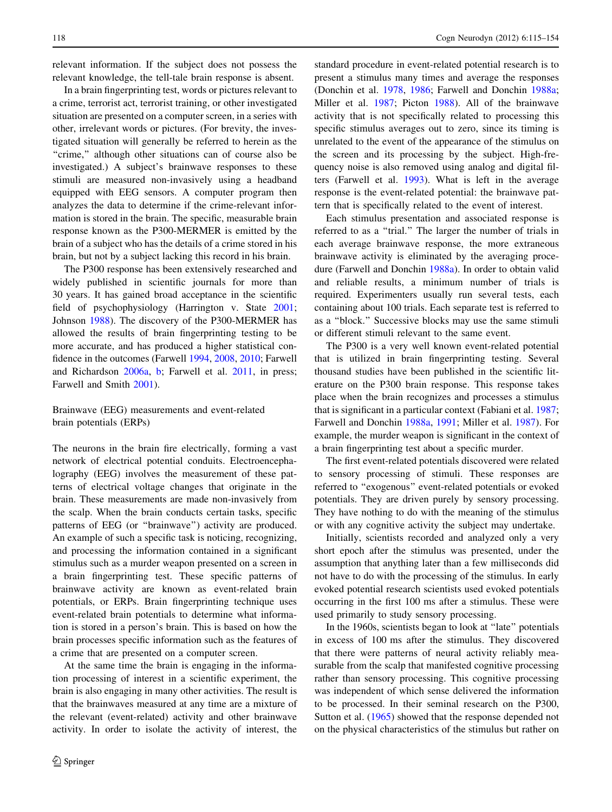relevant information. If the subject does not possess the relevant knowledge, the tell-tale brain response is absent.

In a brain fingerprinting test, words or pictures relevant to a crime, terrorist act, terrorist training, or other investigated situation are presented on a computer screen, in a series with other, irrelevant words or pictures. (For brevity, the investigated situation will generally be referred to herein as the ''crime,'' although other situations can of course also be investigated.) A subject's brainwave responses to these stimuli are measured non-invasively using a headband equipped with EEG sensors. A computer program then analyzes the data to determine if the crime-relevant information is stored in the brain. The specific, measurable brain response known as the P300-MERMER is emitted by the brain of a subject who has the details of a crime stored in his brain, but not by a subject lacking this record in his brain.

The P300 response has been extensively researched and widely published in scientific journals for more than 30 years. It has gained broad acceptance in the scientific field of psychophysiology (Harrington v. State [2001](#page-37-0); Johnson [1988](#page-37-0)). The discovery of the P300-MERMER has allowed the results of brain fingerprinting testing to be more accurate, and has produced a higher statistical confidence in the outcomes (Farwell [1994,](#page-36-0) [2008,](#page-37-0) [2010](#page-37-0); Farwell and Richardson [2006a,](#page-37-0) [b](#page-37-0); Farwell et al. [2011](#page-37-0), in press; Farwell and Smith [2001\)](#page-37-0).

Brainwave (EEG) measurements and event-related brain potentials (ERPs)

The neurons in the brain fire electrically, forming a vast network of electrical potential conduits. Electroencephalography (EEG) involves the measurement of these patterns of electrical voltage changes that originate in the brain. These measurements are made non-invasively from the scalp. When the brain conducts certain tasks, specific patterns of EEG (or ''brainwave'') activity are produced. An example of such a specific task is noticing, recognizing, and processing the information contained in a significant stimulus such as a murder weapon presented on a screen in a brain fingerprinting test. These specific patterns of brainwave activity are known as event-related brain potentials, or ERPs. Brain fingerprinting technique uses event-related brain potentials to determine what information is stored in a person's brain. This is based on how the brain processes specific information such as the features of a crime that are presented on a computer screen.

At the same time the brain is engaging in the information processing of interest in a scientific experiment, the brain is also engaging in many other activities. The result is that the brainwaves measured at any time are a mixture of the relevant (event-related) activity and other brainwave activity. In order to isolate the activity of interest, the standard procedure in event-related potential research is to present a stimulus many times and average the responses (Donchin et al. [1978,](#page-36-0) [1986](#page-36-0); Farwell and Donchin [1988a](#page-37-0); Miller et al. [1987;](#page-38-0) Picton [1988\)](#page-38-0). All of the brainwave activity that is not specifically related to processing this specific stimulus averages out to zero, since its timing is unrelated to the event of the appearance of the stimulus on the screen and its processing by the subject. High-frequency noise is also removed using analog and digital filters (Farwell et al. [1993](#page-37-0)). What is left in the average response is the event-related potential: the brainwave pattern that is specifically related to the event of interest.

Each stimulus presentation and associated response is referred to as a ''trial.'' The larger the number of trials in each average brainwave response, the more extraneous brainwave activity is eliminated by the averaging procedure (Farwell and Donchin [1988a](#page-37-0)). In order to obtain valid and reliable results, a minimum number of trials is required. Experimenters usually run several tests, each containing about 100 trials. Each separate test is referred to as a ''block.'' Successive blocks may use the same stimuli or different stimuli relevant to the same event.

The P300 is a very well known event-related potential that is utilized in brain fingerprinting testing. Several thousand studies have been published in the scientific literature on the P300 brain response. This response takes place when the brain recognizes and processes a stimulus that is significant in a particular context (Fabiani et al. [1987](#page-36-0); Farwell and Donchin [1988a](#page-37-0), [1991;](#page-37-0) Miller et al. [1987\)](#page-38-0). For example, the murder weapon is significant in the context of a brain fingerprinting test about a specific murder.

The first event-related potentials discovered were related to sensory processing of stimuli. These responses are referred to ''exogenous'' event-related potentials or evoked potentials. They are driven purely by sensory processing. They have nothing to do with the meaning of the stimulus or with any cognitive activity the subject may undertake.

Initially, scientists recorded and analyzed only a very short epoch after the stimulus was presented, under the assumption that anything later than a few milliseconds did not have to do with the processing of the stimulus. In early evoked potential research scientists used evoked potentials occurring in the first 100 ms after a stimulus. These were used primarily to study sensory processing.

In the 1960s, scientists began to look at ''late'' potentials in excess of 100 ms after the stimulus. They discovered that there were patterns of neural activity reliably measurable from the scalp that manifested cognitive processing rather than sensory processing. This cognitive processing was independent of which sense delivered the information to be processed. In their seminal research on the P300, Sutton et al. ([1965\)](#page-39-0) showed that the response depended not on the physical characteristics of the stimulus but rather on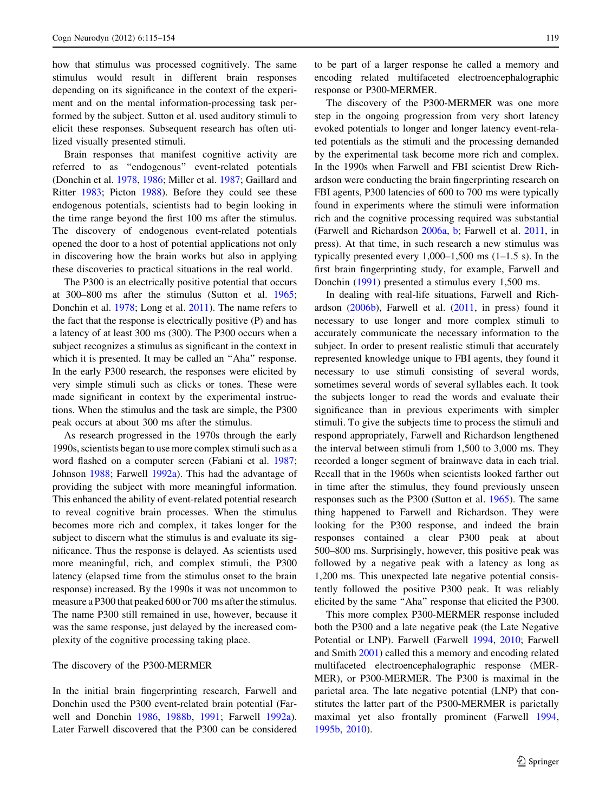how that stimulus was processed cognitively. The same stimulus would result in different brain responses depending on its significance in the context of the experiment and on the mental information-processing task performed by the subject. Sutton et al. used auditory stimuli to elicit these responses. Subsequent research has often utilized visually presented stimuli.

Brain responses that manifest cognitive activity are referred to as ''endogenous'' event-related potentials (Donchin et al. [1978,](#page-36-0) [1986;](#page-36-0) Miller et al. [1987;](#page-38-0) Gaillard and Ritter [1983;](#page-37-0) Picton [1988\)](#page-38-0). Before they could see these endogenous potentials, scientists had to begin looking in the time range beyond the first 100 ms after the stimulus. The discovery of endogenous event-related potentials opened the door to a host of potential applications not only in discovering how the brain works but also in applying these discoveries to practical situations in the real world.

The P300 is an electrically positive potential that occurs at 300–800 ms after the stimulus (Sutton et al. [1965](#page-39-0); Donchin et al. [1978](#page-36-0); Long et al. [2011\)](#page-38-0). The name refers to the fact that the response is electrically positive (P) and has a latency of at least 300 ms (300). The P300 occurs when a subject recognizes a stimulus as significant in the context in which it is presented. It may be called an "Aha" response. In the early P300 research, the responses were elicited by very simple stimuli such as clicks or tones. These were made significant in context by the experimental instructions. When the stimulus and the task are simple, the P300 peak occurs at about 300 ms after the stimulus.

As research progressed in the 1970s through the early 1990s, scientists began to use more complex stimuli such as a word flashed on a computer screen (Fabiani et al. [1987](#page-36-0); Johnson [1988](#page-37-0); Farwell [1992a](#page-36-0)). This had the advantage of providing the subject with more meaningful information. This enhanced the ability of event-related potential research to reveal cognitive brain processes. When the stimulus becomes more rich and complex, it takes longer for the subject to discern what the stimulus is and evaluate its significance. Thus the response is delayed. As scientists used more meaningful, rich, and complex stimuli, the P300 latency (elapsed time from the stimulus onset to the brain response) increased. By the 1990s it was not uncommon to measure a P300 that peaked 600 or 700 ms after the stimulus. The name P300 still remained in use, however, because it was the same response, just delayed by the increased complexity of the cognitive processing taking place.

## The discovery of the P300-MERMER

In the initial brain fingerprinting research, Farwell and Donchin used the P300 event-related brain potential (Farwell and Donchin [1986,](#page-37-0) [1988b,](#page-37-0) [1991;](#page-37-0) Farwell [1992a](#page-36-0)). Later Farwell discovered that the P300 can be considered to be part of a larger response he called a memory and encoding related multifaceted electroencephalographic response or P300-MERMER.

The discovery of the P300-MERMER was one more step in the ongoing progression from very short latency evoked potentials to longer and longer latency event-related potentials as the stimuli and the processing demanded by the experimental task become more rich and complex. In the 1990s when Farwell and FBI scientist Drew Richardson were conducting the brain fingerprinting research on FBI agents, P300 latencies of 600 to 700 ms were typically found in experiments where the stimuli were information rich and the cognitive processing required was substantial (Farwell and Richardson [2006a](#page-37-0), [b](#page-37-0); Farwell et al. [2011](#page-37-0), in press). At that time, in such research a new stimulus was typically presented every  $1,000-1,500$  ms  $(1-1.5 \text{ s})$ . In the first brain fingerprinting study, for example, Farwell and Donchin [\(1991](#page-37-0)) presented a stimulus every 1,500 ms.

In dealing with real-life situations, Farwell and Richardson ([2006b\)](#page-37-0), Farwell et al. ([2011,](#page-37-0) in press) found it necessary to use longer and more complex stimuli to accurately communicate the necessary information to the subject. In order to present realistic stimuli that accurately represented knowledge unique to FBI agents, they found it necessary to use stimuli consisting of several words, sometimes several words of several syllables each. It took the subjects longer to read the words and evaluate their significance than in previous experiments with simpler stimuli. To give the subjects time to process the stimuli and respond appropriately, Farwell and Richardson lengthened the interval between stimuli from 1,500 to 3,000 ms. They recorded a longer segment of brainwave data in each trial. Recall that in the 1960s when scientists looked farther out in time after the stimulus, they found previously unseen responses such as the P300 (Sutton et al. [1965\)](#page-39-0). The same thing happened to Farwell and Richardson. They were looking for the P300 response, and indeed the brain responses contained a clear P300 peak at about 500–800 ms. Surprisingly, however, this positive peak was followed by a negative peak with a latency as long as 1,200 ms. This unexpected late negative potential consistently followed the positive P300 peak. It was reliably elicited by the same ''Aha'' response that elicited the P300.

This more complex P300-MERMER response included both the P300 and a late negative peak (the Late Negative Potential or LNP). Farwell (Farwell [1994](#page-36-0), [2010;](#page-37-0) Farwell and Smith [2001](#page-37-0)) called this a memory and encoding related multifaceted electroencephalographic response (MER-MER), or P300-MERMER. The P300 is maximal in the parietal area. The late negative potential (LNP) that constitutes the latter part of the P300-MERMER is parietally maximal yet also frontally prominent (Farwell [1994,](#page-36-0) [1995b](#page-36-0), [2010\)](#page-37-0).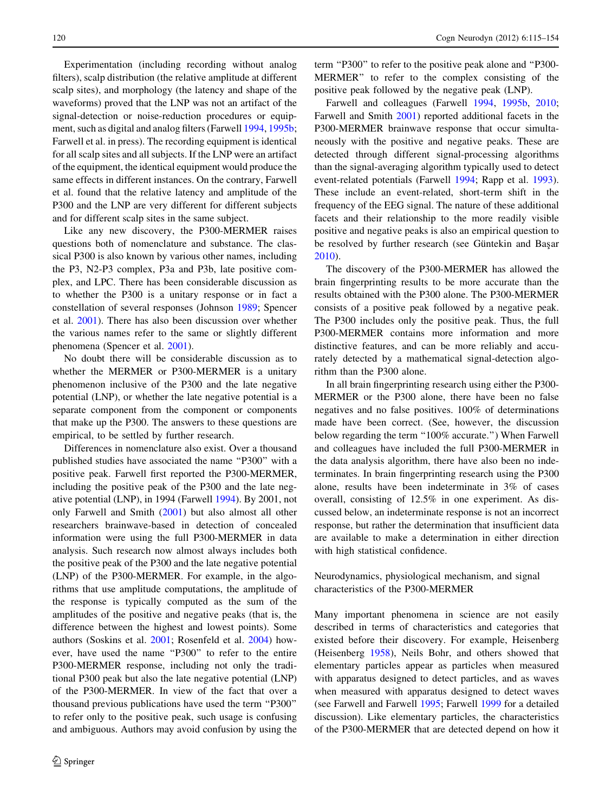Experimentation (including recording without analog filters), scalp distribution (the relative amplitude at different scalp sites), and morphology (the latency and shape of the waveforms) proved that the LNP was not an artifact of the signal-detection or noise-reduction procedures or equipment, such as digital and analog filters (Farwell [1994](#page-36-0), [1995b](#page-36-0); Farwell et al. in press). The recording equipment is identical for all scalp sites and all subjects. If the LNP were an artifact of the equipment, the identical equipment would produce the same effects in different instances. On the contrary, Farwell et al. found that the relative latency and amplitude of the P300 and the LNP are very different for different subjects and for different scalp sites in the same subject.

Like any new discovery, the P300-MERMER raises questions both of nomenclature and substance. The classical P300 is also known by various other names, including the P3, N2-P3 complex, P3a and P3b, late positive complex, and LPC. There has been considerable discussion as to whether the P300 is a unitary response or in fact a constellation of several responses (Johnson [1989;](#page-37-0) Spencer et al. [2001](#page-39-0)). There has also been discussion over whether the various names refer to the same or slightly different phenomena (Spencer et al. [2001](#page-39-0)).

No doubt there will be considerable discussion as to whether the MERMER or P300-MERMER is a unitary phenomenon inclusive of the P300 and the late negative potential (LNP), or whether the late negative potential is a separate component from the component or components that make up the P300. The answers to these questions are empirical, to be settled by further research.

Differences in nomenclature also exist. Over a thousand published studies have associated the name ''P300'' with a positive peak. Farwell first reported the P300-MERMER, including the positive peak of the P300 and the late negative potential (LNP), in 1994 (Farwell [1994](#page-36-0)). By 2001, not only Farwell and Smith [\(2001](#page-37-0)) but also almost all other researchers brainwave-based in detection of concealed information were using the full P300-MERMER in data analysis. Such research now almost always includes both the positive peak of the P300 and the late negative potential (LNP) of the P300-MERMER. For example, in the algorithms that use amplitude computations, the amplitude of the response is typically computed as the sum of the amplitudes of the positive and negative peaks (that is, the difference between the highest and lowest points). Some authors (Soskins et al. [2001;](#page-39-0) Rosenfeld et al. [2004\)](#page-38-0) however, have used the name ''P300'' to refer to the entire P300-MERMER response, including not only the traditional P300 peak but also the late negative potential (LNP) of the P300-MERMER. In view of the fact that over a thousand previous publications have used the term ''P300'' to refer only to the positive peak, such usage is confusing and ambiguous. Authors may avoid confusion by using the term ''P300'' to refer to the positive peak alone and ''P300- MERMER'' to refer to the complex consisting of the positive peak followed by the negative peak (LNP).

Farwell and colleagues (Farwell [1994,](#page-36-0) [1995b,](#page-36-0) [2010](#page-37-0); Farwell and Smith [2001\)](#page-37-0) reported additional facets in the P300-MERMER brainwave response that occur simultaneously with the positive and negative peaks. These are detected through different signal-processing algorithms than the signal-averaging algorithm typically used to detect event-related potentials (Farwell [1994;](#page-36-0) Rapp et al. [1993](#page-38-0)). These include an event-related, short-term shift in the frequency of the EEG signal. The nature of these additional facets and their relationship to the more readily visible positive and negative peaks is also an empirical question to be resolved by further research (see Güntekin and Basar [2010](#page-37-0)).

The discovery of the P300-MERMER has allowed the brain fingerprinting results to be more accurate than the results obtained with the P300 alone. The P300-MERMER consists of a positive peak followed by a negative peak. The P300 includes only the positive peak. Thus, the full P300-MERMER contains more information and more distinctive features, and can be more reliably and accurately detected by a mathematical signal-detection algorithm than the P300 alone.

In all brain fingerprinting research using either the P300- MERMER or the P300 alone, there have been no false negatives and no false positives. 100% of determinations made have been correct. (See, however, the discussion below regarding the term "100% accurate.") When Farwell and colleagues have included the full P300-MERMER in the data analysis algorithm, there have also been no indeterminates. In brain fingerprinting research using the P300 alone, results have been indeterminate in 3% of cases overall, consisting of 12.5% in one experiment. As discussed below, an indeterminate response is not an incorrect response, but rather the determination that insufficient data are available to make a determination in either direction with high statistical confidence.

Neurodynamics, physiological mechanism, and signal characteristics of the P300-MERMER

Many important phenomena in science are not easily described in terms of characteristics and categories that existed before their discovery. For example, Heisenberg (Heisenberg [1958](#page-37-0)), Neils Bohr, and others showed that elementary particles appear as particles when measured with apparatus designed to detect particles, and as waves when measured with apparatus designed to detect waves (see Farwell and Farwell [1995;](#page-37-0) Farwell [1999](#page-36-0) for a detailed discussion). Like elementary particles, the characteristics of the P300-MERMER that are detected depend on how it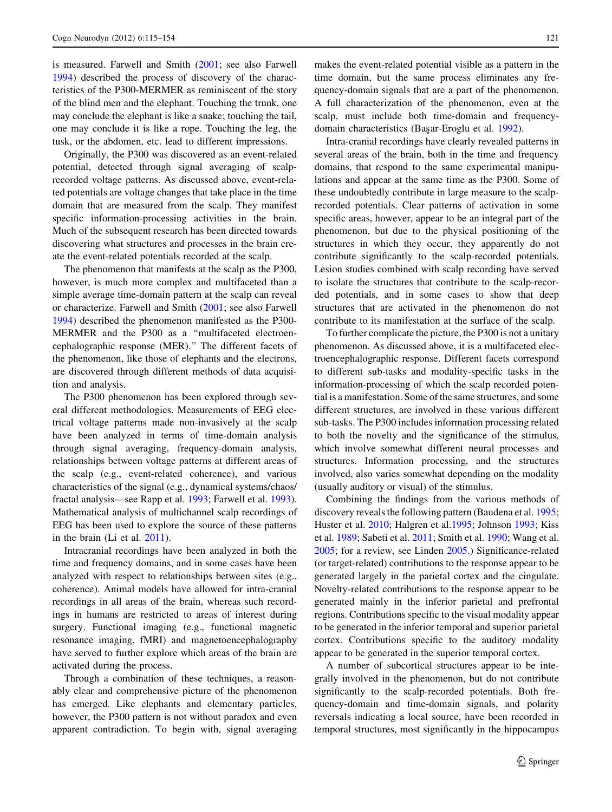is measured. Farwell and Smith [\(2001](#page-37-0); see also Farwell [1994\)](#page-36-0) described the process of discovery of the characteristics of the P300-MERMER as reminiscent of the story of the blind men and the elephant. Touching the trunk, one may conclude the elephant is like a snake; touching the tail, one may conclude it is like a rope. Touching the leg, the tusk, or the abdomen, etc. lead to different impressions.

Originally, the P300 was discovered as an event-related potential, detected through signal averaging of scalprecorded voltage patterns. As discussed above, event-related potentials are voltage changes that take place in the time domain that are measured from the scalp. They manifest specific information-processing activities in the brain. Much of the subsequent research has been directed towards discovering what structures and processes in the brain create the event-related potentials recorded at the scalp.

The phenomenon that manifests at the scalp as the P300, however, is much more complex and multifaceted than a simple average time-domain pattern at the scalp can reveal or characterize. Farwell and Smith ([2001;](#page-37-0) see also Farwell [1994\)](#page-36-0) described the phenomenon manifested as the P300- MERMER and the P300 as a ''multifaceted electroencephalographic response (MER).'' The different facets of the phenomenon, like those of elephants and the electrons, are discovered through different methods of data acquisition and analysis.

The P300 phenomenon has been explored through several different methodologies. Measurements of EEG electrical voltage patterns made non-invasively at the scalp have been analyzed in terms of time-domain analysis through signal averaging, frequency-domain analysis, relationships between voltage patterns at different areas of the scalp (e.g., event-related coherence), and various characteristics of the signal (e.g., dynamical systems/chaos/ fractal analysis—see Rapp et al. [1993;](#page-38-0) Farwell et al. [1993](#page-37-0)). Mathematical analysis of multichannel scalp recordings of EEG has been used to explore the source of these patterns in the brain (Li et al. [2011\)](#page-38-0).

Intracranial recordings have been analyzed in both the time and frequency domains, and in some cases have been analyzed with respect to relationships between sites (e.g., coherence). Animal models have allowed for intra-cranial recordings in all areas of the brain, whereas such recordings in humans are restricted to areas of interest during surgery. Functional imaging (e.g., functional magnetic resonance imaging, fMRI) and magnetoencephalography have served to further explore which areas of the brain are activated during the process.

Through a combination of these techniques, a reasonably clear and comprehensive picture of the phenomenon has emerged. Like elephants and elementary particles, however, the P300 pattern is not without paradox and even apparent contradiction. To begin with, signal averaging makes the event-related potential visible as a pattern in the time domain, but the same process eliminates any frequency-domain signals that are a part of the phenomenon. A full characterization of the phenomenon, even at the scalp, must include both time-domain and frequency-domain characteristics (Başar-Eroglu et al. [1992](#page-36-0)).

Intra-cranial recordings have clearly revealed patterns in several areas of the brain, both in the time and frequency domains, that respond to the same experimental manipulations and appear at the same time as the P300. Some of these undoubtedly contribute in large measure to the scalprecorded potentials. Clear patterns of activation in some specific areas, however, appear to be an integral part of the phenomenon, but due to the physical positioning of the structures in which they occur, they apparently do not contribute significantly to the scalp-recorded potentials. Lesion studies combined with scalp recording have served to isolate the structures that contribute to the scalp-recorded potentials, and in some cases to show that deep structures that are activated in the phenomenon do not contribute to its manifestation at the surface of the scalp.

To further complicate the picture, the P300 is not a unitary phenomenon. As discussed above, it is a multifaceted electroencephalographic response. Different facets correspond to different sub-tasks and modality-specific tasks in the information-processing of which the scalp recorded potential is a manifestation. Some of the same structures, and some different structures, are involved in these various different sub-tasks. The P300 includes information processing related to both the novelty and the significance of the stimulus, which involve somewhat different neural processes and structures. Information processing, and the structures involved, also varies somewhat depending on the modality (usually auditory or visual) of the stimulus.

Combining the findings from the various methods of discovery reveals the following pattern (Baudena et al. [1995](#page-36-0); Huster et al. [2010;](#page-37-0) Halgren et al.[1995](#page-37-0); Johnson [1993;](#page-37-0) Kiss et al. [1989;](#page-38-0) Sabeti et al. [2011](#page-39-0); Smith et al. [1990;](#page-39-0) Wang et al. [2005](#page-39-0); for a review, see Linden [2005](#page-38-0).) Significance-related (or target-related) contributions to the response appear to be generated largely in the parietal cortex and the cingulate. Novelty-related contributions to the response appear to be generated mainly in the inferior parietal and prefrontal regions. Contributions specific to the visual modality appear to be generated in the inferior temporal and superior parietal cortex. Contributions specific to the auditory modality appear to be generated in the superior temporal cortex.

A number of subcortical structures appear to be integrally involved in the phenomenon, but do not contribute significantly to the scalp-recorded potentials. Both frequency-domain and time-domain signals, and polarity reversals indicating a local source, have been recorded in temporal structures, most significantly in the hippocampus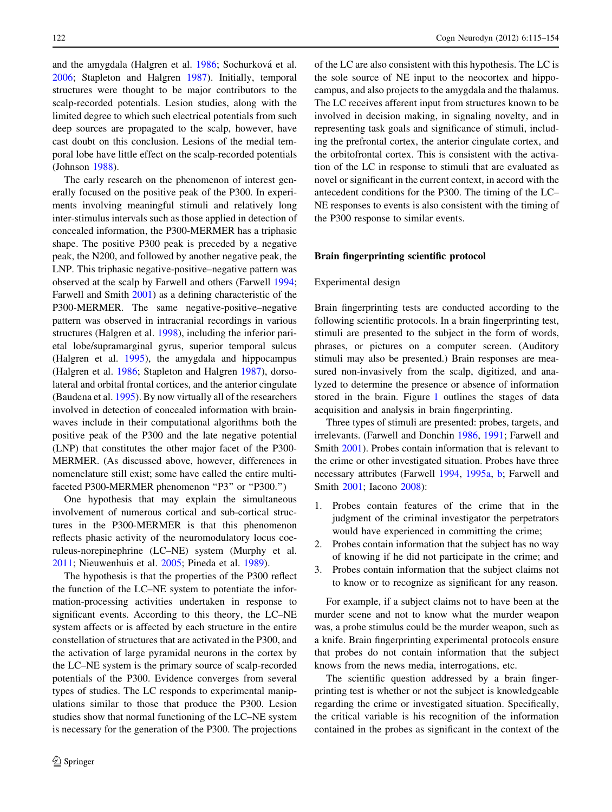and the amygdala (Halgren et al. [1986;](#page-37-0) Sochurková et al. [2006;](#page-39-0) Stapleton and Halgren [1987\)](#page-39-0). Initially, temporal structures were thought to be major contributors to the scalp-recorded potentials. Lesion studies, along with the limited degree to which such electrical potentials from such deep sources are propagated to the scalp, however, have cast doubt on this conclusion. Lesions of the medial temporal lobe have little effect on the scalp-recorded potentials (Johnson [1988](#page-37-0)).

The early research on the phenomenon of interest generally focused on the positive peak of the P300. In experiments involving meaningful stimuli and relatively long inter-stimulus intervals such as those applied in detection of concealed information, the P300-MERMER has a triphasic shape. The positive P300 peak is preceded by a negative peak, the N200, and followed by another negative peak, the LNP. This triphasic negative-positive–negative pattern was observed at the scalp by Farwell and others (Farwell [1994](#page-36-0); Farwell and Smith [2001\)](#page-37-0) as a defining characteristic of the P300-MERMER. The same negative-positive–negative pattern was observed in intracranial recordings in various structures (Halgren et al. [1998](#page-37-0)), including the inferior parietal lobe/supramarginal gyrus, superior temporal sulcus (Halgren et al. [1995](#page-37-0)), the amygdala and hippocampus (Halgren et al. [1986;](#page-37-0) Stapleton and Halgren [1987](#page-39-0)), dorsolateral and orbital frontal cortices, and the anterior cingulate (Baudena et al. [1995\)](#page-36-0). By now virtually all of the researchers involved in detection of concealed information with brainwaves include in their computational algorithms both the positive peak of the P300 and the late negative potential (LNP) that constitutes the other major facet of the P300- MERMER. (As discussed above, however, differences in nomenclature still exist; some have called the entire multifaceted P300-MERMER phenomenon "P3" or "P300.")

One hypothesis that may explain the simultaneous involvement of numerous cortical and sub-cortical structures in the P300-MERMER is that this phenomenon reflects phasic activity of the neuromodulatory locus coeruleus-norepinephrine (LC–NE) system (Murphy et al. [2011;](#page-38-0) Nieuwenhuis et al. [2005;](#page-38-0) Pineda et al. [1989](#page-38-0)).

The hypothesis is that the properties of the P300 reflect the function of the LC–NE system to potentiate the information-processing activities undertaken in response to significant events. According to this theory, the LC–NE system affects or is affected by each structure in the entire constellation of structures that are activated in the P300, and the activation of large pyramidal neurons in the cortex by the LC–NE system is the primary source of scalp-recorded potentials of the P300. Evidence converges from several types of studies. The LC responds to experimental manipulations similar to those that produce the P300. Lesion studies show that normal functioning of the LC–NE system is necessary for the generation of the P300. The projections of the LC are also consistent with this hypothesis. The LC is the sole source of NE input to the neocortex and hippocampus, and also projects to the amygdala and the thalamus. The LC receives afferent input from structures known to be involved in decision making, in signaling novelty, and in representing task goals and significance of stimuli, including the prefrontal cortex, the anterior cingulate cortex, and the orbitofrontal cortex. This is consistent with the activation of the LC in response to stimuli that are evaluated as novel or significant in the current context, in accord with the antecedent conditions for the P300. The timing of the LC– NE responses to events is also consistent with the timing of the P300 response to similar events.

## Brain fingerprinting scientific protocol

#### Experimental design

Brain fingerprinting tests are conducted according to the following scientific protocols. In a brain fingerprinting test, stimuli are presented to the subject in the form of words, phrases, or pictures on a computer screen. (Auditory stimuli may also be presented.) Brain responses are measured non-invasively from the scalp, digitized, and analyzed to determine the presence or absence of information stored in the brain. Figure [1](#page-8-0) outlines the stages of data acquisition and analysis in brain fingerprinting.

Three types of stimuli are presented: probes, targets, and irrelevants. (Farwell and Donchin [1986](#page-37-0), [1991;](#page-37-0) Farwell and Smith [2001\)](#page-37-0). Probes contain information that is relevant to the crime or other investigated situation. Probes have three necessary attributes (Farwell [1994](#page-36-0), [1995a,](#page-36-0) [b](#page-36-0); Farwell and Smith [2001](#page-37-0); Iacono [2008](#page-37-0)):

- 1. Probes contain features of the crime that in the judgment of the criminal investigator the perpetrators would have experienced in committing the crime;
- 2. Probes contain information that the subject has no way of knowing if he did not participate in the crime; and
- 3. Probes contain information that the subject claims not to know or to recognize as significant for any reason.

For example, if a subject claims not to have been at the murder scene and not to know what the murder weapon was, a probe stimulus could be the murder weapon, such as a knife. Brain fingerprinting experimental protocols ensure that probes do not contain information that the subject knows from the news media, interrogations, etc.

The scientific question addressed by a brain fingerprinting test is whether or not the subject is knowledgeable regarding the crime or investigated situation. Specifically, the critical variable is his recognition of the information contained in the probes as significant in the context of the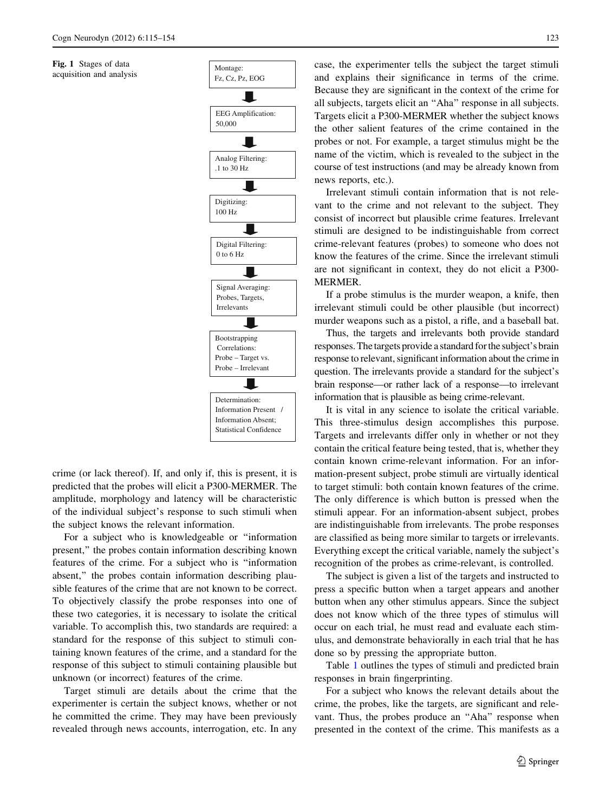#### <span id="page-8-0"></span>Fig. 1 Stages of data acquisition and analysis



crime (or lack thereof). If, and only if, this is present, it is predicted that the probes will elicit a P300-MERMER. The amplitude, morphology and latency will be characteristic of the individual subject's response to such stimuli when the subject knows the relevant information.

For a subject who is knowledgeable or ''information present,'' the probes contain information describing known features of the crime. For a subject who is ''information absent,'' the probes contain information describing plausible features of the crime that are not known to be correct. To objectively classify the probe responses into one of these two categories, it is necessary to isolate the critical variable. To accomplish this, two standards are required: a standard for the response of this subject to stimuli containing known features of the crime, and a standard for the response of this subject to stimuli containing plausible but unknown (or incorrect) features of the crime.

Target stimuli are details about the crime that the experimenter is certain the subject knows, whether or not he committed the crime. They may have been previously revealed through news accounts, interrogation, etc. In any case, the experimenter tells the subject the target stimuli and explains their significance in terms of the crime. Because they are significant in the context of the crime for all subjects, targets elicit an ''Aha'' response in all subjects. Targets elicit a P300-MERMER whether the subject knows the other salient features of the crime contained in the probes or not. For example, a target stimulus might be the name of the victim, which is revealed to the subject in the course of test instructions (and may be already known from news reports, etc.).

Irrelevant stimuli contain information that is not relevant to the crime and not relevant to the subject. They consist of incorrect but plausible crime features. Irrelevant stimuli are designed to be indistinguishable from correct crime-relevant features (probes) to someone who does not know the features of the crime. Since the irrelevant stimuli are not significant in context, they do not elicit a P300- MERMER.

If a probe stimulus is the murder weapon, a knife, then irrelevant stimuli could be other plausible (but incorrect) murder weapons such as a pistol, a rifle, and a baseball bat.

Thus, the targets and irrelevants both provide standard responses. The targets provide a standard for the subject's brain response to relevant, significant information about the crime in question. The irrelevants provide a standard for the subject's brain response—or rather lack of a response—to irrelevant information that is plausible as being crime-relevant.

It is vital in any science to isolate the critical variable. This three-stimulus design accomplishes this purpose. Targets and irrelevants differ only in whether or not they contain the critical feature being tested, that is, whether they contain known crime-relevant information. For an information-present subject, probe stimuli are virtually identical to target stimuli: both contain known features of the crime. The only difference is which button is pressed when the stimuli appear. For an information-absent subject, probes are indistinguishable from irrelevants. The probe responses are classified as being more similar to targets or irrelevants. Everything except the critical variable, namely the subject's recognition of the probes as crime-relevant, is controlled.

The subject is given a list of the targets and instructed to press a specific button when a target appears and another button when any other stimulus appears. Since the subject does not know which of the three types of stimulus will occur on each trial, he must read and evaluate each stimulus, and demonstrate behaviorally in each trial that he has done so by pressing the appropriate button.

Table [1](#page-9-0) outlines the types of stimuli and predicted brain responses in brain fingerprinting.

For a subject who knows the relevant details about the crime, the probes, like the targets, are significant and relevant. Thus, the probes produce an ''Aha'' response when presented in the context of the crime. This manifests as a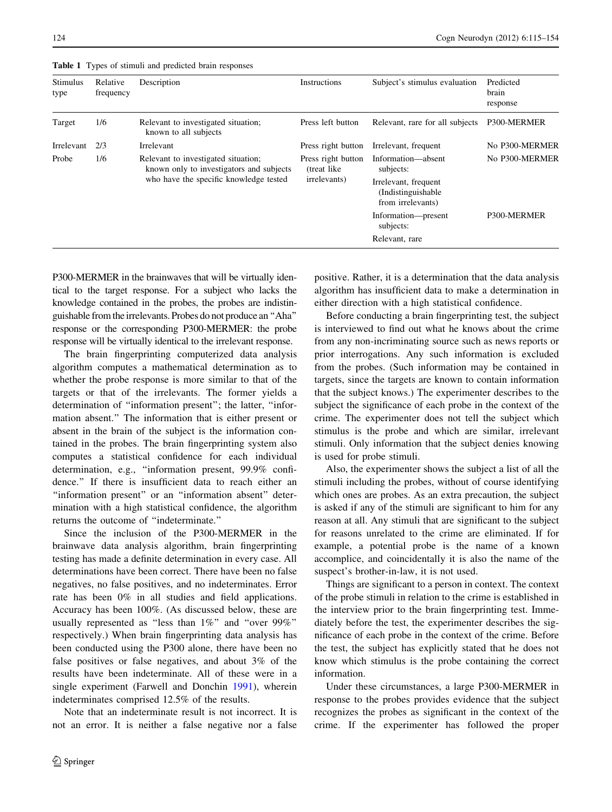| <b>Stimulus</b><br>type | Relative<br>frequency | Description                                                                                                               | Instructions                                       | Subject's stimulus evaluation                                    | Predicted<br>brain<br>response |
|-------------------------|-----------------------|---------------------------------------------------------------------------------------------------------------------------|----------------------------------------------------|------------------------------------------------------------------|--------------------------------|
| Target                  | 1/6                   | Relevant to investigated situation;<br>known to all subjects                                                              | Press left button                                  | Relevant, rare for all subjects                                  | P300-MERMER                    |
| Irrelevant              | 2/3                   | Irrelevant                                                                                                                | Press right button                                 | Irrelevant, frequent                                             | No P300-MERMER                 |
| Probe                   | 1/6                   | Relevant to investigated situation;<br>known only to investigators and subjects<br>who have the specific knowledge tested | Press right button<br>(treat like)<br>irrelevants) | Information—absent<br>subjects:                                  | No P300-MERMER                 |
|                         |                       |                                                                                                                           |                                                    | Irrelevant, frequent<br>(Indistinguishable)<br>from irrelevants) |                                |
|                         |                       |                                                                                                                           |                                                    | Information-present<br>subjects:                                 | P300-MERMER                    |
|                         |                       |                                                                                                                           |                                                    | Relevant, rare                                                   |                                |

<span id="page-9-0"></span>Table 1 Types of stimuli and predicted brain responses

P300-MERMER in the brainwaves that will be virtually identical to the target response. For a subject who lacks the knowledge contained in the probes, the probes are indistinguishable from the irrelevants. Probes do not produce an ''Aha'' response or the corresponding P300-MERMER: the probe response will be virtually identical to the irrelevant response.

The brain fingerprinting computerized data analysis algorithm computes a mathematical determination as to whether the probe response is more similar to that of the targets or that of the irrelevants. The former yields a determination of ''information present''; the latter, ''information absent.'' The information that is either present or absent in the brain of the subject is the information contained in the probes. The brain fingerprinting system also computes a statistical confidence for each individual determination, e.g., ''information present, 99.9% confidence.'' If there is insufficient data to reach either an "information present" or an "information absent" determination with a high statistical confidence, the algorithm returns the outcome of ''indeterminate.''

Since the inclusion of the P300-MERMER in the brainwave data analysis algorithm, brain fingerprinting testing has made a definite determination in every case. All determinations have been correct. There have been no false negatives, no false positives, and no indeterminates. Error rate has been 0% in all studies and field applications. Accuracy has been 100%. (As discussed below, these are usually represented as ''less than 1%'' and ''over 99%'' respectively.) When brain fingerprinting data analysis has been conducted using the P300 alone, there have been no false positives or false negatives, and about 3% of the results have been indeterminate. All of these were in a single experiment (Farwell and Donchin [1991](#page-37-0)), wherein indeterminates comprised 12.5% of the results.

Note that an indeterminate result is not incorrect. It is not an error. It is neither a false negative nor a false positive. Rather, it is a determination that the data analysis algorithm has insufficient data to make a determination in either direction with a high statistical confidence.

Before conducting a brain fingerprinting test, the subject is interviewed to find out what he knows about the crime from any non-incriminating source such as news reports or prior interrogations. Any such information is excluded from the probes. (Such information may be contained in targets, since the targets are known to contain information that the subject knows.) The experimenter describes to the subject the significance of each probe in the context of the crime. The experimenter does not tell the subject which stimulus is the probe and which are similar, irrelevant stimuli. Only information that the subject denies knowing is used for probe stimuli.

Also, the experimenter shows the subject a list of all the stimuli including the probes, without of course identifying which ones are probes. As an extra precaution, the subject is asked if any of the stimuli are significant to him for any reason at all. Any stimuli that are significant to the subject for reasons unrelated to the crime are eliminated. If for example, a potential probe is the name of a known accomplice, and coincidentally it is also the name of the suspect's brother-in-law, it is not used.

Things are significant to a person in context. The context of the probe stimuli in relation to the crime is established in the interview prior to the brain fingerprinting test. Immediately before the test, the experimenter describes the significance of each probe in the context of the crime. Before the test, the subject has explicitly stated that he does not know which stimulus is the probe containing the correct information.

Under these circumstances, a large P300-MERMER in response to the probes provides evidence that the subject recognizes the probes as significant in the context of the crime. If the experimenter has followed the proper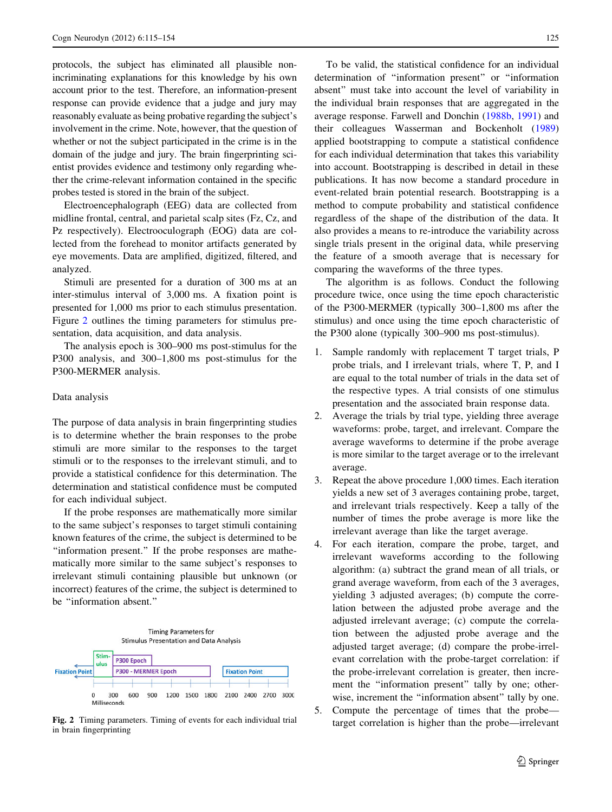protocols, the subject has eliminated all plausible nonincriminating explanations for this knowledge by his own account prior to the test. Therefore, an information-present response can provide evidence that a judge and jury may reasonably evaluate as being probative regarding the subject's involvement in the crime. Note, however, that the question of whether or not the subject participated in the crime is in the domain of the judge and jury. The brain fingerprinting scientist provides evidence and testimony only regarding whether the crime-relevant information contained in the specific probes tested is stored in the brain of the subject.

Electroencephalograph (EEG) data are collected from midline frontal, central, and parietal scalp sites (Fz, Cz, and Pz respectively). Electrooculograph (EOG) data are collected from the forehead to monitor artifacts generated by eye movements. Data are amplified, digitized, filtered, and analyzed.

Stimuli are presented for a duration of 300 ms at an inter-stimulus interval of 3,000 ms. A fixation point is presented for 1,000 ms prior to each stimulus presentation. Figure 2 outlines the timing parameters for stimulus presentation, data acquisition, and data analysis.

The analysis epoch is 300–900 ms post-stimulus for the P300 analysis, and 300–1,800 ms post-stimulus for the P300-MERMER analysis.

#### Data analysis

The purpose of data analysis in brain fingerprinting studies is to determine whether the brain responses to the probe stimuli are more similar to the responses to the target stimuli or to the responses to the irrelevant stimuli, and to provide a statistical confidence for this determination. The determination and statistical confidence must be computed for each individual subject.

If the probe responses are mathematically more similar to the same subject's responses to target stimuli containing known features of the crime, the subject is determined to be ''information present.'' If the probe responses are mathematically more similar to the same subject's responses to irrelevant stimuli containing plausible but unknown (or incorrect) features of the crime, the subject is determined to be "information absent"



in brain fingerprinting

To be valid, the statistical confidence for an individual determination of ''information present'' or ''information absent'' must take into account the level of variability in the individual brain responses that are aggregated in the average response. Farwell and Donchin ([1988b,](#page-37-0) [1991](#page-37-0)) and their colleagues Wasserman and Bockenholt ([1989\)](#page-39-0) applied bootstrapping to compute a statistical confidence for each individual determination that takes this variability into account. Bootstrapping is described in detail in these publications. It has now become a standard procedure in event-related brain potential research. Bootstrapping is a method to compute probability and statistical confidence regardless of the shape of the distribution of the data. It also provides a means to re-introduce the variability across single trials present in the original data, while preserving the feature of a smooth average that is necessary for comparing the waveforms of the three types.

The algorithm is as follows. Conduct the following procedure twice, once using the time epoch characteristic of the P300-MERMER (typically 300–1,800 ms after the stimulus) and once using the time epoch characteristic of the P300 alone (typically 300–900 ms post-stimulus).

- 1. Sample randomly with replacement T target trials, P probe trials, and I irrelevant trials, where T, P, and I are equal to the total number of trials in the data set of the respective types. A trial consists of one stimulus presentation and the associated brain response data.
- 2. Average the trials by trial type, yielding three average waveforms: probe, target, and irrelevant. Compare the average waveforms to determine if the probe average is more similar to the target average or to the irrelevant average.
- 3. Repeat the above procedure 1,000 times. Each iteration yields a new set of 3 averages containing probe, target, and irrelevant trials respectively. Keep a tally of the number of times the probe average is more like the irrelevant average than like the target average.
- 4. For each iteration, compare the probe, target, and irrelevant waveforms according to the following algorithm: (a) subtract the grand mean of all trials, or grand average waveform, from each of the 3 averages, yielding 3 adjusted averages; (b) compute the correlation between the adjusted probe average and the adjusted irrelevant average; (c) compute the correlation between the adjusted probe average and the adjusted target average; (d) compare the probe-irrelevant correlation with the probe-target correlation: if the probe-irrelevant correlation is greater, then increment the "information present" tally by one; otherwise, increment the "information absent" tally by one.
- 5. Compute the percentage of times that the probe— Fig. 2 Timing parameters. Timing of events for each individual trial target correlation is higher than the probe—irrelevant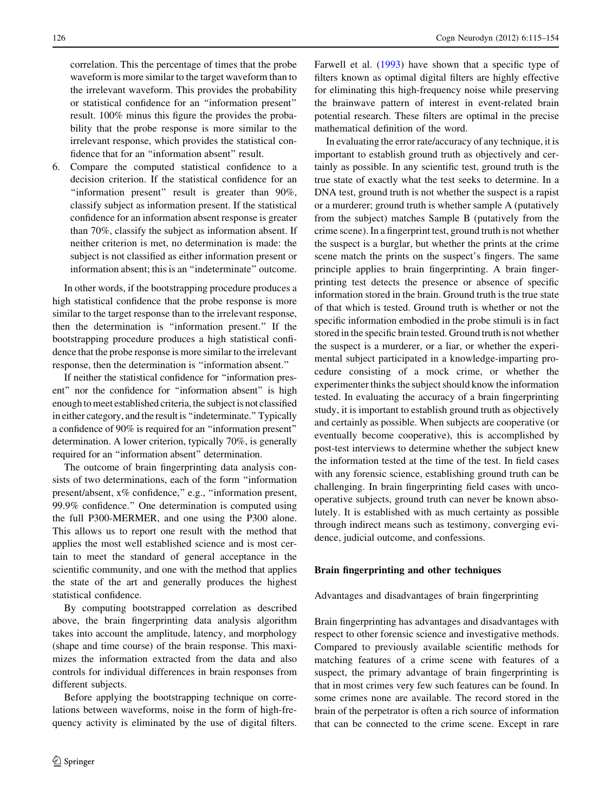correlation. This the percentage of times that the probe waveform is more similar to the target waveform than to the irrelevant waveform. This provides the probability or statistical confidence for an ''information present'' result. 100% minus this figure the provides the probability that the probe response is more similar to the irrelevant response, which provides the statistical confidence that for an ''information absent'' result.

6. Compare the computed statistical confidence to a decision criterion. If the statistical confidence for an "information present" result is greater than 90%, classify subject as information present. If the statistical confidence for an information absent response is greater than 70%, classify the subject as information absent. If neither criterion is met, no determination is made: the subject is not classified as either information present or information absent; this is an ''indeterminate'' outcome.

In other words, if the bootstrapping procedure produces a high statistical confidence that the probe response is more similar to the target response than to the irrelevant response, then the determination is ''information present.'' If the bootstrapping procedure produces a high statistical confidence that the probe response is more similar to the irrelevant response, then the determination is ''information absent.''

If neither the statistical confidence for ''information present" nor the confidence for "information absent" is high enough to meet established criteria, the subject is not classified in either category, and the result is ''indeterminate.'' Typically a confidence of 90% is required for an ''information present'' determination. A lower criterion, typically 70%, is generally required for an ''information absent'' determination.

The outcome of brain fingerprinting data analysis consists of two determinations, each of the form ''information present/absent, x% confidence,'' e.g., ''information present, 99.9% confidence.'' One determination is computed using the full P300-MERMER, and one using the P300 alone. This allows us to report one result with the method that applies the most well established science and is most certain to meet the standard of general acceptance in the scientific community, and one with the method that applies the state of the art and generally produces the highest statistical confidence.

By computing bootstrapped correlation as described above, the brain fingerprinting data analysis algorithm takes into account the amplitude, latency, and morphology (shape and time course) of the brain response. This maximizes the information extracted from the data and also controls for individual differences in brain responses from different subjects.

Before applying the bootstrapping technique on correlations between waveforms, noise in the form of high-frequency activity is eliminated by the use of digital filters.

Farwell et al. [\(1993](#page-37-0)) have shown that a specific type of filters known as optimal digital filters are highly effective for eliminating this high-frequency noise while preserving the brainwave pattern of interest in event-related brain potential research. These filters are optimal in the precise mathematical definition of the word.

In evaluating the error rate/accuracy of any technique, it is important to establish ground truth as objectively and certainly as possible. In any scientific test, ground truth is the true state of exactly what the test seeks to determine. In a DNA test, ground truth is not whether the suspect is a rapist or a murderer; ground truth is whether sample A (putatively from the subject) matches Sample B (putatively from the crime scene). In a fingerprint test, ground truth is not whether the suspect is a burglar, but whether the prints at the crime scene match the prints on the suspect's fingers. The same principle applies to brain fingerprinting. A brain fingerprinting test detects the presence or absence of specific information stored in the brain. Ground truth is the true state of that which is tested. Ground truth is whether or not the specific information embodied in the probe stimuli is in fact stored in the specific brain tested. Ground truth is not whether the suspect is a murderer, or a liar, or whether the experimental subject participated in a knowledge-imparting procedure consisting of a mock crime, or whether the experimenter thinks the subject should know the information tested. In evaluating the accuracy of a brain fingerprinting study, it is important to establish ground truth as objectively and certainly as possible. When subjects are cooperative (or eventually become cooperative), this is accomplished by post-test interviews to determine whether the subject knew the information tested at the time of the test. In field cases with any forensic science, establishing ground truth can be challenging. In brain fingerprinting field cases with uncooperative subjects, ground truth can never be known absolutely. It is established with as much certainty as possible through indirect means such as testimony, converging evidence, judicial outcome, and confessions.

# Brain fingerprinting and other techniques

Advantages and disadvantages of brain fingerprinting

Brain fingerprinting has advantages and disadvantages with respect to other forensic science and investigative methods. Compared to previously available scientific methods for matching features of a crime scene with features of a suspect, the primary advantage of brain fingerprinting is that in most crimes very few such features can be found. In some crimes none are available. The record stored in the brain of the perpetrator is often a rich source of information that can be connected to the crime scene. Except in rare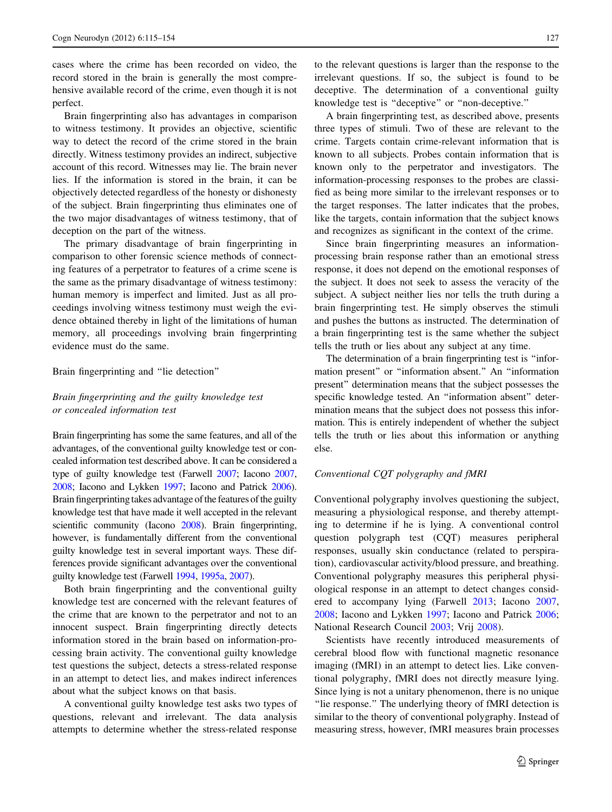cases where the crime has been recorded on video, the record stored in the brain is generally the most comprehensive available record of the crime, even though it is not perfect.

Brain fingerprinting also has advantages in comparison to witness testimony. It provides an objective, scientific way to detect the record of the crime stored in the brain directly. Witness testimony provides an indirect, subjective account of this record. Witnesses may lie. The brain never lies. If the information is stored in the brain, it can be objectively detected regardless of the honesty or dishonesty of the subject. Brain fingerprinting thus eliminates one of the two major disadvantages of witness testimony, that of deception on the part of the witness.

The primary disadvantage of brain fingerprinting in comparison to other forensic science methods of connecting features of a perpetrator to features of a crime scene is the same as the primary disadvantage of witness testimony: human memory is imperfect and limited. Just as all proceedings involving witness testimony must weigh the evidence obtained thereby in light of the limitations of human memory, all proceedings involving brain fingerprinting evidence must do the same.

# Brain fingerprinting and ''lie detection''

# Brain fingerprinting and the guilty knowledge test or concealed information test

Brain fingerprinting has some the same features, and all of the advantages, of the conventional guilty knowledge test or concealed information test described above. It can be considered a type of guilty knowledge test (Farwell [2007](#page-37-0); Iacono [2007,](#page-37-0) [2008](#page-37-0); Iacono and Lykken [1997](#page-37-0); Iacono and Patrick [2006\)](#page-37-0). Brain fingerprinting takes advantage of the features of the guilty knowledge test that have made it well accepted in the relevant scientific community (Iacono [2008\)](#page-37-0). Brain fingerprinting, however, is fundamentally different from the conventional guilty knowledge test in several important ways. These differences provide significant advantages over the conventional guilty knowledge test (Farwell [1994](#page-36-0), [1995a](#page-36-0), [2007](#page-37-0)).

Both brain fingerprinting and the conventional guilty knowledge test are concerned with the relevant features of the crime that are known to the perpetrator and not to an innocent suspect. Brain fingerprinting directly detects information stored in the brain based on information-processing brain activity. The conventional guilty knowledge test questions the subject, detects a stress-related response in an attempt to detect lies, and makes indirect inferences about what the subject knows on that basis.

A conventional guilty knowledge test asks two types of questions, relevant and irrelevant. The data analysis attempts to determine whether the stress-related response to the relevant questions is larger than the response to the irrelevant questions. If so, the subject is found to be deceptive. The determination of a conventional guilty knowledge test is ''deceptive'' or ''non-deceptive.''

A brain fingerprinting test, as described above, presents three types of stimuli. Two of these are relevant to the crime. Targets contain crime-relevant information that is known to all subjects. Probes contain information that is known only to the perpetrator and investigators. The information-processing responses to the probes are classified as being more similar to the irrelevant responses or to the target responses. The latter indicates that the probes, like the targets, contain information that the subject knows and recognizes as significant in the context of the crime.

Since brain fingerprinting measures an informationprocessing brain response rather than an emotional stress response, it does not depend on the emotional responses of the subject. It does not seek to assess the veracity of the subject. A subject neither lies nor tells the truth during a brain fingerprinting test. He simply observes the stimuli and pushes the buttons as instructed. The determination of a brain fingerprinting test is the same whether the subject tells the truth or lies about any subject at any time.

The determination of a brain fingerprinting test is ''information present'' or ''information absent.'' An ''information present'' determination means that the subject possesses the specific knowledge tested. An ''information absent'' determination means that the subject does not possess this information. This is entirely independent of whether the subject tells the truth or lies about this information or anything else.

#### Conventional CQT polygraphy and fMRI

Conventional polygraphy involves questioning the subject, measuring a physiological response, and thereby attempting to determine if he is lying. A conventional control question polygraph test (CQT) measures peripheral responses, usually skin conductance (related to perspiration), cardiovascular activity/blood pressure, and breathing. Conventional polygraphy measures this peripheral physiological response in an attempt to detect changes considered to accompany lying (Farwell [2013](#page-37-0); Iacono [2007,](#page-37-0) [2008](#page-37-0); Iacono and Lykken [1997;](#page-37-0) Iacono and Patrick [2006](#page-37-0); National Research Council [2003](#page-38-0); Vrij [2008\)](#page-39-0).

Scientists have recently introduced measurements of cerebral blood flow with functional magnetic resonance imaging (fMRI) in an attempt to detect lies. Like conventional polygraphy, fMRI does not directly measure lying. Since lying is not a unitary phenomenon, there is no unique "lie response." The underlying theory of fMRI detection is similar to the theory of conventional polygraphy. Instead of measuring stress, however, fMRI measures brain processes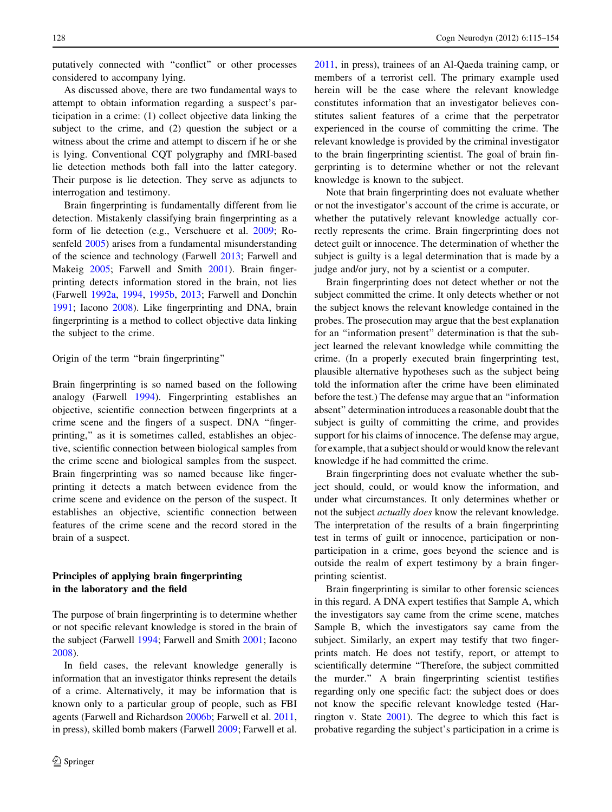putatively connected with ''conflict'' or other processes considered to accompany lying.

As discussed above, there are two fundamental ways to attempt to obtain information regarding a suspect's participation in a crime: (1) collect objective data linking the subject to the crime, and (2) question the subject or a witness about the crime and attempt to discern if he or she is lying. Conventional CQT polygraphy and fMRI-based lie detection methods both fall into the latter category. Their purpose is lie detection. They serve as adjuncts to interrogation and testimony.

Brain fingerprinting is fundamentally different from lie detection. Mistakenly classifying brain fingerprinting as a form of lie detection (e.g., Verschuere et al. [2009;](#page-39-0) Rosenfeld [2005\)](#page-38-0) arises from a fundamental misunderstanding of the science and technology (Farwell [2013](#page-37-0); Farwell and Makeig [2005](#page-37-0); Farwell and Smith [2001\)](#page-37-0). Brain fingerprinting detects information stored in the brain, not lies (Farwell [1992a,](#page-36-0) [1994](#page-36-0), [1995b](#page-36-0), [2013](#page-37-0); Farwell and Donchin [1991;](#page-37-0) Iacono [2008\)](#page-37-0). Like fingerprinting and DNA, brain fingerprinting is a method to collect objective data linking the subject to the crime.

Origin of the term ''brain fingerprinting''

Brain fingerprinting is so named based on the following analogy (Farwell [1994](#page-36-0)). Fingerprinting establishes an objective, scientific connection between fingerprints at a crime scene and the fingers of a suspect. DNA ''fingerprinting,'' as it is sometimes called, establishes an objective, scientific connection between biological samples from the crime scene and biological samples from the suspect. Brain fingerprinting was so named because like fingerprinting it detects a match between evidence from the crime scene and evidence on the person of the suspect. It establishes an objective, scientific connection between features of the crime scene and the record stored in the brain of a suspect.

# Principles of applying brain fingerprinting in the laboratory and the field

The purpose of brain fingerprinting is to determine whether or not specific relevant knowledge is stored in the brain of the subject (Farwell [1994;](#page-36-0) Farwell and Smith [2001](#page-37-0); Iacono [2008\)](#page-37-0).

In field cases, the relevant knowledge generally is information that an investigator thinks represent the details of a crime. Alternatively, it may be information that is known only to a particular group of people, such as FBI agents (Farwell and Richardson [2006b;](#page-37-0) Farwell et al. [2011,](#page-37-0) in press), skilled bomb makers (Farwell [2009;](#page-37-0) Farwell et al. [2011](#page-37-0), in press), trainees of an Al-Qaeda training camp, or members of a terrorist cell. The primary example used herein will be the case where the relevant knowledge constitutes information that an investigator believes constitutes salient features of a crime that the perpetrator experienced in the course of committing the crime. The relevant knowledge is provided by the criminal investigator to the brain fingerprinting scientist. The goal of brain fingerprinting is to determine whether or not the relevant knowledge is known to the subject.

Note that brain fingerprinting does not evaluate whether or not the investigator's account of the crime is accurate, or whether the putatively relevant knowledge actually correctly represents the crime. Brain fingerprinting does not detect guilt or innocence. The determination of whether the subject is guilty is a legal determination that is made by a judge and/or jury, not by a scientist or a computer.

Brain fingerprinting does not detect whether or not the subject committed the crime. It only detects whether or not the subject knows the relevant knowledge contained in the probes. The prosecution may argue that the best explanation for an ''information present'' determination is that the subject learned the relevant knowledge while committing the crime. (In a properly executed brain fingerprinting test, plausible alternative hypotheses such as the subject being told the information after the crime have been eliminated before the test.) The defense may argue that an ''information absent'' determination introduces a reasonable doubt that the subject is guilty of committing the crime, and provides support for his claims of innocence. The defense may argue, for example, that a subject should or would know the relevant knowledge if he had committed the crime.

Brain fingerprinting does not evaluate whether the subject should, could, or would know the information, and under what circumstances. It only determines whether or not the subject actually does know the relevant knowledge. The interpretation of the results of a brain fingerprinting test in terms of guilt or innocence, participation or nonparticipation in a crime, goes beyond the science and is outside the realm of expert testimony by a brain fingerprinting scientist.

Brain fingerprinting is similar to other forensic sciences in this regard. A DNA expert testifies that Sample A, which the investigators say came from the crime scene, matches Sample B, which the investigators say came from the subject. Similarly, an expert may testify that two fingerprints match. He does not testify, report, or attempt to scientifically determine ''Therefore, the subject committed the murder.'' A brain fingerprinting scientist testifies regarding only one specific fact: the subject does or does not know the specific relevant knowledge tested (Harrington v. State [2001](#page-37-0)). The degree to which this fact is probative regarding the subject's participation in a crime is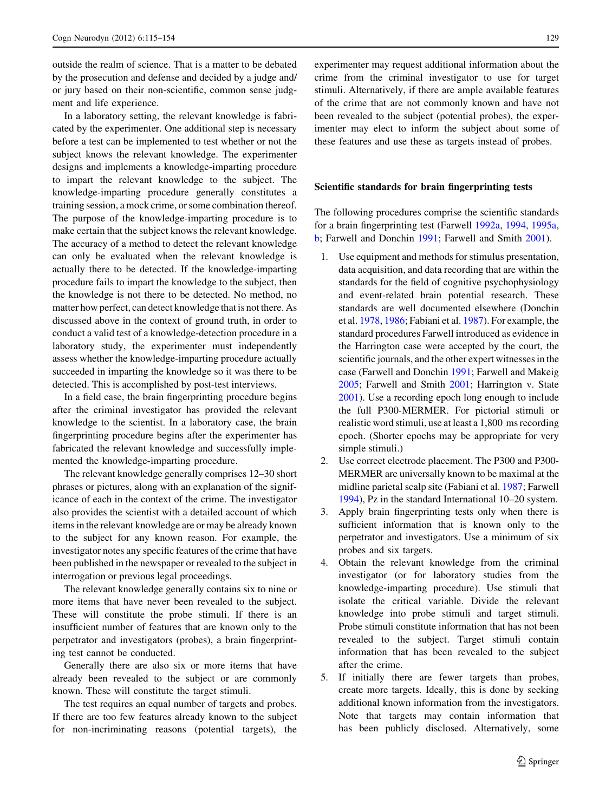outside the realm of science. That is a matter to be debated by the prosecution and defense and decided by a judge and/ or jury based on their non-scientific, common sense judgment and life experience.

In a laboratory setting, the relevant knowledge is fabricated by the experimenter. One additional step is necessary before a test can be implemented to test whether or not the subject knows the relevant knowledge. The experimenter designs and implements a knowledge-imparting procedure to impart the relevant knowledge to the subject. The knowledge-imparting procedure generally constitutes a training session, a mock crime, or some combination thereof. The purpose of the knowledge-imparting procedure is to make certain that the subject knows the relevant knowledge. The accuracy of a method to detect the relevant knowledge can only be evaluated when the relevant knowledge is actually there to be detected. If the knowledge-imparting procedure fails to impart the knowledge to the subject, then the knowledge is not there to be detected. No method, no matter how perfect, can detect knowledge that is not there. As discussed above in the context of ground truth, in order to conduct a valid test of a knowledge-detection procedure in a laboratory study, the experimenter must independently assess whether the knowledge-imparting procedure actually succeeded in imparting the knowledge so it was there to be detected. This is accomplished by post-test interviews.

In a field case, the brain fingerprinting procedure begins after the criminal investigator has provided the relevant knowledge to the scientist. In a laboratory case, the brain fingerprinting procedure begins after the experimenter has fabricated the relevant knowledge and successfully implemented the knowledge-imparting procedure.

The relevant knowledge generally comprises 12–30 short phrases or pictures, along with an explanation of the significance of each in the context of the crime. The investigator also provides the scientist with a detailed account of which items in the relevant knowledge are or may be already known to the subject for any known reason. For example, the investigator notes any specific features of the crime that have been published in the newspaper or revealed to the subject in interrogation or previous legal proceedings.

The relevant knowledge generally contains six to nine or more items that have never been revealed to the subject. These will constitute the probe stimuli. If there is an insufficient number of features that are known only to the perpetrator and investigators (probes), a brain fingerprinting test cannot be conducted.

Generally there are also six or more items that have already been revealed to the subject or are commonly known. These will constitute the target stimuli.

The test requires an equal number of targets and probes. If there are too few features already known to the subject for non-incriminating reasons (potential targets), the experimenter may request additional information about the crime from the criminal investigator to use for target stimuli. Alternatively, if there are ample available features of the crime that are not commonly known and have not been revealed to the subject (potential probes), the experimenter may elect to inform the subject about some of these features and use these as targets instead of probes.

#### Scientific standards for brain fingerprinting tests

The following procedures comprise the scientific standards for a brain fingerprinting test (Farwell [1992a,](#page-36-0) [1994](#page-36-0), [1995a,](#page-36-0) [b](#page-36-0); Farwell and Donchin [1991;](#page-37-0) Farwell and Smith [2001\)](#page-37-0).

- 1. Use equipment and methods for stimulus presentation, data acquisition, and data recording that are within the standards for the field of cognitive psychophysiology and event-related brain potential research. These standards are well documented elsewhere (Donchin et al. [1978,](#page-36-0) [1986](#page-36-0); Fabiani et al. [1987\)](#page-36-0). For example, the standard procedures Farwell introduced as evidence in the Harrington case were accepted by the court, the scientific journals, and the other expert witnesses in the case (Farwell and Donchin [1991;](#page-37-0) Farwell and Makeig [2005;](#page-37-0) Farwell and Smith [2001;](#page-37-0) Harrington v. State [2001\)](#page-37-0). Use a recording epoch long enough to include the full P300-MERMER. For pictorial stimuli or realistic word stimuli, use at least a 1,800 ms recording epoch. (Shorter epochs may be appropriate for very simple stimuli.)
- 2. Use correct electrode placement. The P300 and P300- MERMER are universally known to be maximal at the midline parietal scalp site (Fabiani et al. [1987;](#page-36-0) Farwell [1994\)](#page-36-0), Pz in the standard International 10–20 system.
- 3. Apply brain fingerprinting tests only when there is sufficient information that is known only to the perpetrator and investigators. Use a minimum of six probes and six targets.
- 4. Obtain the relevant knowledge from the criminal investigator (or for laboratory studies from the knowledge-imparting procedure). Use stimuli that isolate the critical variable. Divide the relevant knowledge into probe stimuli and target stimuli. Probe stimuli constitute information that has not been revealed to the subject. Target stimuli contain information that has been revealed to the subject after the crime.
- 5. If initially there are fewer targets than probes, create more targets. Ideally, this is done by seeking additional known information from the investigators. Note that targets may contain information that has been publicly disclosed. Alternatively, some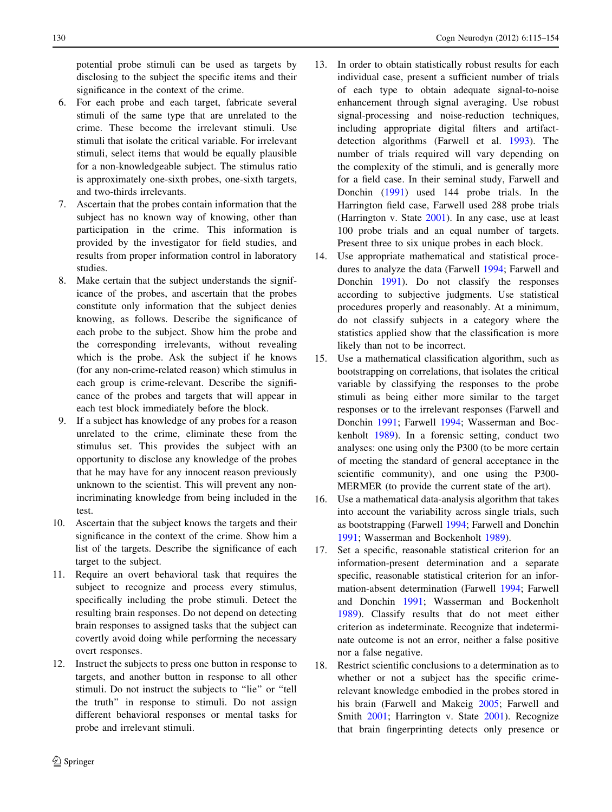potential probe stimuli can be used as targets by disclosing to the subject the specific items and their significance in the context of the crime.

- 6. For each probe and each target, fabricate several stimuli of the same type that are unrelated to the crime. These become the irrelevant stimuli. Use stimuli that isolate the critical variable. For irrelevant stimuli, select items that would be equally plausible for a non-knowledgeable subject. The stimulus ratio is approximately one-sixth probes, one-sixth targets, and two-thirds irrelevants.
- 7. Ascertain that the probes contain information that the subject has no known way of knowing, other than participation in the crime. This information is provided by the investigator for field studies, and results from proper information control in laboratory studies.
- 8. Make certain that the subject understands the significance of the probes, and ascertain that the probes constitute only information that the subject denies knowing, as follows. Describe the significance of each probe to the subject. Show him the probe and the corresponding irrelevants, without revealing which is the probe. Ask the subject if he knows (for any non-crime-related reason) which stimulus in each group is crime-relevant. Describe the significance of the probes and targets that will appear in each test block immediately before the block.
- 9. If a subject has knowledge of any probes for a reason unrelated to the crime, eliminate these from the stimulus set. This provides the subject with an opportunity to disclose any knowledge of the probes that he may have for any innocent reason previously unknown to the scientist. This will prevent any nonincriminating knowledge from being included in the test.
- 10. Ascertain that the subject knows the targets and their significance in the context of the crime. Show him a list of the targets. Describe the significance of each target to the subject.
- 11. Require an overt behavioral task that requires the subject to recognize and process every stimulus, specifically including the probe stimuli. Detect the resulting brain responses. Do not depend on detecting brain responses to assigned tasks that the subject can covertly avoid doing while performing the necessary overt responses.
- 12. Instruct the subjects to press one button in response to targets, and another button in response to all other stimuli. Do not instruct the subjects to ''lie'' or ''tell the truth'' in response to stimuli. Do not assign different behavioral responses or mental tasks for probe and irrelevant stimuli.
- 13. In order to obtain statistically robust results for each individual case, present a sufficient number of trials of each type to obtain adequate signal-to-noise enhancement through signal averaging. Use robust signal-processing and noise-reduction techniques, including appropriate digital filters and artifactdetection algorithms (Farwell et al. [1993\)](#page-37-0). The number of trials required will vary depending on the complexity of the stimuli, and is generally more for a field case. In their seminal study, Farwell and Donchin [\(1991](#page-37-0)) used 144 probe trials. In the Harrington field case, Farwell used 288 probe trials (Harrington v. State [2001](#page-37-0)). In any case, use at least 100 probe trials and an equal number of targets. Present three to six unique probes in each block.
- 14. Use appropriate mathematical and statistical procedures to analyze the data (Farwell [1994](#page-36-0); Farwell and Donchin [1991](#page-37-0)). Do not classify the responses according to subjective judgments. Use statistical procedures properly and reasonably. At a minimum, do not classify subjects in a category where the statistics applied show that the classification is more likely than not to be incorrect.
- 15. Use a mathematical classification algorithm, such as bootstrapping on correlations, that isolates the critical variable by classifying the responses to the probe stimuli as being either more similar to the target responses or to the irrelevant responses (Farwell and Donchin [1991](#page-37-0); Farwell [1994;](#page-36-0) Wasserman and Bockenholt [1989](#page-39-0)). In a forensic setting, conduct two analyses: one using only the P300 (to be more certain of meeting the standard of general acceptance in the scientific community), and one using the P300- MERMER (to provide the current state of the art).
- 16. Use a mathematical data-analysis algorithm that takes into account the variability across single trials, such as bootstrapping (Farwell [1994;](#page-36-0) Farwell and Donchin [1991;](#page-37-0) Wasserman and Bockenholt [1989\)](#page-39-0).
- 17. Set a specific, reasonable statistical criterion for an information-present determination and a separate specific, reasonable statistical criterion for an information-absent determination (Farwell [1994;](#page-36-0) Farwell and Donchin [1991](#page-37-0); Wasserman and Bockenholt [1989\)](#page-39-0). Classify results that do not meet either criterion as indeterminate. Recognize that indeterminate outcome is not an error, neither a false positive nor a false negative.
- 18. Restrict scientific conclusions to a determination as to whether or not a subject has the specific crimerelevant knowledge embodied in the probes stored in his brain (Farwell and Makeig [2005;](#page-37-0) Farwell and Smith [2001](#page-37-0); Harrington v. State [2001](#page-37-0)). Recognize that brain fingerprinting detects only presence or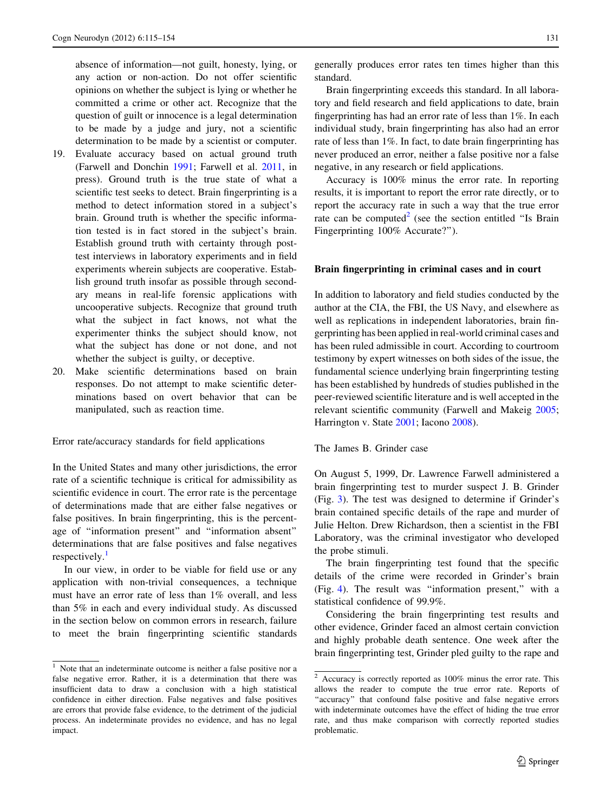absence of information—not guilt, honesty, lying, or any action or non-action. Do not offer scientific opinions on whether the subject is lying or whether he committed a crime or other act. Recognize that the question of guilt or innocence is a legal determination to be made by a judge and jury, not a scientific determination to be made by a scientist or computer.

- 19. Evaluate accuracy based on actual ground truth (Farwell and Donchin [1991](#page-37-0); Farwell et al. [2011,](#page-37-0) in press). Ground truth is the true state of what a scientific test seeks to detect. Brain fingerprinting is a method to detect information stored in a subject's brain. Ground truth is whether the specific information tested is in fact stored in the subject's brain. Establish ground truth with certainty through posttest interviews in laboratory experiments and in field experiments wherein subjects are cooperative. Establish ground truth insofar as possible through secondary means in real-life forensic applications with uncooperative subjects. Recognize that ground truth what the subject in fact knows, not what the experimenter thinks the subject should know, not what the subject has done or not done, and not whether the subject is guilty, or deceptive.
- 20. Make scientific determinations based on brain responses. Do not attempt to make scientific determinations based on overt behavior that can be manipulated, such as reaction time.

Error rate/accuracy standards for field applications

In the United States and many other jurisdictions, the error rate of a scientific technique is critical for admissibility as scientific evidence in court. The error rate is the percentage of determinations made that are either false negatives or false positives. In brain fingerprinting, this is the percentage of ''information present'' and ''information absent'' determinations that are false positives and false negatives respectively.<sup>1</sup>

In our view, in order to be viable for field use or any application with non-trivial consequences, a technique must have an error rate of less than 1% overall, and less than 5% in each and every individual study. As discussed in the section below on common errors in research, failure to meet the brain fingerprinting scientific standards generally produces error rates ten times higher than this standard.

Brain fingerprinting exceeds this standard. In all laboratory and field research and field applications to date, brain fingerprinting has had an error rate of less than 1%. In each individual study, brain fingerprinting has also had an error rate of less than 1%. In fact, to date brain fingerprinting has never produced an error, neither a false positive nor a false negative, in any research or field applications.

Accuracy is 100% minus the error rate. In reporting results, it is important to report the error rate directly, or to report the accuracy rate in such a way that the true error rate can be computed<sup>2</sup> (see the section entitled "Is Brain Fingerprinting 100% Accurate?'').

#### Brain fingerprinting in criminal cases and in court

In addition to laboratory and field studies conducted by the author at the CIA, the FBI, the US Navy, and elsewhere as well as replications in independent laboratories, brain fingerprinting has been applied in real-world criminal cases and has been ruled admissible in court. According to courtroom testimony by expert witnesses on both sides of the issue, the fundamental science underlying brain fingerprinting testing has been established by hundreds of studies published in the peer-reviewed scientific literature and is well accepted in the relevant scientific community (Farwell and Makeig [2005](#page-37-0); Harrington v. State [2001](#page-37-0); Iacono [2008](#page-37-0)).

The James B. Grinder case

On August 5, 1999, Dr. Lawrence Farwell administered a brain fingerprinting test to murder suspect J. B. Grinder (Fig. [3\)](#page-17-0). The test was designed to determine if Grinder's brain contained specific details of the rape and murder of Julie Helton. Drew Richardson, then a scientist in the FBI Laboratory, was the criminal investigator who developed the probe stimuli.

The brain fingerprinting test found that the specific details of the crime were recorded in Grinder's brain (Fig. [4\)](#page-17-0). The result was ''information present,'' with a statistical confidence of 99.9%.

Considering the brain fingerprinting test results and other evidence, Grinder faced an almost certain conviction and highly probable death sentence. One week after the brain fingerprinting test, Grinder pled guilty to the rape and

<sup>&</sup>lt;sup>1</sup> Note that an indeterminate outcome is neither a false positive nor a false negative error. Rather, it is a determination that there was insufficient data to draw a conclusion with a high statistical confidence in either direction. False negatives and false positives are errors that provide false evidence, to the detriment of the judicial process. An indeterminate provides no evidence, and has no legal impact.

<sup>2</sup> Accuracy is correctly reported as 100% minus the error rate. This allows the reader to compute the true error rate. Reports of "accuracy" that confound false positive and false negative errors with indeterminate outcomes have the effect of hiding the true error rate, and thus make comparison with correctly reported studies problematic.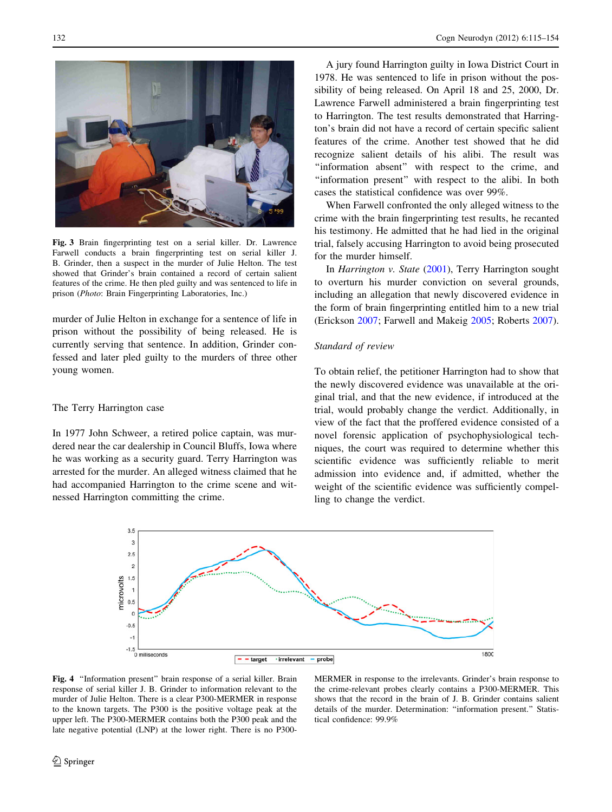<span id="page-17-0"></span>

Fig. 3 Brain fingerprinting test on a serial killer. Dr. Lawrence Farwell conducts a brain fingerprinting test on serial killer J. B. Grinder, then a suspect in the murder of Julie Helton. The test showed that Grinder's brain contained a record of certain salient features of the crime. He then pled guilty and was sentenced to life in prison (Photo: Brain Fingerprinting Laboratories, Inc.)

murder of Julie Helton in exchange for a sentence of life in prison without the possibility of being released. He is currently serving that sentence. In addition, Grinder confessed and later pled guilty to the murders of three other young women.

## The Terry Harrington case

In 1977 John Schweer, a retired police captain, was murdered near the car dealership in Council Bluffs, Iowa where he was working as a security guard. Terry Harrington was arrested for the murder. An alleged witness claimed that he had accompanied Harrington to the crime scene and witnessed Harrington committing the crime.

A jury found Harrington guilty in Iowa District Court in 1978. He was sentenced to life in prison without the possibility of being released. On April 18 and 25, 2000, Dr. Lawrence Farwell administered a brain fingerprinting test to Harrington. The test results demonstrated that Harrington's brain did not have a record of certain specific salient features of the crime. Another test showed that he did recognize salient details of his alibi. The result was "information absent" with respect to the crime, and ''information present'' with respect to the alibi. In both cases the statistical confidence was over 99%.

When Farwell confronted the only alleged witness to the crime with the brain fingerprinting test results, he recanted his testimony. He admitted that he had lied in the original trial, falsely accusing Harrington to avoid being prosecuted for the murder himself.

In Harrington v. State [\(2001](#page-37-0)), Terry Harrington sought to overturn his murder conviction on several grounds, including an allegation that newly discovered evidence in the form of brain fingerprinting entitled him to a new trial (Erickson [2007](#page-36-0); Farwell and Makeig [2005](#page-37-0); Roberts [2007](#page-38-0)).

# Standard of review

To obtain relief, the petitioner Harrington had to show that the newly discovered evidence was unavailable at the original trial, and that the new evidence, if introduced at the trial, would probably change the verdict. Additionally, in view of the fact that the proffered evidence consisted of a novel forensic application of psychophysiological techniques, the court was required to determine whether this scientific evidence was sufficiently reliable to merit admission into evidence and, if admitted, whether the weight of the scientific evidence was sufficiently compelling to change the verdict.



Fig. 4 ''Information present'' brain response of a serial killer. Brain response of serial killer J. B. Grinder to information relevant to the murder of Julie Helton. There is a clear P300-MERMER in response to the known targets. The P300 is the positive voltage peak at the upper left. The P300-MERMER contains both the P300 peak and the late negative potential (LNP) at the lower right. There is no P300-

MERMER in response to the irrelevants. Grinder's brain response to the crime-relevant probes clearly contains a P300-MERMER. This shows that the record in the brain of J. B. Grinder contains salient details of the murder. Determination: "information present." Statistical confidence: 99.9%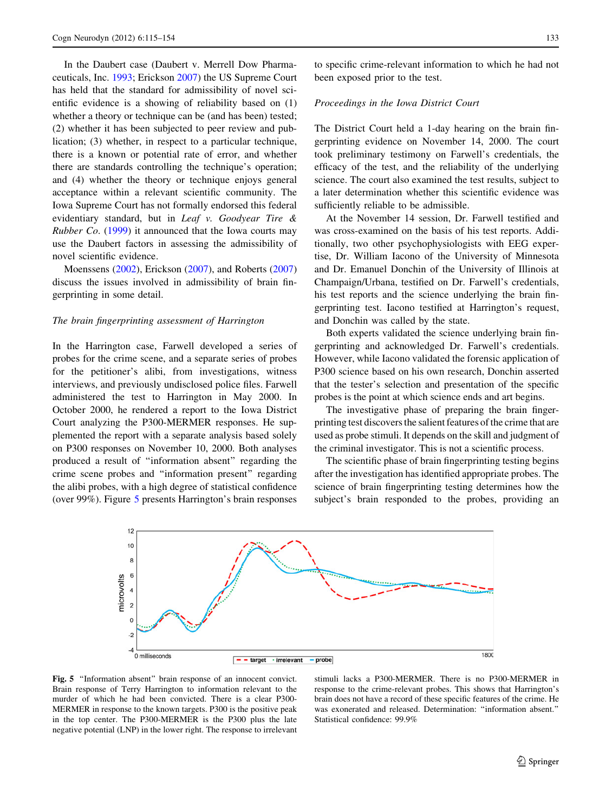In the Daubert case (Daubert v. Merrell Dow Pharmaceuticals, Inc. [1993;](#page-36-0) Erickson [2007](#page-36-0)) the US Supreme Court has held that the standard for admissibility of novel scientific evidence is a showing of reliability based on (1) whether a theory or technique can be (and has been) tested; (2) whether it has been subjected to peer review and publication; (3) whether, in respect to a particular technique, there is a known or potential rate of error, and whether there are standards controlling the technique's operation; and (4) whether the theory or technique enjoys general acceptance within a relevant scientific community. The Iowa Supreme Court has not formally endorsed this federal evidentiary standard, but in Leaf v. Goodyear Tire & Rubber Co. ([1999\)](#page-38-0) it announced that the Iowa courts may use the Daubert factors in assessing the admissibility of novel scientific evidence.

Moenssens ([2002\)](#page-38-0), Erickson ([2007\)](#page-36-0), and Roberts ([2007\)](#page-38-0) discuss the issues involved in admissibility of brain fingerprinting in some detail.

#### The brain fingerprinting assessment of Harrington

In the Harrington case, Farwell developed a series of probes for the crime scene, and a separate series of probes for the petitioner's alibi, from investigations, witness interviews, and previously undisclosed police files. Farwell administered the test to Harrington in May 2000. In October 2000, he rendered a report to the Iowa District Court analyzing the P300-MERMER responses. He supplemented the report with a separate analysis based solely on P300 responses on November 10, 2000. Both analyses produced a result of ''information absent'' regarding the crime scene probes and ''information present'' regarding the alibi probes, with a high degree of statistical confidence (over 99%). Figure 5 presents Harrington's brain responses to specific crime-relevant information to which he had not been exposed prior to the test.

#### Proceedings in the Iowa District Court

The District Court held a 1-day hearing on the brain fingerprinting evidence on November 14, 2000. The court took preliminary testimony on Farwell's credentials, the efficacy of the test, and the reliability of the underlying science. The court also examined the test results, subject to a later determination whether this scientific evidence was sufficiently reliable to be admissible.

At the November 14 session, Dr. Farwell testified and was cross-examined on the basis of his test reports. Additionally, two other psychophysiologists with EEG expertise, Dr. William Iacono of the University of Minnesota and Dr. Emanuel Donchin of the University of Illinois at Champaign/Urbana, testified on Dr. Farwell's credentials, his test reports and the science underlying the brain fingerprinting test. Iacono testified at Harrington's request, and Donchin was called by the state.

Both experts validated the science underlying brain fingerprinting and acknowledged Dr. Farwell's credentials. However, while Iacono validated the forensic application of P300 science based on his own research, Donchin asserted that the tester's selection and presentation of the specific probes is the point at which science ends and art begins.

The investigative phase of preparing the brain fingerprinting test discovers the salient features of the crime that are used as probe stimuli. It depends on the skill and judgment of the criminal investigator. This is not a scientific process.

The scientific phase of brain fingerprinting testing begins after the investigation has identified appropriate probes. The science of brain fingerprinting testing determines how the subject's brain responded to the probes, providing an



Fig. 5 "Information absent" brain response of an innocent convict. Brain response of Terry Harrington to information relevant to the murder of which he had been convicted. There is a clear P300- MERMER in response to the known targets. P300 is the positive peak in the top center. The P300-MERMER is the P300 plus the late negative potential (LNP) in the lower right. The response to irrelevant

stimuli lacks a P300-MERMER. There is no P300-MERMER in response to the crime-relevant probes. This shows that Harrington's brain does not have a record of these specific features of the crime. He was exonerated and released. Determination: ''information absent.'' Statistical confidence: 99.9%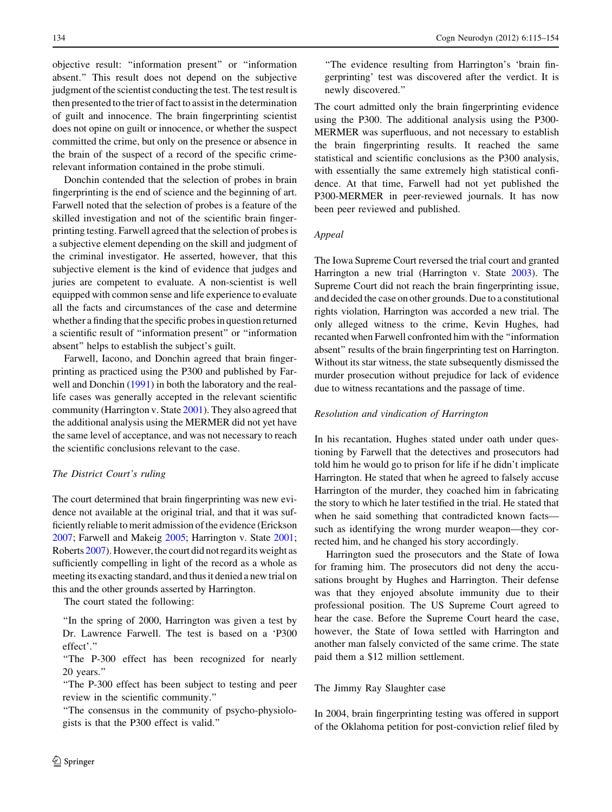objective result: ''information present'' or ''information absent.'' This result does not depend on the subjective judgment of the scientist conducting the test. The test result is then presented to the trier of fact to assist in the determination of guilt and innocence. The brain fingerprinting scientist does not opine on guilt or innocence, or whether the suspect committed the crime, but only on the presence or absence in the brain of the suspect of a record of the specific crimerelevant information contained in the probe stimuli.

Donchin contended that the selection of probes in brain fingerprinting is the end of science and the beginning of art. Farwell noted that the selection of probes is a feature of the skilled investigation and not of the scientific brain fingerprinting testing. Farwell agreed that the selection of probes is a subjective element depending on the skill and judgment of the criminal investigator. He asserted, however, that this subjective element is the kind of evidence that judges and juries are competent to evaluate. A non-scientist is well equipped with common sense and life experience to evaluate all the facts and circumstances of the case and determine whether a finding that the specific probes in question returned a scientific result of ''information present'' or ''information absent'' helps to establish the subject's guilt.

Farwell, Iacono, and Donchin agreed that brain fingerprinting as practiced using the P300 and published by Farwell and Donchin ([1991\)](#page-37-0) in both the laboratory and the reallife cases was generally accepted in the relevant scientific community (Harrington v. State [2001](#page-37-0)). They also agreed that the additional analysis using the MERMER did not yet have the same level of acceptance, and was not necessary to reach the scientific conclusions relevant to the case.

#### The District Court's ruling

The court determined that brain fingerprinting was new evidence not available at the original trial, and that it was sufficiently reliable to merit admission of the evidence (Erickson [2007;](#page-36-0) Farwell and Makeig [2005;](#page-37-0) Harrington v. State [2001](#page-37-0); Roberts [2007](#page-38-0)). However, the court did not regard its weight as sufficiently compelling in light of the record as a whole as meeting its exacting standard, and thus it denied a new trial on this and the other grounds asserted by Harrington.

The court stated the following:

''In the spring of 2000, Harrington was given a test by Dr. Lawrence Farwell. The test is based on a 'P300 effect'.''

''The P-300 effect has been recognized for nearly 20 years.''

''The P-300 effect has been subject to testing and peer review in the scientific community.''

''The consensus in the community of psycho-physiologists is that the P300 effect is valid.''

''The evidence resulting from Harrington's 'brain fingerprinting' test was discovered after the verdict. It is newly discovered.''

The court admitted only the brain fingerprinting evidence using the P300. The additional analysis using the P300- MERMER was superfluous, and not necessary to establish the brain fingerprinting results. It reached the same statistical and scientific conclusions as the P300 analysis, with essentially the same extremely high statistical confidence. At that time, Farwell had not yet published the P300-MERMER in peer-reviewed journals. It has now been peer reviewed and published.

# Appeal

The Iowa Supreme Court reversed the trial court and granted Harrington a new trial (Harrington v. State [2003\)](#page-37-0). The Supreme Court did not reach the brain fingerprinting issue, and decided the case on other grounds. Due to a constitutional rights violation, Harrington was accorded a new trial. The only alleged witness to the crime, Kevin Hughes, had recanted when Farwell confronted him with the ''information absent'' results of the brain fingerprinting test on Harrington. Without its star witness, the state subsequently dismissed the murder prosecution without prejudice for lack of evidence due to witness recantations and the passage of time.

# Resolution and vindication of Harrington

In his recantation, Hughes stated under oath under questioning by Farwell that the detectives and prosecutors had told him he would go to prison for life if he didn't implicate Harrington. He stated that when he agreed to falsely accuse Harrington of the murder, they coached him in fabricating the story to which he later testified in the trial. He stated that when he said something that contradicted known facts such as identifying the wrong murder weapon—they corrected him, and he changed his story accordingly.

Harrington sued the prosecutors and the State of Iowa for framing him. The prosecutors did not deny the accusations brought by Hughes and Harrington. Their defense was that they enjoyed absolute immunity due to their professional position. The US Supreme Court agreed to hear the case. Before the Supreme Court heard the case, however, the State of Iowa settled with Harrington and another man falsely convicted of the same crime. The state paid them a \$12 million settlement.

# The Jimmy Ray Slaughter case

In 2004, brain fingerprinting testing was offered in support of the Oklahoma petition for post-conviction relief filed by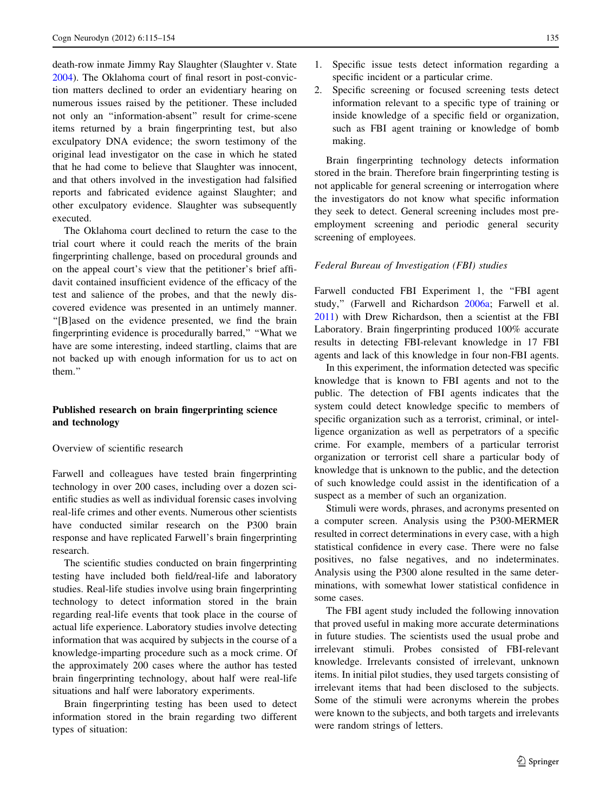death-row inmate Jimmy Ray Slaughter (Slaughter v. State [2004\)](#page-39-0). The Oklahoma court of final resort in post-conviction matters declined to order an evidentiary hearing on numerous issues raised by the petitioner. These included not only an ''information-absent'' result for crime-scene items returned by a brain fingerprinting test, but also exculpatory DNA evidence; the sworn testimony of the original lead investigator on the case in which he stated that he had come to believe that Slaughter was innocent, and that others involved in the investigation had falsified reports and fabricated evidence against Slaughter; and other exculpatory evidence. Slaughter was subsequently executed.

The Oklahoma court declined to return the case to the trial court where it could reach the merits of the brain fingerprinting challenge, based on procedural grounds and on the appeal court's view that the petitioner's brief affidavit contained insufficient evidence of the efficacy of the test and salience of the probes, and that the newly discovered evidence was presented in an untimely manner. ''[B]ased on the evidence presented, we find the brain fingerprinting evidence is procedurally barred,'' ''What we have are some interesting, indeed startling, claims that are not backed up with enough information for us to act on them.''

# Published research on brain fingerprinting science and technology

## Overview of scientific research

Farwell and colleagues have tested brain fingerprinting technology in over 200 cases, including over a dozen scientific studies as well as individual forensic cases involving real-life crimes and other events. Numerous other scientists have conducted similar research on the P300 brain response and have replicated Farwell's brain fingerprinting research.

The scientific studies conducted on brain fingerprinting testing have included both field/real-life and laboratory studies. Real-life studies involve using brain fingerprinting technology to detect information stored in the brain regarding real-life events that took place in the course of actual life experience. Laboratory studies involve detecting information that was acquired by subjects in the course of a knowledge-imparting procedure such as a mock crime. Of the approximately 200 cases where the author has tested brain fingerprinting technology, about half were real-life situations and half were laboratory experiments.

Brain fingerprinting testing has been used to detect information stored in the brain regarding two different types of situation:

- 1. Specific issue tests detect information regarding a specific incident or a particular crime.
- 2. Specific screening or focused screening tests detect information relevant to a specific type of training or inside knowledge of a specific field or organization, such as FBI agent training or knowledge of bomb making.

Brain fingerprinting technology detects information stored in the brain. Therefore brain fingerprinting testing is not applicable for general screening or interrogation where the investigators do not know what specific information they seek to detect. General screening includes most preemployment screening and periodic general security screening of employees.

### Federal Bureau of Investigation (FBI) studies

Farwell conducted FBI Experiment 1, the "FBI agent study,'' (Farwell and Richardson [2006a;](#page-37-0) Farwell et al. [2011](#page-37-0)) with Drew Richardson, then a scientist at the FBI Laboratory. Brain fingerprinting produced 100% accurate results in detecting FBI-relevant knowledge in 17 FBI agents and lack of this knowledge in four non-FBI agents.

In this experiment, the information detected was specific knowledge that is known to FBI agents and not to the public. The detection of FBI agents indicates that the system could detect knowledge specific to members of specific organization such as a terrorist, criminal, or intelligence organization as well as perpetrators of a specific crime. For example, members of a particular terrorist organization or terrorist cell share a particular body of knowledge that is unknown to the public, and the detection of such knowledge could assist in the identification of a suspect as a member of such an organization.

Stimuli were words, phrases, and acronyms presented on a computer screen. Analysis using the P300-MERMER resulted in correct determinations in every case, with a high statistical confidence in every case. There were no false positives, no false negatives, and no indeterminates. Analysis using the P300 alone resulted in the same determinations, with somewhat lower statistical confidence in some cases.

The FBI agent study included the following innovation that proved useful in making more accurate determinations in future studies. The scientists used the usual probe and irrelevant stimuli. Probes consisted of FBI-relevant knowledge. Irrelevants consisted of irrelevant, unknown items. In initial pilot studies, they used targets consisting of irrelevant items that had been disclosed to the subjects. Some of the stimuli were acronyms wherein the probes were known to the subjects, and both targets and irrelevants were random strings of letters.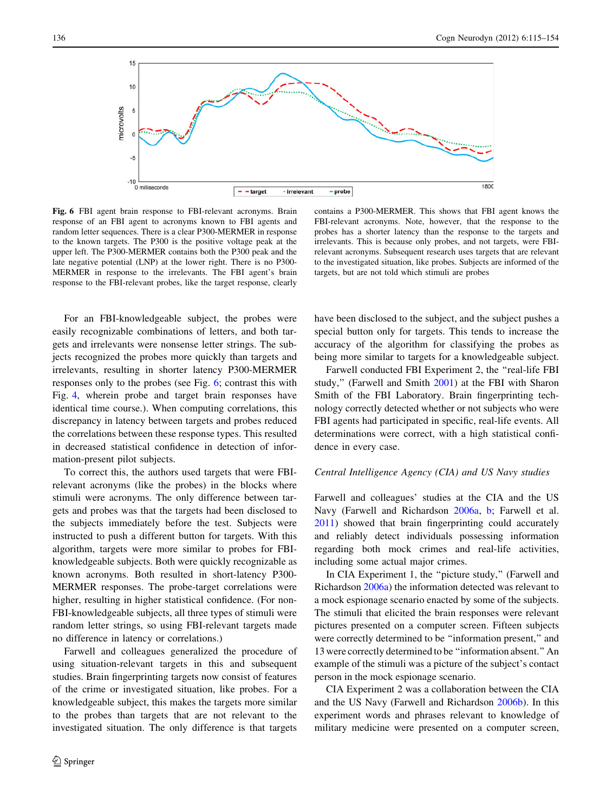

Fig. 6 FBI agent brain response to FBI-relevant acronyms. Brain response of an FBI agent to acronyms known to FBI agents and random letter sequences. There is a clear P300-MERMER in response to the known targets. The P300 is the positive voltage peak at the upper left. The P300-MERMER contains both the P300 peak and the late negative potential (LNP) at the lower right. There is no P300- MERMER in response to the irrelevants. The FBI agent's brain response to the FBI-relevant probes, like the target response, clearly

contains a P300-MERMER. This shows that FBI agent knows the FBI-relevant acronyms. Note, however, that the response to the probes has a shorter latency than the response to the targets and irrelevants. This is because only probes, and not targets, were FBIrelevant acronyms. Subsequent research uses targets that are relevant to the investigated situation, like probes. Subjects are informed of the targets, but are not told which stimuli are probes

For an FBI-knowledgeable subject, the probes were easily recognizable combinations of letters, and both targets and irrelevants were nonsense letter strings. The subjects recognized the probes more quickly than targets and irrelevants, resulting in shorter latency P300-MERMER responses only to the probes (see Fig. 6; contrast this with Fig. [4](#page-17-0), wherein probe and target brain responses have identical time course.). When computing correlations, this discrepancy in latency between targets and probes reduced the correlations between these response types. This resulted in decreased statistical confidence in detection of information-present pilot subjects.

To correct this, the authors used targets that were FBIrelevant acronyms (like the probes) in the blocks where stimuli were acronyms. The only difference between targets and probes was that the targets had been disclosed to the subjects immediately before the test. Subjects were instructed to push a different button for targets. With this algorithm, targets were more similar to probes for FBIknowledgeable subjects. Both were quickly recognizable as known acronyms. Both resulted in short-latency P300- MERMER responses. The probe-target correlations were higher, resulting in higher statistical confidence. (For non-FBI-knowledgeable subjects, all three types of stimuli were random letter strings, so using FBI-relevant targets made no difference in latency or correlations.)

Farwell and colleagues generalized the procedure of using situation-relevant targets in this and subsequent studies. Brain fingerprinting targets now consist of features of the crime or investigated situation, like probes. For a knowledgeable subject, this makes the targets more similar to the probes than targets that are not relevant to the investigated situation. The only difference is that targets have been disclosed to the subject, and the subject pushes a special button only for targets. This tends to increase the accuracy of the algorithm for classifying the probes as being more similar to targets for a knowledgeable subject.

Farwell conducted FBI Experiment 2, the "real-life FBI study,'' (Farwell and Smith [2001](#page-37-0)) at the FBI with Sharon Smith of the FBI Laboratory. Brain fingerprinting technology correctly detected whether or not subjects who were FBI agents had participated in specific, real-life events. All determinations were correct, with a high statistical confidence in every case.

#### Central Intelligence Agency (CIA) and US Navy studies

Farwell and colleagues' studies at the CIA and the US Navy (Farwell and Richardson [2006a](#page-37-0), [b;](#page-37-0) Farwell et al. [2011](#page-37-0)) showed that brain fingerprinting could accurately and reliably detect individuals possessing information regarding both mock crimes and real-life activities, including some actual major crimes.

In CIA Experiment 1, the "picture study," (Farwell and Richardson [2006a](#page-37-0)) the information detected was relevant to a mock espionage scenario enacted by some of the subjects. The stimuli that elicited the brain responses were relevant pictures presented on a computer screen. Fifteen subjects were correctly determined to be "information present," and 13 were correctly determined to be ''information absent.'' An example of the stimuli was a picture of the subject's contact person in the mock espionage scenario.

CIA Experiment 2 was a collaboration between the CIA and the US Navy (Farwell and Richardson [2006b](#page-37-0)). In this experiment words and phrases relevant to knowledge of military medicine were presented on a computer screen,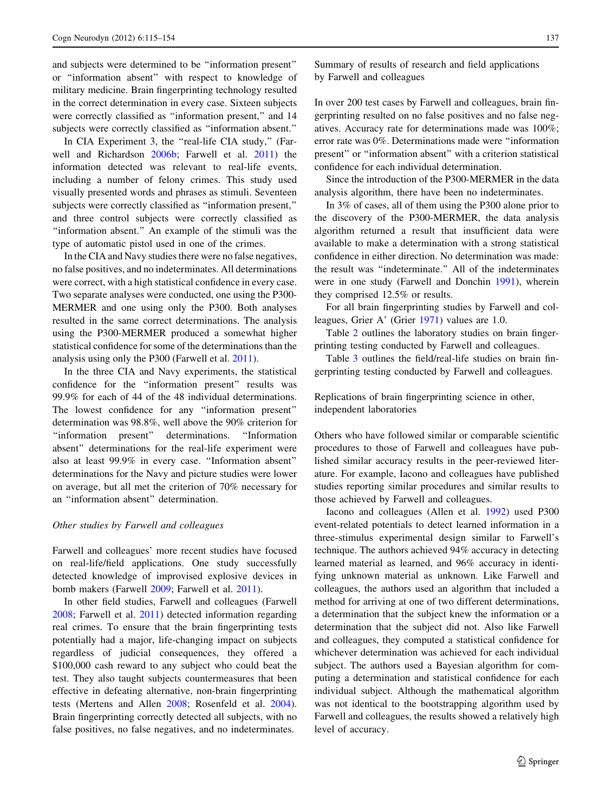and subjects were determined to be ''information present'' or ''information absent'' with respect to knowledge of military medicine. Brain fingerprinting technology resulted in the correct determination in every case. Sixteen subjects were correctly classified as "information present," and 14 subjects were correctly classified as ''information absent.''

In CIA Experiment 3, the "real-life CIA study," (Farwell and Richardson [2006b;](#page-37-0) Farwell et al. [2011](#page-37-0)) the information detected was relevant to real-life events, including a number of felony crimes. This study used visually presented words and phrases as stimuli. Seventeen subjects were correctly classified as ''information present,'' and three control subjects were correctly classified as "information absent." An example of the stimuli was the type of automatic pistol used in one of the crimes.

In the CIA and Navy studies there were no false negatives, no false positives, and no indeterminates. All determinations were correct, with a high statistical confidence in every case. Two separate analyses were conducted, one using the P300- MERMER and one using only the P300. Both analyses resulted in the same correct determinations. The analysis using the P300-MERMER produced a somewhat higher statistical confidence for some of the determinations than the analysis using only the P300 (Farwell et al. [2011](#page-37-0)).

In the three CIA and Navy experiments, the statistical confidence for the ''information present'' results was 99.9% for each of 44 of the 48 individual determinations. The lowest confidence for any ''information present'' determination was 98.8%, well above the 90% criterion for ''information present'' determinations. ''Information absent'' determinations for the real-life experiment were also at least 99.9% in every case. ''Information absent'' determinations for the Navy and picture studies were lower on average, but all met the criterion of 70% necessary for an ''information absent'' determination.

## Other studies by Farwell and colleagues

Farwell and colleagues' more recent studies have focused on real-life/field applications. One study successfully detected knowledge of improvised explosive devices in bomb makers (Farwell [2009;](#page-37-0) Farwell et al. [2011](#page-37-0)).

In other field studies, Farwell and colleagues (Farwell [2008;](#page-37-0) Farwell et al. [2011\)](#page-37-0) detected information regarding real crimes. To ensure that the brain fingerprinting tests potentially had a major, life-changing impact on subjects regardless of judicial consequences, they offered a \$100,000 cash reward to any subject who could beat the test. They also taught subjects countermeasures that been effective in defeating alternative, non-brain fingerprinting tests (Mertens and Allen [2008](#page-38-0); Rosenfeld et al. [2004](#page-38-0)). Brain fingerprinting correctly detected all subjects, with no false positives, no false negatives, and no indeterminates.

Summary of results of research and field applications by Farwell and colleagues

In over 200 test cases by Farwell and colleagues, brain fingerprinting resulted on no false positives and no false negatives. Accuracy rate for determinations made was 100%; error rate was 0%. Determinations made were ''information present'' or ''information absent'' with a criterion statistical confidence for each individual determination.

Since the introduction of the P300-MERMER in the data analysis algorithm, there have been no indeterminates.

In 3% of cases, all of them using the P300 alone prior to the discovery of the P300-MERMER, the data analysis algorithm returned a result that insufficient data were available to make a determination with a strong statistical confidence in either direction. No determination was made: the result was ''indeterminate.'' All of the indeterminates were in one study (Farwell and Donchin [1991\)](#page-37-0), wherein they comprised 12.5% or results.

For all brain fingerprinting studies by Farwell and colleagues, Grier A' (Grier [1971\)](#page-37-0) values are 1.0.

Table [2](#page-23-0) outlines the laboratory studies on brain fingerprinting testing conducted by Farwell and colleagues.

Table [3](#page-23-0) outlines the field/real-life studies on brain fingerprinting testing conducted by Farwell and colleagues.

Replications of brain fingerprinting science in other, independent laboratories

Others who have followed similar or comparable scientific procedures to those of Farwell and colleagues have published similar accuracy results in the peer-reviewed literature. For example, Iacono and colleagues have published studies reporting similar procedures and similar results to those achieved by Farwell and colleagues.

Iacono and colleagues (Allen et al. [1992\)](#page-36-0) used P300 event-related potentials to detect learned information in a three-stimulus experimental design similar to Farwell's technique. The authors achieved 94% accuracy in detecting learned material as learned, and 96% accuracy in identifying unknown material as unknown. Like Farwell and colleagues, the authors used an algorithm that included a method for arriving at one of two different determinations, a determination that the subject knew the information or a determination that the subject did not. Also like Farwell and colleagues, they computed a statistical confidence for whichever determination was achieved for each individual subject. The authors used a Bayesian algorithm for computing a determination and statistical confidence for each individual subject. Although the mathematical algorithm was not identical to the bootstrapping algorithm used by Farwell and colleagues, the results showed a relatively high level of accuracy.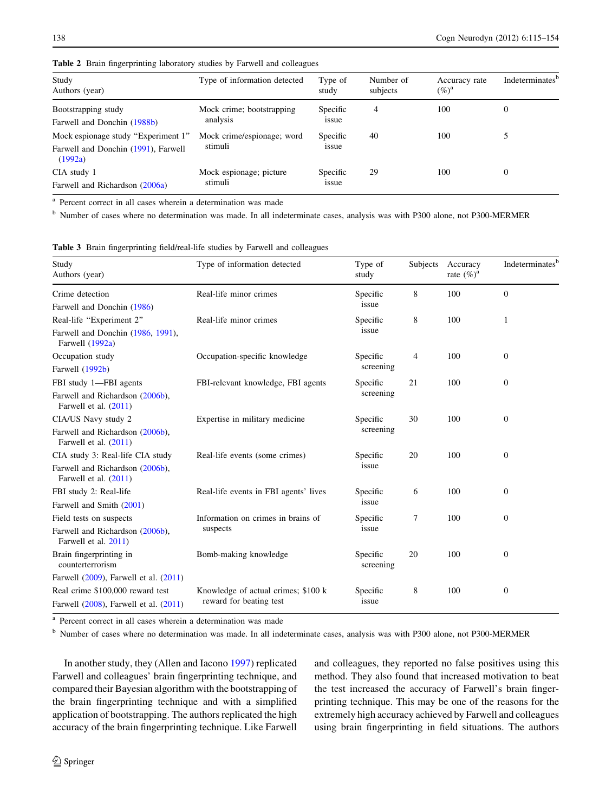| Study<br>Authors (year)                                                               | Type of information detected          | Type of<br>study        | Number of<br>subjects | Accuracy rate<br>$(\%)^{\rm a}$ | Indeterminates <sup>b</sup> |
|---------------------------------------------------------------------------------------|---------------------------------------|-------------------------|-----------------------|---------------------------------|-----------------------------|
| Bootstrapping study<br>Farwell and Donchin (1988b)                                    | Mock crime; bootstrapping<br>analysis | Specific<br>issue       | $\overline{4}$        | 100                             | 0                           |
| Mock espionage study "Experiment 1"<br>Farwell and Donchin (1991), Farwell<br>(1992a) | Mock crime/espionage; word<br>stimuli | Specific<br>issue       | 40                    | 100                             |                             |
| CIA study 1<br>Farwell and Richardson (2006a)                                         | Mock espionage; picture<br>stimuli    | Specific<br><i>ssue</i> | 29                    | 100                             |                             |

<span id="page-23-0"></span>Table 2 Brain fingerprinting laboratory studies by Farwell and colleagues

<sup>a</sup> Percent correct in all cases wherein a determination was made

<sup>b</sup> Number of cases where no determination was made. In all indeterminate cases, analysis was with P300 alone, not P300-MERMER

Study Authors (year) Type of information detected Type of study Subjects Accuracy rate  $(\%)^{\circ}$ Indeterminates<sup>t</sup> Crime detection Farwell and Donchin ([1986\)](#page-37-0) Real-life minor crimes Specific issue 8 100 0 Real-life "Experiment 2" Farwell and Donchin ([1986,](#page-37-0) [1991\)](#page-37-0), Farwell ([1992a](#page-36-0)) Real-life minor crimes Specific issue 8 100 1 Occupation study Farwell ([1992b\)](#page-36-0) Occupation-specific knowledge Specific screening 4 100 0 FBI study 1—FBI agents Farwell and Richardson [\(2006b](#page-37-0)), Farwell et al. ([2011\)](#page-37-0) FBI-relevant knowledge, FBI agents Specific screening 21 100 0 CIA/US Navy study 2 Farwell and Richardson [\(2006b](#page-37-0)), Farwell et al. ([2011\)](#page-37-0) Expertise in military medicine Specific screening 30 100 0 CIA study 3: Real-life CIA study Farwell and Richardson [\(2006b](#page-37-0)), Farwell et al. ([2011\)](#page-37-0) Real-life events (some crimes) Specific issue 20 100 0 FBI study 2: Real-life Farwell and Smith ([2001\)](#page-37-0) Real-life events in FBI agents' lives Specific issue 6 100 0 Field tests on suspects Farwell and Richardson [\(2006b](#page-37-0)), Farwell et al. [2011\)](#page-37-0) Information on crimes in brains of suspects Specific issue 7 100 0 Brain fingerprinting in counterterrorism Farwell ([2009\)](#page-37-0), Farwell et al. ([2011\)](#page-37-0) Bomb-making knowledge Specific screening 20 100 0 Real crime \$100,000 reward test Farwell ([2008\)](#page-37-0), Farwell et al. ([2011\)](#page-37-0) Knowledge of actual crimes; \$100 k reward for beating test Specific issue 8 100 0

Table 3 Brain fingerprinting field/real-life studies by Farwell and colleagues

<sup>a</sup> Percent correct in all cases wherein a determination was made

<sup>b</sup> Number of cases where no determination was made. In all indeterminate cases, analysis was with P300 alone, not P300-MERMER

In another study, they (Allen and Iacono [1997](#page-36-0)) replicated Farwell and colleagues' brain fingerprinting technique, and compared their Bayesian algorithm with the bootstrapping of the brain fingerprinting technique and with a simplified application of bootstrapping. The authors replicated the high accuracy of the brain fingerprinting technique. Like Farwell

and colleagues, they reported no false positives using this method. They also found that increased motivation to beat the test increased the accuracy of Farwell's brain fingerprinting technique. This may be one of the reasons for the extremely high accuracy achieved by Farwell and colleagues using brain fingerprinting in field situations. The authors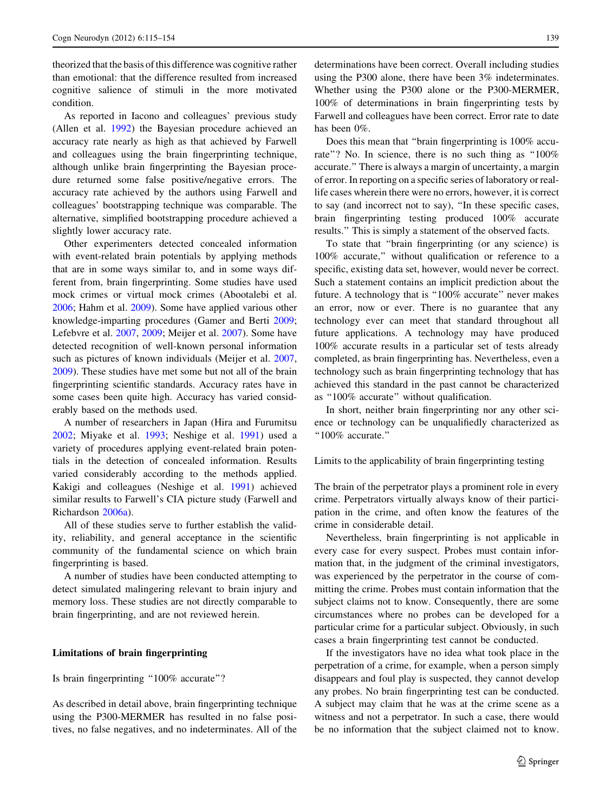theorized that the basis of this difference was cognitive rather than emotional: that the difference resulted from increased cognitive salience of stimuli in the more motivated condition.

As reported in Iacono and colleagues' previous study (Allen et al. [1992\)](#page-36-0) the Bayesian procedure achieved an accuracy rate nearly as high as that achieved by Farwell and colleagues using the brain fingerprinting technique, although unlike brain fingerprinting the Bayesian procedure returned some false positive/negative errors. The accuracy rate achieved by the authors using Farwell and colleagues' bootstrapping technique was comparable. The alternative, simplified bootstrapping procedure achieved a slightly lower accuracy rate.

Other experimenters detected concealed information with event-related brain potentials by applying methods that are in some ways similar to, and in some ways different from, brain fingerprinting. Some studies have used mock crimes or virtual mock crimes (Abootalebi et al. [2006;](#page-36-0) Hahm et al. [2009](#page-37-0)). Some have applied various other knowledge-imparting procedures (Gamer and Berti [2009](#page-37-0); Lefebvre et al. [2007,](#page-38-0) [2009](#page-38-0); Meijer et al. [2007\)](#page-38-0). Some have detected recognition of well-known personal information such as pictures of known individuals (Meijer et al. [2007,](#page-38-0) [2009\)](#page-38-0). These studies have met some but not all of the brain fingerprinting scientific standards. Accuracy rates have in some cases been quite high. Accuracy has varied considerably based on the methods used.

A number of researchers in Japan (Hira and Furumitsu [2002;](#page-37-0) Miyake et al. [1993](#page-38-0); Neshige et al. [1991](#page-38-0)) used a variety of procedures applying event-related brain potentials in the detection of concealed information. Results varied considerably according to the methods applied. Kakigi and colleagues (Neshige et al. [1991](#page-38-0)) achieved similar results to Farwell's CIA picture study (Farwell and Richardson [2006a](#page-37-0)).

All of these studies serve to further establish the validity, reliability, and general acceptance in the scientific community of the fundamental science on which brain fingerprinting is based.

A number of studies have been conducted attempting to detect simulated malingering relevant to brain injury and memory loss. These studies are not directly comparable to brain fingerprinting, and are not reviewed herein.

#### Limitations of brain fingerprinting

Is brain fingerprinting ''100% accurate''?

As described in detail above, brain fingerprinting technique using the P300-MERMER has resulted in no false positives, no false negatives, and no indeterminates. All of the determinations have been correct. Overall including studies using the P300 alone, there have been 3% indeterminates. Whether using the P300 alone or the P300-MERMER, 100% of determinations in brain fingerprinting tests by Farwell and colleagues have been correct. Error rate to date has been 0%.

Does this mean that ''brain fingerprinting is 100% accurate"? No. In science, there is no such thing as "100%" accurate.'' There is always a margin of uncertainty, a margin of error. In reporting on a specific series of laboratory or reallife cases wherein there were no errors, however, it is correct to say (and incorrect not to say), ''In these specific cases, brain fingerprinting testing produced 100% accurate results.'' This is simply a statement of the observed facts.

To state that ''brain fingerprinting (or any science) is 100% accurate,'' without qualification or reference to a specific, existing data set, however, would never be correct. Such a statement contains an implicit prediction about the future. A technology that is "100% accurate" never makes an error, now or ever. There is no guarantee that any technology ever can meet that standard throughout all future applications. A technology may have produced 100% accurate results in a particular set of tests already completed, as brain fingerprinting has. Nevertheless, even a technology such as brain fingerprinting technology that has achieved this standard in the past cannot be characterized as "100% accurate" without qualification.

In short, neither brain fingerprinting nor any other science or technology can be unqualifiedly characterized as ''100% accurate.''

Limits to the applicability of brain fingerprinting testing

The brain of the perpetrator plays a prominent role in every crime. Perpetrators virtually always know of their participation in the crime, and often know the features of the crime in considerable detail.

Nevertheless, brain fingerprinting is not applicable in every case for every suspect. Probes must contain information that, in the judgment of the criminal investigators, was experienced by the perpetrator in the course of committing the crime. Probes must contain information that the subject claims not to know. Consequently, there are some circumstances where no probes can be developed for a particular crime for a particular subject. Obviously, in such cases a brain fingerprinting test cannot be conducted.

If the investigators have no idea what took place in the perpetration of a crime, for example, when a person simply disappears and foul play is suspected, they cannot develop any probes. No brain fingerprinting test can be conducted. A subject may claim that he was at the crime scene as a witness and not a perpetrator. In such a case, there would be no information that the subject claimed not to know.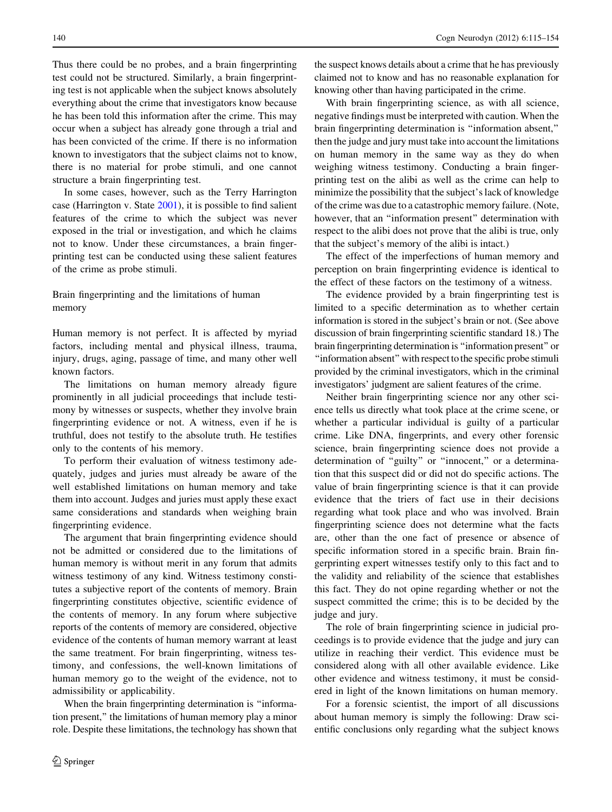Thus there could be no probes, and a brain fingerprinting test could not be structured. Similarly, a brain fingerprinting test is not applicable when the subject knows absolutely everything about the crime that investigators know because he has been told this information after the crime. This may occur when a subject has already gone through a trial and has been convicted of the crime. If there is no information known to investigators that the subject claims not to know, there is no material for probe stimuli, and one cannot structure a brain fingerprinting test.

In some cases, however, such as the Terry Harrington case (Harrington v. State [2001](#page-37-0)), it is possible to find salient features of the crime to which the subject was never exposed in the trial or investigation, and which he claims not to know. Under these circumstances, a brain fingerprinting test can be conducted using these salient features of the crime as probe stimuli.

# Brain fingerprinting and the limitations of human memory

Human memory is not perfect. It is affected by myriad factors, including mental and physical illness, trauma, injury, drugs, aging, passage of time, and many other well known factors.

The limitations on human memory already figure prominently in all judicial proceedings that include testimony by witnesses or suspects, whether they involve brain fingerprinting evidence or not. A witness, even if he is truthful, does not testify to the absolute truth. He testifies only to the contents of his memory.

To perform their evaluation of witness testimony adequately, judges and juries must already be aware of the well established limitations on human memory and take them into account. Judges and juries must apply these exact same considerations and standards when weighing brain fingerprinting evidence.

The argument that brain fingerprinting evidence should not be admitted or considered due to the limitations of human memory is without merit in any forum that admits witness testimony of any kind. Witness testimony constitutes a subjective report of the contents of memory. Brain fingerprinting constitutes objective, scientific evidence of the contents of memory. In any forum where subjective reports of the contents of memory are considered, objective evidence of the contents of human memory warrant at least the same treatment. For brain fingerprinting, witness testimony, and confessions, the well-known limitations of human memory go to the weight of the evidence, not to admissibility or applicability.

When the brain fingerprinting determination is "information present,'' the limitations of human memory play a minor role. Despite these limitations, the technology has shown that

the suspect knows details about a crime that he has previously claimed not to know and has no reasonable explanation for knowing other than having participated in the crime.

With brain fingerprinting science, as with all science, negative findings must be interpreted with caution. When the brain fingerprinting determination is ''information absent,'' then the judge and jury must take into account the limitations on human memory in the same way as they do when weighing witness testimony. Conducting a brain fingerprinting test on the alibi as well as the crime can help to minimize the possibility that the subject's lack of knowledge of the crime was due to a catastrophic memory failure. (Note, however, that an ''information present'' determination with respect to the alibi does not prove that the alibi is true, only that the subject's memory of the alibi is intact.)

The effect of the imperfections of human memory and perception on brain fingerprinting evidence is identical to the effect of these factors on the testimony of a witness.

The evidence provided by a brain fingerprinting test is limited to a specific determination as to whether certain information is stored in the subject's brain or not. (See above discussion of brain fingerprinting scientific standard 18.) The brain fingerprinting determination is ''information present'' or ''information absent'' with respect to the specific probe stimuli provided by the criminal investigators, which in the criminal investigators' judgment are salient features of the crime.

Neither brain fingerprinting science nor any other science tells us directly what took place at the crime scene, or whether a particular individual is guilty of a particular crime. Like DNA, fingerprints, and every other forensic science, brain fingerprinting science does not provide a determination of "guilty" or "innocent," or a determination that this suspect did or did not do specific actions. The value of brain fingerprinting science is that it can provide evidence that the triers of fact use in their decisions regarding what took place and who was involved. Brain fingerprinting science does not determine what the facts are, other than the one fact of presence or absence of specific information stored in a specific brain. Brain fingerprinting expert witnesses testify only to this fact and to the validity and reliability of the science that establishes this fact. They do not opine regarding whether or not the suspect committed the crime; this is to be decided by the judge and jury.

The role of brain fingerprinting science in judicial proceedings is to provide evidence that the judge and jury can utilize in reaching their verdict. This evidence must be considered along with all other available evidence. Like other evidence and witness testimony, it must be considered in light of the known limitations on human memory.

For a forensic scientist, the import of all discussions about human memory is simply the following: Draw scientific conclusions only regarding what the subject knows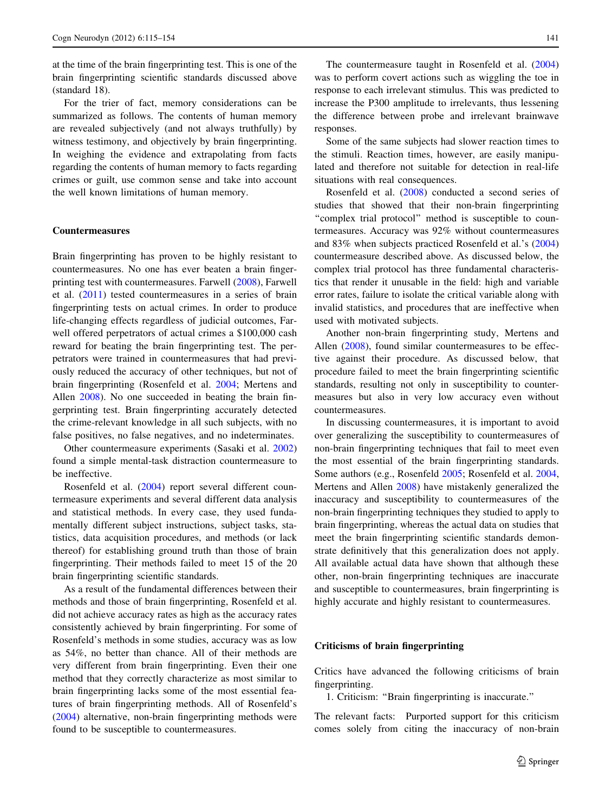at the time of the brain fingerprinting test. This is one of the brain fingerprinting scientific standards discussed above (standard 18).

For the trier of fact, memory considerations can be summarized as follows. The contents of human memory are revealed subjectively (and not always truthfully) by witness testimony, and objectively by brain fingerprinting. In weighing the evidence and extrapolating from facts regarding the contents of human memory to facts regarding crimes or guilt, use common sense and take into account the well known limitations of human memory.

## Countermeasures

Brain fingerprinting has proven to be highly resistant to countermeasures. No one has ever beaten a brain fingerprinting test with countermeasures. Farwell [\(2008](#page-37-0)), Farwell et al. [\(2011](#page-37-0)) tested countermeasures in a series of brain fingerprinting tests on actual crimes. In order to produce life-changing effects regardless of judicial outcomes, Farwell offered perpetrators of actual crimes a \$100,000 cash reward for beating the brain fingerprinting test. The perpetrators were trained in countermeasures that had previously reduced the accuracy of other techniques, but not of brain fingerprinting (Rosenfeld et al. [2004](#page-38-0); Mertens and Allen [2008\)](#page-38-0). No one succeeded in beating the brain fingerprinting test. Brain fingerprinting accurately detected the crime-relevant knowledge in all such subjects, with no false positives, no false negatives, and no indeterminates.

Other countermeasure experiments (Sasaki et al. [2002\)](#page-39-0) found a simple mental-task distraction countermeasure to be ineffective.

Rosenfeld et al. [\(2004](#page-38-0)) report several different countermeasure experiments and several different data analysis and statistical methods. In every case, they used fundamentally different subject instructions, subject tasks, statistics, data acquisition procedures, and methods (or lack thereof) for establishing ground truth than those of brain fingerprinting. Their methods failed to meet 15 of the 20 brain fingerprinting scientific standards.

As a result of the fundamental differences between their methods and those of brain fingerprinting, Rosenfeld et al. did not achieve accuracy rates as high as the accuracy rates consistently achieved by brain fingerprinting. For some of Rosenfeld's methods in some studies, accuracy was as low as 54%, no better than chance. All of their methods are very different from brain fingerprinting. Even their one method that they correctly characterize as most similar to brain fingerprinting lacks some of the most essential features of brain fingerprinting methods. All of Rosenfeld's [\(2004](#page-38-0)) alternative, non-brain fingerprinting methods were found to be susceptible to countermeasures.

The countermeasure taught in Rosenfeld et al. ([2004\)](#page-38-0) was to perform covert actions such as wiggling the toe in response to each irrelevant stimulus. This was predicted to increase the P300 amplitude to irrelevants, thus lessening the difference between probe and irrelevant brainwave responses.

Some of the same subjects had slower reaction times to the stimuli. Reaction times, however, are easily manipulated and therefore not suitable for detection in real-life situations with real consequences.

Rosenfeld et al. ([2008\)](#page-38-0) conducted a second series of studies that showed that their non-brain fingerprinting "complex trial protocol" method is susceptible to countermeasures. Accuracy was 92% without countermeasures and 83% when subjects practiced Rosenfeld et al.'s ([2004\)](#page-38-0) countermeasure described above. As discussed below, the complex trial protocol has three fundamental characteristics that render it unusable in the field: high and variable error rates, failure to isolate the critical variable along with invalid statistics, and procedures that are ineffective when used with motivated subjects.

Another non-brain fingerprinting study, Mertens and Allen ([2008\)](#page-38-0), found similar countermeasures to be effective against their procedure. As discussed below, that procedure failed to meet the brain fingerprinting scientific standards, resulting not only in susceptibility to countermeasures but also in very low accuracy even without countermeasures.

In discussing countermeasures, it is important to avoid over generalizing the susceptibility to countermeasures of non-brain fingerprinting techniques that fail to meet even the most essential of the brain fingerprinting standards. Some authors (e.g., Rosenfeld [2005](#page-38-0); Rosenfeld et al. [2004,](#page-38-0) Mertens and Allen [2008\)](#page-38-0) have mistakenly generalized the inaccuracy and susceptibility to countermeasures of the non-brain fingerprinting techniques they studied to apply to brain fingerprinting, whereas the actual data on studies that meet the brain fingerprinting scientific standards demonstrate definitively that this generalization does not apply. All available actual data have shown that although these other, non-brain fingerprinting techniques are inaccurate and susceptible to countermeasures, brain fingerprinting is highly accurate and highly resistant to countermeasures.

#### Criticisms of brain fingerprinting

Critics have advanced the following criticisms of brain fingerprinting.

1. Criticism: ''Brain fingerprinting is inaccurate.''

The relevant facts: Purported support for this criticism comes solely from citing the inaccuracy of non-brain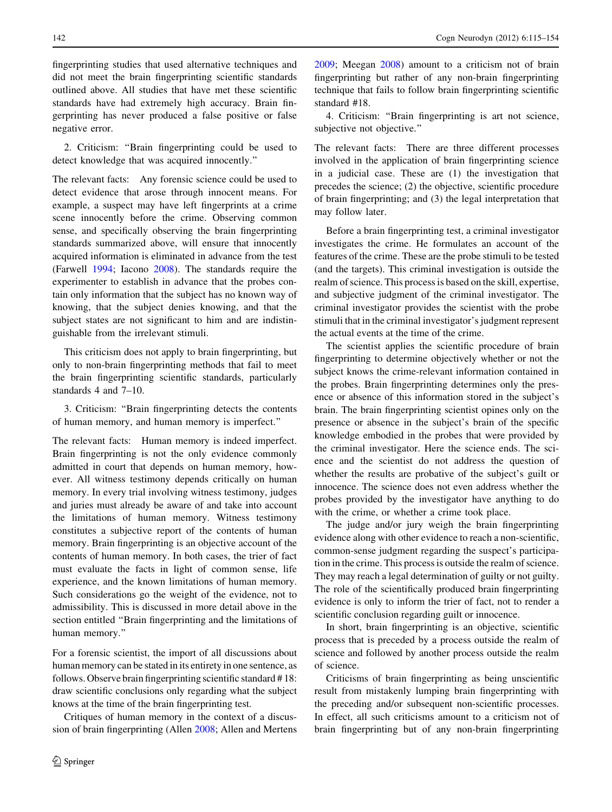fingerprinting studies that used alternative techniques and did not meet the brain fingerprinting scientific standards outlined above. All studies that have met these scientific standards have had extremely high accuracy. Brain fingerprinting has never produced a false positive or false negative error.

2. Criticism: ''Brain fingerprinting could be used to detect knowledge that was acquired innocently.''

The relevant facts: Any forensic science could be used to detect evidence that arose through innocent means. For example, a suspect may have left fingerprints at a crime scene innocently before the crime. Observing common sense, and specifically observing the brain fingerprinting standards summarized above, will ensure that innocently acquired information is eliminated in advance from the test (Farwell [1994;](#page-36-0) Iacono [2008\)](#page-37-0). The standards require the experimenter to establish in advance that the probes contain only information that the subject has no known way of knowing, that the subject denies knowing, and that the subject states are not significant to him and are indistinguishable from the irrelevant stimuli.

This criticism does not apply to brain fingerprinting, but only to non-brain fingerprinting methods that fail to meet the brain fingerprinting scientific standards, particularly standards 4 and 7–10.

3. Criticism: ''Brain fingerprinting detects the contents of human memory, and human memory is imperfect.''

The relevant facts: Human memory is indeed imperfect. Brain fingerprinting is not the only evidence commonly admitted in court that depends on human memory, however. All witness testimony depends critically on human memory. In every trial involving witness testimony, judges and juries must already be aware of and take into account the limitations of human memory. Witness testimony constitutes a subjective report of the contents of human memory. Brain fingerprinting is an objective account of the contents of human memory. In both cases, the trier of fact must evaluate the facts in light of common sense, life experience, and the known limitations of human memory. Such considerations go the weight of the evidence, not to admissibility. This is discussed in more detail above in the section entitled ''Brain fingerprinting and the limitations of human memory.''

For a forensic scientist, the import of all discussions about human memory can be stated in its entirety in one sentence, as follows. Observe brain fingerprinting scientific standard # 18: draw scientific conclusions only regarding what the subject knows at the time of the brain fingerprinting test.

Critiques of human memory in the context of a discussion of brain fingerprinting (Allen [2008](#page-36-0); Allen and Mertens

[2009](#page-36-0); Meegan [2008](#page-38-0)) amount to a criticism not of brain fingerprinting but rather of any non-brain fingerprinting technique that fails to follow brain fingerprinting scientific standard #18.

4. Criticism: ''Brain fingerprinting is art not science, subjective not objective.''

The relevant facts: There are three different processes involved in the application of brain fingerprinting science in a judicial case. These are (1) the investigation that precedes the science; (2) the objective, scientific procedure of brain fingerprinting; and (3) the legal interpretation that may follow later.

Before a brain fingerprinting test, a criminal investigator investigates the crime. He formulates an account of the features of the crime. These are the probe stimuli to be tested (and the targets). This criminal investigation is outside the realm of science. This process is based on the skill, expertise, and subjective judgment of the criminal investigator. The criminal investigator provides the scientist with the probe stimuli that in the criminal investigator's judgment represent the actual events at the time of the crime.

The scientist applies the scientific procedure of brain fingerprinting to determine objectively whether or not the subject knows the crime-relevant information contained in the probes. Brain fingerprinting determines only the presence or absence of this information stored in the subject's brain. The brain fingerprinting scientist opines only on the presence or absence in the subject's brain of the specific knowledge embodied in the probes that were provided by the criminal investigator. Here the science ends. The science and the scientist do not address the question of whether the results are probative of the subject's guilt or innocence. The science does not even address whether the probes provided by the investigator have anything to do with the crime, or whether a crime took place.

The judge and/or jury weigh the brain fingerprinting evidence along with other evidence to reach a non-scientific, common-sense judgment regarding the suspect's participation in the crime. This process is outside the realm of science. They may reach a legal determination of guilty or not guilty. The role of the scientifically produced brain fingerprinting evidence is only to inform the trier of fact, not to render a scientific conclusion regarding guilt or innocence.

In short, brain fingerprinting is an objective, scientific process that is preceded by a process outside the realm of science and followed by another process outside the realm of science.

Criticisms of brain fingerprinting as being unscientific result from mistakenly lumping brain fingerprinting with the preceding and/or subsequent non-scientific processes. In effect, all such criticisms amount to a criticism not of brain fingerprinting but of any non-brain fingerprinting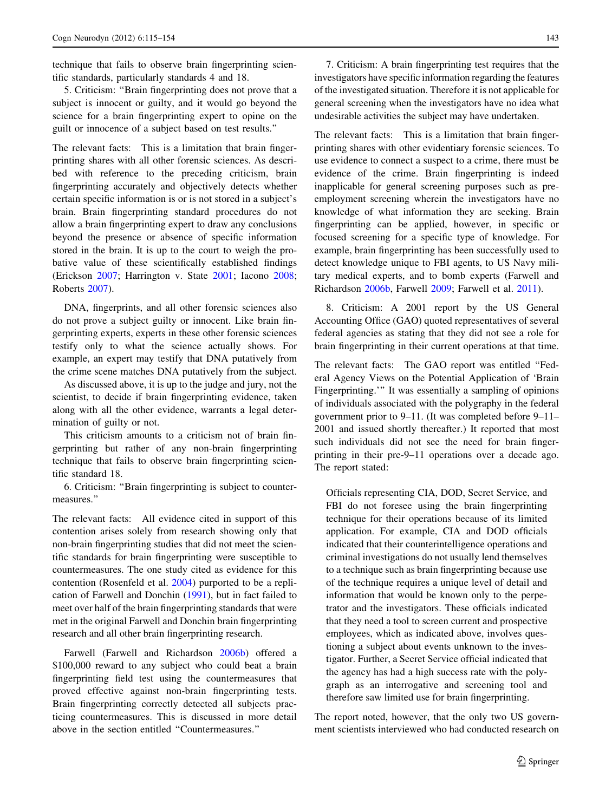technique that fails to observe brain fingerprinting scientific standards, particularly standards 4 and 18.

5. Criticism: ''Brain fingerprinting does not prove that a subject is innocent or guilty, and it would go beyond the science for a brain fingerprinting expert to opine on the guilt or innocence of a subject based on test results.''

The relevant facts: This is a limitation that brain fingerprinting shares with all other forensic sciences. As described with reference to the preceding criticism, brain fingerprinting accurately and objectively detects whether certain specific information is or is not stored in a subject's brain. Brain fingerprinting standard procedures do not allow a brain fingerprinting expert to draw any conclusions beyond the presence or absence of specific information stored in the brain. It is up to the court to weigh the probative value of these scientifically established findings (Erickson [2007](#page-36-0); Harrington v. State [2001](#page-37-0); Iacono [2008](#page-37-0); Roberts [2007](#page-38-0)).

DNA, fingerprints, and all other forensic sciences also do not prove a subject guilty or innocent. Like brain fingerprinting experts, experts in these other forensic sciences testify only to what the science actually shows. For example, an expert may testify that DNA putatively from the crime scene matches DNA putatively from the subject.

As discussed above, it is up to the judge and jury, not the scientist, to decide if brain fingerprinting evidence, taken along with all the other evidence, warrants a legal determination of guilty or not.

This criticism amounts to a criticism not of brain fingerprinting but rather of any non-brain fingerprinting technique that fails to observe brain fingerprinting scientific standard 18.

6. Criticism: ''Brain fingerprinting is subject to countermeasures.''

The relevant facts: All evidence cited in support of this contention arises solely from research showing only that non-brain fingerprinting studies that did not meet the scientific standards for brain fingerprinting were susceptible to countermeasures. The one study cited as evidence for this contention (Rosenfeld et al. [2004](#page-38-0)) purported to be a replication of Farwell and Donchin ([1991\)](#page-37-0), but in fact failed to meet over half of the brain fingerprinting standards that were met in the original Farwell and Donchin brain fingerprinting research and all other brain fingerprinting research.

Farwell (Farwell and Richardson [2006b\)](#page-37-0) offered a \$100,000 reward to any subject who could beat a brain fingerprinting field test using the countermeasures that proved effective against non-brain fingerprinting tests. Brain fingerprinting correctly detected all subjects practicing countermeasures. This is discussed in more detail above in the section entitled ''Countermeasures.''

7. Criticism: A brain fingerprinting test requires that the investigators have specific information regarding the features of the investigated situation. Therefore it is not applicable for general screening when the investigators have no idea what undesirable activities the subject may have undertaken.

The relevant facts: This is a limitation that brain fingerprinting shares with other evidentiary forensic sciences. To use evidence to connect a suspect to a crime, there must be evidence of the crime. Brain fingerprinting is indeed inapplicable for general screening purposes such as preemployment screening wherein the investigators have no knowledge of what information they are seeking. Brain fingerprinting can be applied, however, in specific or focused screening for a specific type of knowledge. For example, brain fingerprinting has been successfully used to detect knowledge unique to FBI agents, to US Navy military medical experts, and to bomb experts (Farwell and Richardson [2006b,](#page-37-0) Farwell [2009;](#page-37-0) Farwell et al. [2011](#page-37-0)).

8. Criticism: A 2001 report by the US General Accounting Office (GAO) quoted representatives of several federal agencies as stating that they did not see a role for brain fingerprinting in their current operations at that time.

The relevant facts: The GAO report was entitled "Federal Agency Views on the Potential Application of 'Brain Fingerprinting.''' It was essentially a sampling of opinions of individuals associated with the polygraphy in the federal government prior to 9–11. (It was completed before 9–11– 2001 and issued shortly thereafter.) It reported that most such individuals did not see the need for brain fingerprinting in their pre-9–11 operations over a decade ago. The report stated:

Officials representing CIA, DOD, Secret Service, and FBI do not foresee using the brain fingerprinting technique for their operations because of its limited application. For example, CIA and DOD officials indicated that their counterintelligence operations and criminal investigations do not usually lend themselves to a technique such as brain fingerprinting because use of the technique requires a unique level of detail and information that would be known only to the perpetrator and the investigators. These officials indicated that they need a tool to screen current and prospective employees, which as indicated above, involves questioning a subject about events unknown to the investigator. Further, a Secret Service official indicated that the agency has had a high success rate with the polygraph as an interrogative and screening tool and therefore saw limited use for brain fingerprinting.

The report noted, however, that the only two US government scientists interviewed who had conducted research on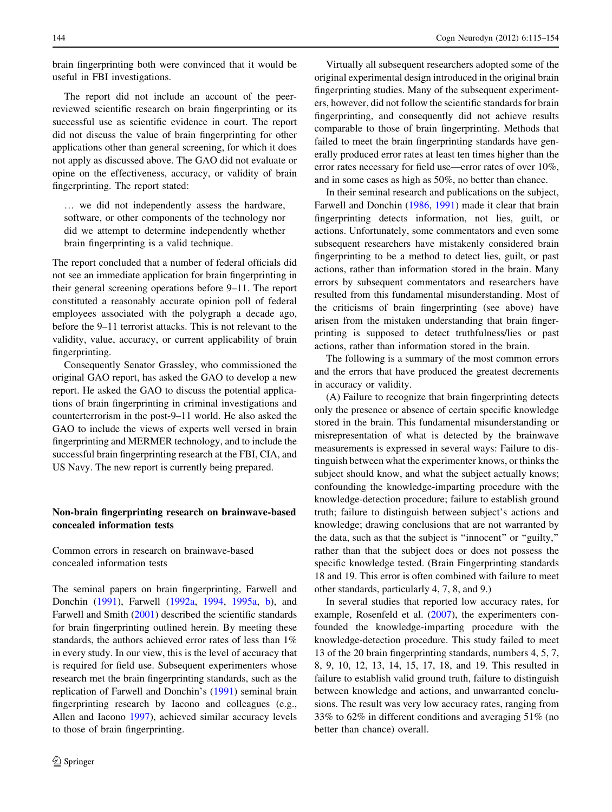brain fingerprinting both were convinced that it would be useful in FBI investigations.

The report did not include an account of the peerreviewed scientific research on brain fingerprinting or its successful use as scientific evidence in court. The report did not discuss the value of brain fingerprinting for other applications other than general screening, for which it does not apply as discussed above. The GAO did not evaluate or opine on the effectiveness, accuracy, or validity of brain fingerprinting. The report stated:

… we did not independently assess the hardware, software, or other components of the technology nor did we attempt to determine independently whether brain fingerprinting is a valid technique.

The report concluded that a number of federal officials did not see an immediate application for brain fingerprinting in their general screening operations before 9–11. The report constituted a reasonably accurate opinion poll of federal employees associated with the polygraph a decade ago, before the 9–11 terrorist attacks. This is not relevant to the validity, value, accuracy, or current applicability of brain fingerprinting.

Consequently Senator Grassley, who commissioned the original GAO report, has asked the GAO to develop a new report. He asked the GAO to discuss the potential applications of brain fingerprinting in criminal investigations and counterterrorism in the post-9–11 world. He also asked the GAO to include the views of experts well versed in brain fingerprinting and MERMER technology, and to include the successful brain fingerprinting research at the FBI, CIA, and US Navy. The new report is currently being prepared.

# Non-brain fingerprinting research on brainwave-based concealed information tests

Common errors in research on brainwave-based concealed information tests

The seminal papers on brain fingerprinting, Farwell and Donchin [\(1991](#page-37-0)), Farwell [\(1992a,](#page-36-0) [1994,](#page-36-0) [1995a](#page-36-0), [b](#page-36-0)), and Farwell and Smith ([2001\)](#page-37-0) described the scientific standards for brain fingerprinting outlined herein. By meeting these standards, the authors achieved error rates of less than 1% in every study. In our view, this is the level of accuracy that is required for field use. Subsequent experimenters whose research met the brain fingerprinting standards, such as the replication of Farwell and Donchin's ([1991\)](#page-37-0) seminal brain fingerprinting research by Iacono and colleagues (e.g., Allen and Iacono [1997\)](#page-36-0), achieved similar accuracy levels to those of brain fingerprinting.

Virtually all subsequent researchers adopted some of the original experimental design introduced in the original brain fingerprinting studies. Many of the subsequent experimenters, however, did not follow the scientific standards for brain fingerprinting, and consequently did not achieve results comparable to those of brain fingerprinting. Methods that failed to meet the brain fingerprinting standards have generally produced error rates at least ten times higher than the error rates necessary for field use—error rates of over 10%, and in some cases as high as 50%, no better than chance.

In their seminal research and publications on the subject, Farwell and Donchin ([1986,](#page-37-0) [1991](#page-37-0)) made it clear that brain fingerprinting detects information, not lies, guilt, or actions. Unfortunately, some commentators and even some subsequent researchers have mistakenly considered brain fingerprinting to be a method to detect lies, guilt, or past actions, rather than information stored in the brain. Many errors by subsequent commentators and researchers have resulted from this fundamental misunderstanding. Most of the criticisms of brain fingerprinting (see above) have arisen from the mistaken understanding that brain fingerprinting is supposed to detect truthfulness/lies or past actions, rather than information stored in the brain.

The following is a summary of the most common errors and the errors that have produced the greatest decrements in accuracy or validity.

(A) Failure to recognize that brain fingerprinting detects only the presence or absence of certain specific knowledge stored in the brain. This fundamental misunderstanding or misrepresentation of what is detected by the brainwave measurements is expressed in several ways: Failure to distinguish between what the experimenter knows, or thinks the subject should know, and what the subject actually knows; confounding the knowledge-imparting procedure with the knowledge-detection procedure; failure to establish ground truth; failure to distinguish between subject's actions and knowledge; drawing conclusions that are not warranted by the data, such as that the subject is ''innocent'' or ''guilty,'' rather than that the subject does or does not possess the specific knowledge tested. (Brain Fingerprinting standards 18 and 19. This error is often combined with failure to meet other standards, particularly 4, 7, 8, and 9.)

In several studies that reported low accuracy rates, for example, Rosenfeld et al. ([2007\)](#page-38-0), the experimenters confounded the knowledge-imparting procedure with the knowledge-detection procedure. This study failed to meet 13 of the 20 brain fingerprinting standards, numbers 4, 5, 7, 8, 9, 10, 12, 13, 14, 15, 17, 18, and 19. This resulted in failure to establish valid ground truth, failure to distinguish between knowledge and actions, and unwarranted conclusions. The result was very low accuracy rates, ranging from 33% to 62% in different conditions and averaging 51% (no better than chance) overall.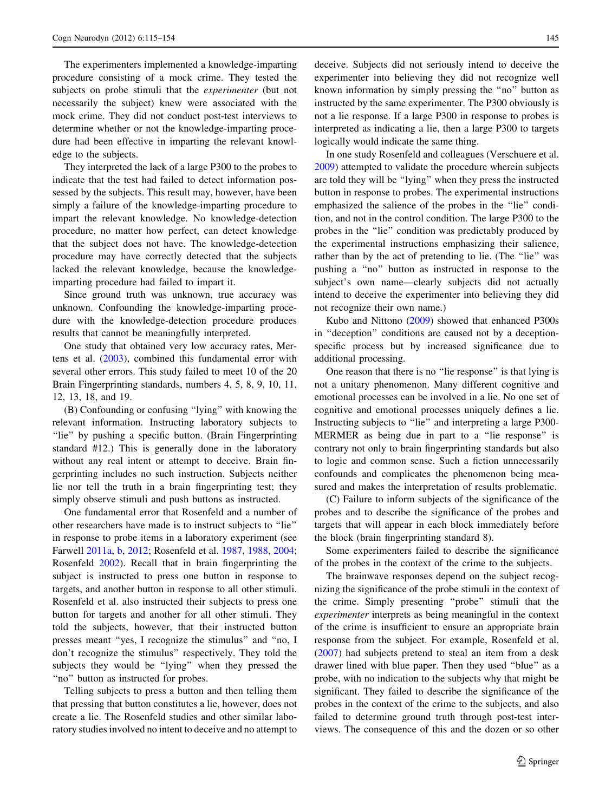The experimenters implemented a knowledge-imparting procedure consisting of a mock crime. They tested the subjects on probe stimuli that the experimenter (but not necessarily the subject) knew were associated with the mock crime. They did not conduct post-test interviews to determine whether or not the knowledge-imparting procedure had been effective in imparting the relevant knowledge to the subjects.

They interpreted the lack of a large P300 to the probes to indicate that the test had failed to detect information possessed by the subjects. This result may, however, have been simply a failure of the knowledge-imparting procedure to impart the relevant knowledge. No knowledge-detection procedure, no matter how perfect, can detect knowledge that the subject does not have. The knowledge-detection procedure may have correctly detected that the subjects lacked the relevant knowledge, because the knowledgeimparting procedure had failed to impart it.

Since ground truth was unknown, true accuracy was unknown. Confounding the knowledge-imparting procedure with the knowledge-detection procedure produces results that cannot be meaningfully interpreted.

One study that obtained very low accuracy rates, Mertens et al. [\(2003](#page-38-0)), combined this fundamental error with several other errors. This study failed to meet 10 of the 20 Brain Fingerprinting standards, numbers 4, 5, 8, 9, 10, 11, 12, 13, 18, and 19.

(B) Confounding or confusing ''lying'' with knowing the relevant information. Instructing laboratory subjects to "lie" by pushing a specific button. (Brain Fingerprinting standard #12.) This is generally done in the laboratory without any real intent or attempt to deceive. Brain fingerprinting includes no such instruction. Subjects neither lie nor tell the truth in a brain fingerprinting test; they simply observe stimuli and push buttons as instructed.

One fundamental error that Rosenfeld and a number of other researchers have made is to instruct subjects to ''lie'' in response to probe items in a laboratory experiment (see Farwell [2011a,](#page-37-0) [b](#page-37-0), [2012](#page-37-0); Rosenfeld et al. [1987,](#page-38-0) [1988](#page-38-0), [2004](#page-38-0); Rosenfeld [2002\)](#page-38-0). Recall that in brain fingerprinting the subject is instructed to press one button in response to targets, and another button in response to all other stimuli. Rosenfeld et al. also instructed their subjects to press one button for targets and another for all other stimuli. They told the subjects, however, that their instructed button presses meant ''yes, I recognize the stimulus'' and ''no, I don't recognize the stimulus'' respectively. They told the subjects they would be ''lying'' when they pressed the "no" button as instructed for probes.

Telling subjects to press a button and then telling them that pressing that button constitutes a lie, however, does not create a lie. The Rosenfeld studies and other similar laboratory studies involved no intent to deceive and no attempt to deceive. Subjects did not seriously intend to deceive the experimenter into believing they did not recognize well known information by simply pressing the ''no'' button as instructed by the same experimenter. The P300 obviously is not a lie response. If a large P300 in response to probes is interpreted as indicating a lie, then a large P300 to targets logically would indicate the same thing.

In one study Rosenfeld and colleagues (Verschuere et al. [2009](#page-39-0)) attempted to validate the procedure wherein subjects are told they will be ''lying'' when they press the instructed button in response to probes. The experimental instructions emphasized the salience of the probes in the "lie" condition, and not in the control condition. The large P300 to the probes in the ''lie'' condition was predictably produced by the experimental instructions emphasizing their salience, rather than by the act of pretending to lie. (The "lie" was pushing a ''no'' button as instructed in response to the subject's own name—clearly subjects did not actually intend to deceive the experimenter into believing they did not recognize their own name.)

Kubo and Nittono ([2009\)](#page-38-0) showed that enhanced P300s in ''deception'' conditions are caused not by a deceptionspecific process but by increased significance due to additional processing.

One reason that there is no ''lie response'' is that lying is not a unitary phenomenon. Many different cognitive and emotional processes can be involved in a lie. No one set of cognitive and emotional processes uniquely defines a lie. Instructing subjects to ''lie'' and interpreting a large P300- MERMER as being due in part to a ''lie response'' is contrary not only to brain fingerprinting standards but also to logic and common sense. Such a fiction unnecessarily confounds and complicates the phenomenon being measured and makes the interpretation of results problematic.

(C) Failure to inform subjects of the significance of the probes and to describe the significance of the probes and targets that will appear in each block immediately before the block (brain fingerprinting standard 8).

Some experimenters failed to describe the significance of the probes in the context of the crime to the subjects.

The brainwave responses depend on the subject recognizing the significance of the probe stimuli in the context of the crime. Simply presenting ''probe'' stimuli that the experimenter interprets as being meaningful in the context of the crime is insufficient to ensure an appropriate brain response from the subject. For example, Rosenfeld et al. [\(2007](#page-38-0)) had subjects pretend to steal an item from a desk drawer lined with blue paper. Then they used ''blue'' as a probe, with no indication to the subjects why that might be significant. They failed to describe the significance of the probes in the context of the crime to the subjects, and also failed to determine ground truth through post-test interviews. The consequence of this and the dozen or so other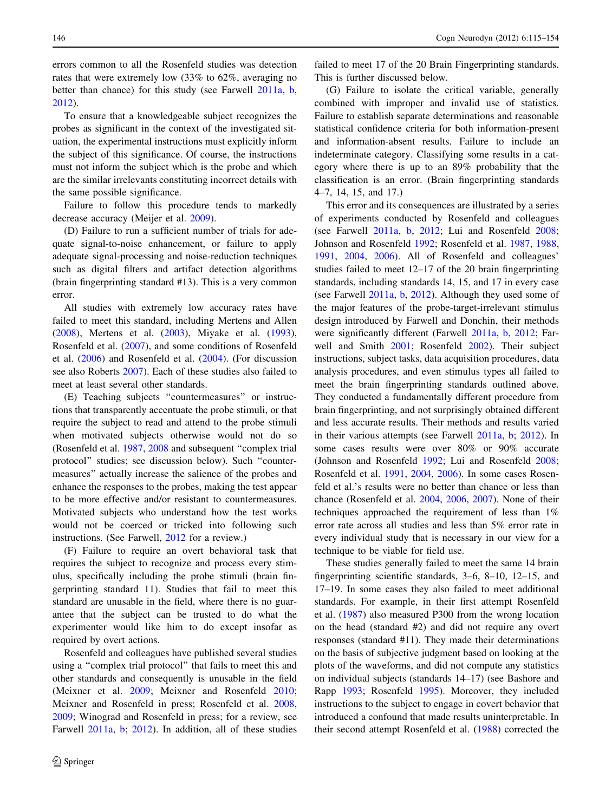errors common to all the Rosenfeld studies was detection rates that were extremely low (33% to 62%, averaging no better than chance) for this study (see Farwell [2011a,](#page-37-0) [b,](#page-37-0) [2012\)](#page-37-0).

To ensure that a knowledgeable subject recognizes the probes as significant in the context of the investigated situation, the experimental instructions must explicitly inform the subject of this significance. Of course, the instructions must not inform the subject which is the probe and which are the similar irrelevants constituting incorrect details with the same possible significance.

Failure to follow this procedure tends to markedly decrease accuracy (Meijer et al. [2009\)](#page-38-0).

(D) Failure to run a sufficient number of trials for adequate signal-to-noise enhancement, or failure to apply adequate signal-processing and noise-reduction techniques such as digital filters and artifact detection algorithms (brain fingerprinting standard #13). This is a very common error.

All studies with extremely low accuracy rates have failed to meet this standard, including Mertens and Allen [\(2008](#page-38-0)), Mertens et al. ([2003\)](#page-38-0), Miyake et al. [\(1993](#page-38-0)), Rosenfeld et al. [\(2007](#page-38-0)), and some conditions of Rosenfeld et al. [\(2006](#page-38-0)) and Rosenfeld et al. ([2004\)](#page-38-0). (For discussion see also Roberts [2007\)](#page-38-0). Each of these studies also failed to meet at least several other standards.

(E) Teaching subjects ''countermeasures'' or instructions that transparently accentuate the probe stimuli, or that require the subject to read and attend to the probe stimuli when motivated subjects otherwise would not do so (Rosenfeld et al. [1987](#page-38-0), [2008](#page-38-0) and subsequent ''complex trial protocol'' studies; see discussion below). Such ''countermeasures'' actually increase the salience of the probes and enhance the responses to the probes, making the test appear to be more effective and/or resistant to countermeasures. Motivated subjects who understand how the test works would not be coerced or tricked into following such instructions. (See Farwell, [2012](#page-37-0) for a review.)

(F) Failure to require an overt behavioral task that requires the subject to recognize and process every stimulus, specifically including the probe stimuli (brain fingerprinting standard 11). Studies that fail to meet this standard are unusable in the field, where there is no guarantee that the subject can be trusted to do what the experimenter would like him to do except insofar as required by overt actions.

Rosenfeld and colleagues have published several studies using a ''complex trial protocol'' that fails to meet this and other standards and consequently is unusable in the field (Meixner et al. [2009](#page-38-0); Meixner and Rosenfeld [2010](#page-38-0); Meixner and Rosenfeld in press; Rosenfeld et al. [2008,](#page-38-0) [2009;](#page-39-0) Winograd and Rosenfeld in press; for a review, see Farwell [2011a](#page-37-0), [b;](#page-37-0) [2012](#page-37-0)). In addition, all of these studies failed to meet 17 of the 20 Brain Fingerprinting standards. This is further discussed below.

(G) Failure to isolate the critical variable, generally combined with improper and invalid use of statistics. Failure to establish separate determinations and reasonable statistical confidence criteria for both information-present and information-absent results. Failure to include an indeterminate category. Classifying some results in a category where there is up to an 89% probability that the classification is an error. (Brain fingerprinting standards 4–7, 14, 15, and 17.)

This error and its consequences are illustrated by a series of experiments conducted by Rosenfeld and colleagues (see Farwell [2011a,](#page-37-0) [b,](#page-37-0) [2012](#page-37-0); Lui and Rosenfeld [2008](#page-38-0); Johnson and Rosenfeld [1992](#page-38-0); Rosenfeld et al. [1987](#page-38-0), [1988,](#page-38-0) [1991](#page-38-0), [2004](#page-38-0), [2006](#page-38-0)). All of Rosenfeld and colleagues' studies failed to meet 12–17 of the 20 brain fingerprinting standards, including standards 14, 15, and 17 in every case (see Farwell [2011a,](#page-37-0) [b](#page-37-0), [2012\)](#page-37-0). Although they used some of the major features of the probe-target-irrelevant stimulus design introduced by Farwell and Donchin, their methods were significantly different (Farwell [2011a](#page-37-0), [b,](#page-37-0) [2012;](#page-37-0) Farwell and Smith [2001](#page-37-0); Rosenfeld [2002\)](#page-38-0). Their subject instructions, subject tasks, data acquisition procedures, data analysis procedures, and even stimulus types all failed to meet the brain fingerprinting standards outlined above. They conducted a fundamentally different procedure from brain fingerprinting, and not surprisingly obtained different and less accurate results. Their methods and results varied in their various attempts (see Farwell [2011a,](#page-37-0) [b](#page-37-0); [2012](#page-37-0)). In some cases results were over 80% or 90% accurate (Johnson and Rosenfeld [1992](#page-38-0); Lui and Rosenfeld [2008](#page-38-0); Rosenfeld et al. [1991](#page-38-0), [2004,](#page-38-0) [2006\)](#page-38-0). In some cases Rosenfeld et al.'s results were no better than chance or less than chance (Rosenfeld et al. [2004](#page-38-0), [2006](#page-38-0), [2007](#page-38-0)). None of their techniques approached the requirement of less than 1% error rate across all studies and less than 5% error rate in every individual study that is necessary in our view for a technique to be viable for field use.

These studies generally failed to meet the same 14 brain fingerprinting scientific standards, 3–6, 8–10, 12–15, and 17–19. In some cases they also failed to meet additional standards. For example, in their first attempt Rosenfeld et al. [\(1987](#page-38-0)) also measured P300 from the wrong location on the head (standard #2) and did not require any overt responses (standard #11). They made their determinations on the basis of subjective judgment based on looking at the plots of the waveforms, and did not compute any statistics on individual subjects (standards 14–17) (see Bashore and Rapp [1993;](#page-36-0) Rosenfeld [1995\)](#page-38-0). Moreover, they included instructions to the subject to engage in covert behavior that introduced a confound that made results uninterpretable. In their second attempt Rosenfeld et al. [\(1988](#page-38-0)) corrected the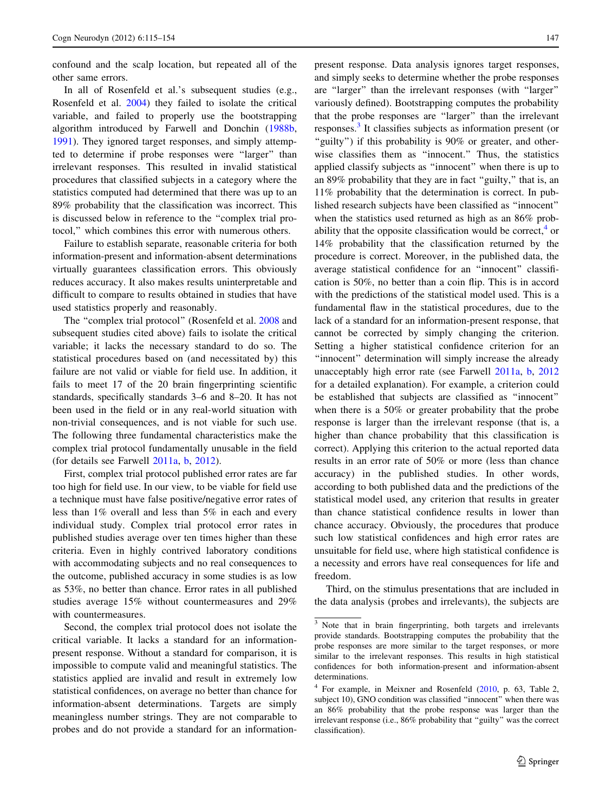confound and the scalp location, but repeated all of the other same errors.

In all of Rosenfeld et al.'s subsequent studies (e.g., Rosenfeld et al. [2004\)](#page-38-0) they failed to isolate the critical variable, and failed to properly use the bootstrapping algorithm introduced by Farwell and Donchin ([1988b,](#page-37-0) [1991\)](#page-37-0). They ignored target responses, and simply attempted to determine if probe responses were ''larger'' than irrelevant responses. This resulted in invalid statistical procedures that classified subjects in a category where the statistics computed had determined that there was up to an 89% probability that the classification was incorrect. This is discussed below in reference to the ''complex trial protocol,'' which combines this error with numerous others.

Failure to establish separate, reasonable criteria for both information-present and information-absent determinations virtually guarantees classification errors. This obviously reduces accuracy. It also makes results uninterpretable and difficult to compare to results obtained in studies that have used statistics properly and reasonably.

The "complex trial protocol" (Rosenfeld et al. [2008](#page-38-0) and subsequent studies cited above) fails to isolate the critical variable; it lacks the necessary standard to do so. The statistical procedures based on (and necessitated by) this failure are not valid or viable for field use. In addition, it fails to meet 17 of the 20 brain fingerprinting scientific standards, specifically standards 3–6 and 8–20. It has not been used in the field or in any real-world situation with non-trivial consequences, and is not viable for such use. The following three fundamental characteristics make the complex trial protocol fundamentally unusable in the field (for details see Farwell [2011a](#page-37-0), [b](#page-37-0), [2012\)](#page-37-0).

First, complex trial protocol published error rates are far too high for field use. In our view, to be viable for field use a technique must have false positive/negative error rates of less than 1% overall and less than 5% in each and every individual study. Complex trial protocol error rates in published studies average over ten times higher than these criteria. Even in highly contrived laboratory conditions with accommodating subjects and no real consequences to the outcome, published accuracy in some studies is as low as 53%, no better than chance. Error rates in all published studies average 15% without countermeasures and 29% with countermeasures.

Second, the complex trial protocol does not isolate the critical variable. It lacks a standard for an informationpresent response. Without a standard for comparison, it is impossible to compute valid and meaningful statistics. The statistics applied are invalid and result in extremely low statistical confidences, on average no better than chance for information-absent determinations. Targets are simply meaningless number strings. They are not comparable to probes and do not provide a standard for an informationpresent response. Data analysis ignores target responses, and simply seeks to determine whether the probe responses are ''larger'' than the irrelevant responses (with ''larger'' variously defined). Bootstrapping computes the probability that the probe responses are ''larger'' than the irrelevant responses.<sup>3</sup> It classifies subjects as information present (or "guilty") if this probability is 90% or greater, and otherwise classifies them as ''innocent.'' Thus, the statistics applied classify subjects as ''innocent'' when there is up to an 89% probability that they are in fact ''guilty,'' that is, an 11% probability that the determination is correct. In published research subjects have been classified as ''innocent'' when the statistics used returned as high as an 86% probability that the opposite classification would be correct, $4$  or 14% probability that the classification returned by the procedure is correct. Moreover, in the published data, the average statistical confidence for an ''innocent'' classification is 50%, no better than a coin flip. This is in accord with the predictions of the statistical model used. This is a fundamental flaw in the statistical procedures, due to the lack of a standard for an information-present response, that cannot be corrected by simply changing the criterion. Setting a higher statistical confidence criterion for an "innocent" determination will simply increase the already unacceptably high error rate (see Farwell [2011a](#page-37-0), [b,](#page-37-0) [2012](#page-37-0) for a detailed explanation). For example, a criterion could be established that subjects are classified as ''innocent'' when there is a 50% or greater probability that the probe response is larger than the irrelevant response (that is, a higher than chance probability that this classification is correct). Applying this criterion to the actual reported data results in an error rate of 50% or more (less than chance accuracy) in the published studies. In other words, according to both published data and the predictions of the statistical model used, any criterion that results in greater than chance statistical confidence results in lower than chance accuracy. Obviously, the procedures that produce such low statistical confidences and high error rates are unsuitable for field use, where high statistical confidence is a necessity and errors have real consequences for life and freedom.

Third, on the stimulus presentations that are included in the data analysis (probes and irrelevants), the subjects are

<sup>&</sup>lt;sup>3</sup> Note that in brain fingerprinting, both targets and irrelevants provide standards. Bootstrapping computes the probability that the probe responses are more similar to the target responses, or more similar to the irrelevant responses. This results in high statistical confidences for both information-present and information-absent determinations.

 $4$  For example, in Meixner and Rosenfeld  $(2010, p. 63,$  $(2010, p. 63,$  $(2010, p. 63,$  Table 2, subject 10), GNO condition was classified ''innocent'' when there was an 86% probability that the probe response was larger than the irrelevant response (i.e., 86% probability that ''guilty'' was the correct classification).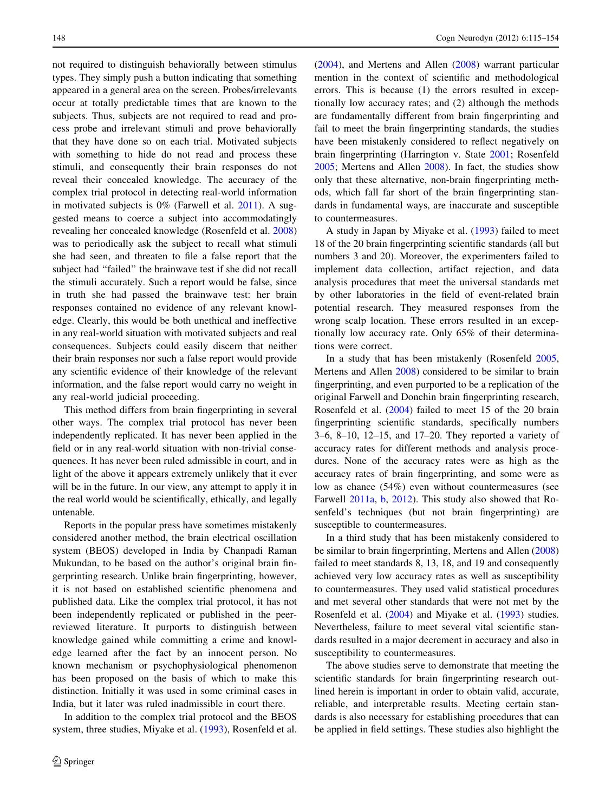not required to distinguish behaviorally between stimulus types. They simply push a button indicating that something appeared in a general area on the screen. Probes/irrelevants occur at totally predictable times that are known to the subjects. Thus, subjects are not required to read and process probe and irrelevant stimuli and prove behaviorally that they have done so on each trial. Motivated subjects with something to hide do not read and process these stimuli, and consequently their brain responses do not reveal their concealed knowledge. The accuracy of the complex trial protocol in detecting real-world information in motivated subjects is 0% (Farwell et al. [2011\)](#page-37-0). A suggested means to coerce a subject into accommodatingly revealing her concealed knowledge (Rosenfeld et al. [2008\)](#page-38-0) was to periodically ask the subject to recall what stimuli she had seen, and threaten to file a false report that the subject had ''failed'' the brainwave test if she did not recall the stimuli accurately. Such a report would be false, since in truth she had passed the brainwave test: her brain responses contained no evidence of any relevant knowledge. Clearly, this would be both unethical and ineffective in any real-world situation with motivated subjects and real consequences. Subjects could easily discern that neither their brain responses nor such a false report would provide any scientific evidence of their knowledge of the relevant information, and the false report would carry no weight in any real-world judicial proceeding.

This method differs from brain fingerprinting in several other ways. The complex trial protocol has never been independently replicated. It has never been applied in the field or in any real-world situation with non-trivial consequences. It has never been ruled admissible in court, and in light of the above it appears extremely unlikely that it ever will be in the future. In our view, any attempt to apply it in the real world would be scientifically, ethically, and legally untenable.

Reports in the popular press have sometimes mistakenly considered another method, the brain electrical oscillation system (BEOS) developed in India by Chanpadi Raman Mukundan, to be based on the author's original brain fingerprinting research. Unlike brain fingerprinting, however, it is not based on established scientific phenomena and published data. Like the complex trial protocol, it has not been independently replicated or published in the peerreviewed literature. It purports to distinguish between knowledge gained while committing a crime and knowledge learned after the fact by an innocent person. No known mechanism or psychophysiological phenomenon has been proposed on the basis of which to make this distinction. Initially it was used in some criminal cases in India, but it later was ruled inadmissible in court there.

In addition to the complex trial protocol and the BEOS system, three studies, Miyake et al. ([1993\)](#page-38-0), Rosenfeld et al. [\(2004](#page-38-0)), and Mertens and Allen ([2008](#page-38-0)) warrant particular mention in the context of scientific and methodological errors. This is because (1) the errors resulted in exceptionally low accuracy rates; and (2) although the methods are fundamentally different from brain fingerprinting and fail to meet the brain fingerprinting standards, the studies have been mistakenly considered to reflect negatively on brain fingerprinting (Harrington v. State [2001;](#page-37-0) Rosenfeld [2005](#page-38-0); Mertens and Allen [2008](#page-38-0)). In fact, the studies show only that these alternative, non-brain fingerprinting methods, which fall far short of the brain fingerprinting standards in fundamental ways, are inaccurate and susceptible to countermeasures.

A study in Japan by Miyake et al. ([1993\)](#page-38-0) failed to meet 18 of the 20 brain fingerprinting scientific standards (all but numbers 3 and 20). Moreover, the experimenters failed to implement data collection, artifact rejection, and data analysis procedures that meet the universal standards met by other laboratories in the field of event-related brain potential research. They measured responses from the wrong scalp location. These errors resulted in an exceptionally low accuracy rate. Only 65% of their determinations were correct.

In a study that has been mistakenly (Rosenfeld [2005,](#page-38-0) Mertens and Allen [2008](#page-38-0)) considered to be similar to brain fingerprinting, and even purported to be a replication of the original Farwell and Donchin brain fingerprinting research, Rosenfeld et al. ([2004\)](#page-38-0) failed to meet 15 of the 20 brain fingerprinting scientific standards, specifically numbers 3–6, 8–10, 12–15, and 17–20. They reported a variety of accuracy rates for different methods and analysis procedures. None of the accuracy rates were as high as the accuracy rates of brain fingerprinting, and some were as low as chance (54%) even without countermeasures (see Farwell [2011a,](#page-37-0) [b,](#page-37-0) [2012](#page-37-0)). This study also showed that Rosenfeld's techniques (but not brain fingerprinting) are susceptible to countermeasures.

In a third study that has been mistakenly considered to be similar to brain fingerprinting, Mertens and Allen ([2008\)](#page-38-0) failed to meet standards 8, 13, 18, and 19 and consequently achieved very low accuracy rates as well as susceptibility to countermeasures. They used valid statistical procedures and met several other standards that were not met by the Rosenfeld et al. ([2004\)](#page-38-0) and Miyake et al. ([1993\)](#page-38-0) studies. Nevertheless, failure to meet several vital scientific standards resulted in a major decrement in accuracy and also in susceptibility to countermeasures.

The above studies serve to demonstrate that meeting the scientific standards for brain fingerprinting research outlined herein is important in order to obtain valid, accurate, reliable, and interpretable results. Meeting certain standards is also necessary for establishing procedures that can be applied in field settings. These studies also highlight the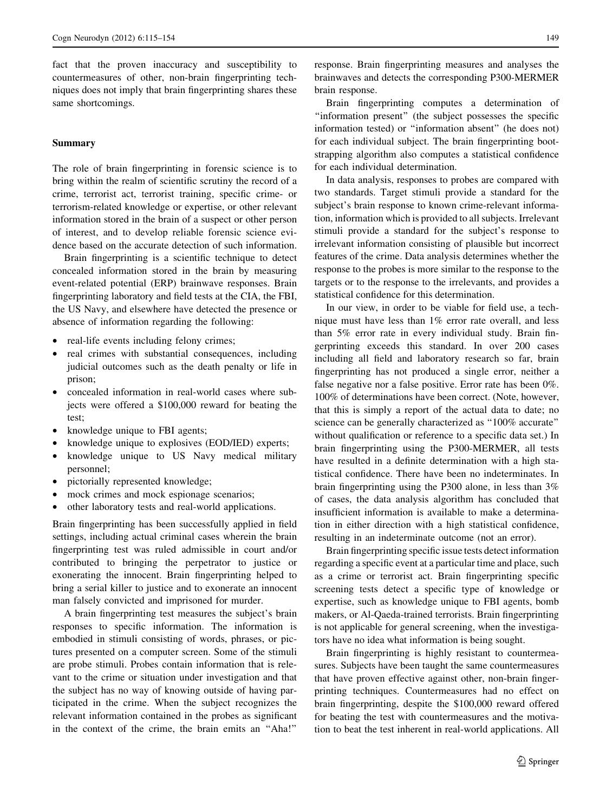fact that the proven inaccuracy and susceptibility to countermeasures of other, non-brain fingerprinting techniques does not imply that brain fingerprinting shares these same shortcomings.

#### Summary

The role of brain fingerprinting in forensic science is to bring within the realm of scientific scrutiny the record of a crime, terrorist act, terrorist training, specific crime- or terrorism-related knowledge or expertise, or other relevant information stored in the brain of a suspect or other person of interest, and to develop reliable forensic science evidence based on the accurate detection of such information.

Brain fingerprinting is a scientific technique to detect concealed information stored in the brain by measuring event-related potential (ERP) brainwave responses. Brain fingerprinting laboratory and field tests at the CIA, the FBI, the US Navy, and elsewhere have detected the presence or absence of information regarding the following:

- real-life events including felony crimes;
- real crimes with substantial consequences, including judicial outcomes such as the death penalty or life in prison;
- concealed information in real-world cases where subjects were offered a \$100,000 reward for beating the test;
- knowledge unique to FBI agents;
- knowledge unique to explosives (EOD/IED) experts;
- knowledge unique to US Navy medical military personnel;
- pictorially represented knowledge;
- mock crimes and mock espionage scenarios;
- other laboratory tests and real-world applications.

Brain fingerprinting has been successfully applied in field settings, including actual criminal cases wherein the brain fingerprinting test was ruled admissible in court and/or contributed to bringing the perpetrator to justice or exonerating the innocent. Brain fingerprinting helped to bring a serial killer to justice and to exonerate an innocent man falsely convicted and imprisoned for murder.

A brain fingerprinting test measures the subject's brain responses to specific information. The information is embodied in stimuli consisting of words, phrases, or pictures presented on a computer screen. Some of the stimuli are probe stimuli. Probes contain information that is relevant to the crime or situation under investigation and that the subject has no way of knowing outside of having participated in the crime. When the subject recognizes the relevant information contained in the probes as significant in the context of the crime, the brain emits an ''Aha!''

response. Brain fingerprinting measures and analyses the brainwaves and detects the corresponding P300-MERMER brain response.

Brain fingerprinting computes a determination of ''information present'' (the subject possesses the specific information tested) or ''information absent'' (he does not) for each individual subject. The brain fingerprinting bootstrapping algorithm also computes a statistical confidence for each individual determination.

In data analysis, responses to probes are compared with two standards. Target stimuli provide a standard for the subject's brain response to known crime-relevant information, information which is provided to all subjects. Irrelevant stimuli provide a standard for the subject's response to irrelevant information consisting of plausible but incorrect features of the crime. Data analysis determines whether the response to the probes is more similar to the response to the targets or to the response to the irrelevants, and provides a statistical confidence for this determination.

In our view, in order to be viable for field use, a technique must have less than 1% error rate overall, and less than 5% error rate in every individual study. Brain fingerprinting exceeds this standard. In over 200 cases including all field and laboratory research so far, brain fingerprinting has not produced a single error, neither a false negative nor a false positive. Error rate has been 0%. 100% of determinations have been correct. (Note, however, that this is simply a report of the actual data to date; no science can be generally characterized as "100% accurate" without qualification or reference to a specific data set.) In brain fingerprinting using the P300-MERMER, all tests have resulted in a definite determination with a high statistical confidence. There have been no indeterminates. In brain fingerprinting using the P300 alone, in less than 3% of cases, the data analysis algorithm has concluded that insufficient information is available to make a determination in either direction with a high statistical confidence, resulting in an indeterminate outcome (not an error).

Brain fingerprinting specific issue tests detect information regarding a specific event at a particular time and place, such as a crime or terrorist act. Brain fingerprinting specific screening tests detect a specific type of knowledge or expertise, such as knowledge unique to FBI agents, bomb makers, or Al-Qaeda-trained terrorists. Brain fingerprinting is not applicable for general screening, when the investigators have no idea what information is being sought.

Brain fingerprinting is highly resistant to countermeasures. Subjects have been taught the same countermeasures that have proven effective against other, non-brain fingerprinting techniques. Countermeasures had no effect on brain fingerprinting, despite the \$100,000 reward offered for beating the test with countermeasures and the motivation to beat the test inherent in real-world applications. All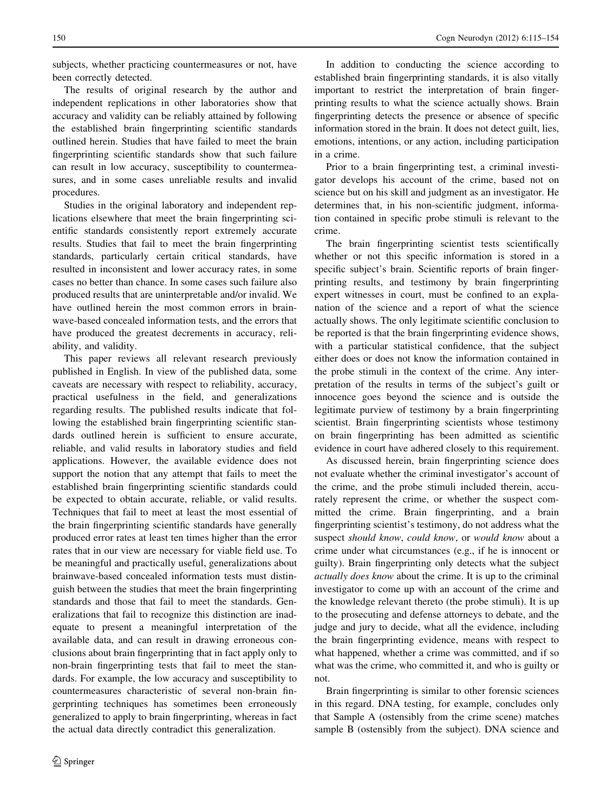subjects, whether practicing countermeasures or not, have been correctly detected.

The results of original research by the author and independent replications in other laboratories show that accuracy and validity can be reliably attained by following the established brain fingerprinting scientific standards outlined herein. Studies that have failed to meet the brain fingerprinting scientific standards show that such failure can result in low accuracy, susceptibility to countermeasures, and in some cases unreliable results and invalid procedures.

Studies in the original laboratory and independent replications elsewhere that meet the brain fingerprinting scientific standards consistently report extremely accurate results. Studies that fail to meet the brain fingerprinting standards, particularly certain critical standards, have resulted in inconsistent and lower accuracy rates, in some cases no better than chance. In some cases such failure also produced results that are uninterpretable and/or invalid. We have outlined herein the most common errors in brainwave-based concealed information tests, and the errors that have produced the greatest decrements in accuracy, reliability, and validity.

This paper reviews all relevant research previously published in English. In view of the published data, some caveats are necessary with respect to reliability, accuracy, practical usefulness in the field, and generalizations regarding results. The published results indicate that following the established brain fingerprinting scientific standards outlined herein is sufficient to ensure accurate, reliable, and valid results in laboratory studies and field applications. However, the available evidence does not support the notion that any attempt that fails to meet the established brain fingerprinting scientific standards could be expected to obtain accurate, reliable, or valid results. Techniques that fail to meet at least the most essential of the brain fingerprinting scientific standards have generally produced error rates at least ten times higher than the error rates that in our view are necessary for viable field use. To be meaningful and practically useful, generalizations about brainwave-based concealed information tests must distinguish between the studies that meet the brain fingerprinting standards and those that fail to meet the standards. Generalizations that fail to recognize this distinction are inadequate to present a meaningful interpretation of the available data, and can result in drawing erroneous conclusions about brain fingerprinting that in fact apply only to non-brain fingerprinting tests that fail to meet the standards. For example, the low accuracy and susceptibility to countermeasures characteristic of several non-brain fingerprinting techniques has sometimes been erroneously generalized to apply to brain fingerprinting, whereas in fact the actual data directly contradict this generalization.

In addition to conducting the science according to established brain fingerprinting standards, it is also vitally important to restrict the interpretation of brain fingerprinting results to what the science actually shows. Brain fingerprinting detects the presence or absence of specific information stored in the brain. It does not detect guilt, lies, emotions, intentions, or any action, including participation in a crime.

Prior to a brain fingerprinting test, a criminal investigator develops his account of the crime, based not on science but on his skill and judgment as an investigator. He determines that, in his non-scientific judgment, information contained in specific probe stimuli is relevant to the crime.

The brain fingerprinting scientist tests scientifically whether or not this specific information is stored in a specific subject's brain. Scientific reports of brain fingerprinting results, and testimony by brain fingerprinting expert witnesses in court, must be confined to an explanation of the science and a report of what the science actually shows. The only legitimate scientific conclusion to be reported is that the brain fingerprinting evidence shows, with a particular statistical confidence, that the subject either does or does not know the information contained in the probe stimuli in the context of the crime. Any interpretation of the results in terms of the subject's guilt or innocence goes beyond the science and is outside the legitimate purview of testimony by a brain fingerprinting scientist. Brain fingerprinting scientists whose testimony on brain fingerprinting has been admitted as scientific evidence in court have adhered closely to this requirement.

As discussed herein, brain fingerprinting science does not evaluate whether the criminal investigator's account of the crime, and the probe stimuli included therein, accurately represent the crime, or whether the suspect committed the crime. Brain fingerprinting, and a brain fingerprinting scientist's testimony, do not address what the suspect should know, could know, or would know about a crime under what circumstances (e.g., if he is innocent or guilty). Brain fingerprinting only detects what the subject actually does know about the crime. It is up to the criminal investigator to come up with an account of the crime and the knowledge relevant thereto (the probe stimuli). It is up to the prosecuting and defense attorneys to debate, and the judge and jury to decide, what all the evidence, including the brain fingerprinting evidence, means with respect to what happened, whether a crime was committed, and if so what was the crime, who committed it, and who is guilty or not.

Brain fingerprinting is similar to other forensic sciences in this regard. DNA testing, for example, concludes only that Sample A (ostensibly from the crime scene) matches sample B (ostensibly from the subject). DNA science and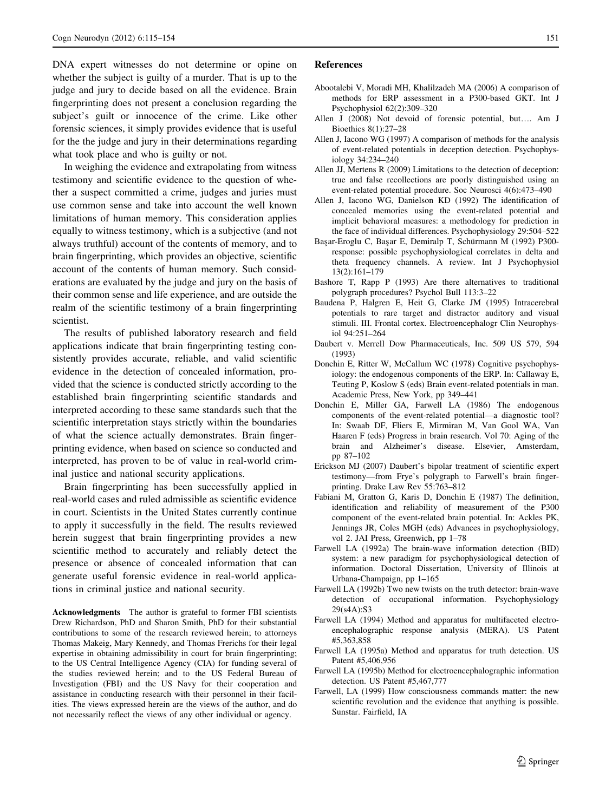<span id="page-36-0"></span>DNA expert witnesses do not determine or opine on whether the subject is guilty of a murder. That is up to the judge and jury to decide based on all the evidence. Brain fingerprinting does not present a conclusion regarding the subject's guilt or innocence of the crime. Like other forensic sciences, it simply provides evidence that is useful for the the judge and jury in their determinations regarding what took place and who is guilty or not.

In weighing the evidence and extrapolating from witness testimony and scientific evidence to the question of whether a suspect committed a crime, judges and juries must use common sense and take into account the well known limitations of human memory. This consideration applies equally to witness testimony, which is a subjective (and not always truthful) account of the contents of memory, and to brain fingerprinting, which provides an objective, scientific account of the contents of human memory. Such considerations are evaluated by the judge and jury on the basis of their common sense and life experience, and are outside the realm of the scientific testimony of a brain fingerprinting scientist.

The results of published laboratory research and field applications indicate that brain fingerprinting testing consistently provides accurate, reliable, and valid scientific evidence in the detection of concealed information, provided that the science is conducted strictly according to the established brain fingerprinting scientific standards and interpreted according to these same standards such that the scientific interpretation stays strictly within the boundaries of what the science actually demonstrates. Brain fingerprinting evidence, when based on science so conducted and interpreted, has proven to be of value in real-world criminal justice and national security applications.

Brain fingerprinting has been successfully applied in real-world cases and ruled admissible as scientific evidence in court. Scientists in the United States currently continue to apply it successfully in the field. The results reviewed herein suggest that brain fingerprinting provides a new scientific method to accurately and reliably detect the presence or absence of concealed information that can generate useful forensic evidence in real-world applications in criminal justice and national security.

Acknowledgments The author is grateful to former FBI scientists Drew Richardson, PhD and Sharon Smith, PhD for their substantial contributions to some of the research reviewed herein; to attorneys Thomas Makeig, Mary Kennedy, and Thomas Frerichs for their legal expertise in obtaining admissibility in court for brain fingerprinting; to the US Central Intelligence Agency (CIA) for funding several of the studies reviewed herein; and to the US Federal Bureau of Investigation (FBI) and the US Navy for their cooperation and assistance in conducting research with their personnel in their facilities. The views expressed herein are the views of the author, and do not necessarily reflect the views of any other individual or agency.

#### References

- Abootalebi V, Moradi MH, Khalilzadeh MA (2006) A comparison of methods for ERP assessment in a P300-based GKT. Int J Psychophysiol 62(2):309–320
- Allen J (2008) Not devoid of forensic potential, but…. Am J Bioethics 8(1):27–28
- Allen J, Iacono WG (1997) A comparison of methods for the analysis of event-related potentials in deception detection. Psychophysiology 34:234–240
- Allen JJ, Mertens R (2009) Limitations to the detection of deception: true and false recollections are poorly distinguished using an event-related potential procedure. Soc Neurosci 4(6):473–490
- Allen J, Iacono WG, Danielson KD (1992) The identification of concealed memories using the event-related potential and implicit behavioral measures: a methodology for prediction in the face of individual differences. Psychophysiology 29:504–522
- Başar-Eroglu C, Başar E, Demiralp T, Schürmann M (1992) P300response: possible psychophysiological correlates in delta and theta frequency channels. A review. Int J Psychophysiol 13(2):161–179
- Bashore T, Rapp P (1993) Are there alternatives to traditional polygraph procedures? Psychol Bull 113:3–22
- Baudena P, Halgren E, Heit G, Clarke JM (1995) Intracerebral potentials to rare target and distractor auditory and visual stimuli. III. Frontal cortex. Electroencephalogr Clin Neurophysiol 94:251–264
- Daubert v. Merrell Dow Pharmaceuticals, Inc. 509 US 579, 594 (1993)
- Donchin E, Ritter W, McCallum WC (1978) Cognitive psychophysiology: the endogenous components of the ERP. In: Callaway E, Teuting P, Koslow S (eds) Brain event-related potentials in man. Academic Press, New York, pp 349–441
- Donchin E, Miller GA, Farwell LA (1986) The endogenous components of the event-related potential—a diagnostic tool? In: Swaab DF, Fliers E, Mirmiran M, Van Gool WA, Van Haaren F (eds) Progress in brain research. Vol 70: Aging of the brain and Alzheimer's disease. Elsevier, Amsterdam, pp 87–102
- Erickson MJ (2007) Daubert's bipolar treatment of scientific expert testimony—from Frye's polygraph to Farwell's brain fingerprinting. Drake Law Rev 55:763–812
- Fabiani M, Gratton G, Karis D, Donchin E (1987) The definition, identification and reliability of measurement of the P300 component of the event-related brain potential. In: Ackles PK, Jennings JR, Coles MGH (eds) Advances in psychophysiology, vol 2. JAI Press, Greenwich, pp 1–78
- Farwell LA (1992a) The brain-wave information detection (BID) system: a new paradigm for psychophysiological detection of information. Doctoral Dissertation, University of Illinois at Urbana-Champaign, pp 1–165
- Farwell LA (1992b) Two new twists on the truth detector: brain-wave detection of occupational information. Psychophysiology 29(s4A):S3
- Farwell LA (1994) Method and apparatus for multifaceted electroencephalographic response analysis (MERA). US Patent #5,363,858
- Farwell LA (1995a) Method and apparatus for truth detection. US Patent #5,406,956
- Farwell LA (1995b) Method for electroencephalographic information detection. US Patent #5,467,777
- Farwell, LA (1999) How consciousness commands matter: the new scientific revolution and the evidence that anything is possible. Sunstar. Fairfield, IA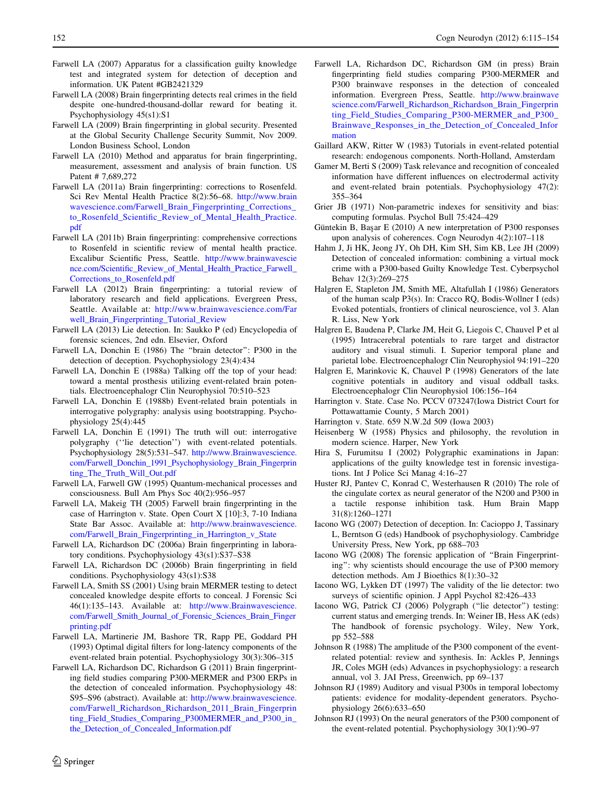- <span id="page-37-0"></span>Farwell LA (2007) Apparatus for a classification guilty knowledge test and integrated system for detection of deception and information. UK Patent #GB2421329
- Farwell LA (2008) Brain fingerprinting detects real crimes in the field despite one-hundred-thousand-dollar reward for beating it. Psychophysiology 45(s1):S1
- Farwell LA (2009) Brain fingerprinting in global security. Presented at the Global Security Challenge Security Summit, Nov 2009. London Business School, London
- Farwell LA (2010) Method and apparatus for brain fingerprinting, measurement, assessment and analysis of brain function. US Patent # 7,689,272
- Farwell LA (2011a) Brain fingerprinting: corrections to Rosenfeld. Sci Rev Mental Health Practice 8(2):56–68. [http://www.brain](http://www.brainwavescience.com/Farwell_Brain_Fingerprinting_Corrections_to_Rosenfeld_Scientific_Review_of_Mental_Health_Practice.pdf) [wavescience.com/Farwell\\_Brain\\_Fingerprinting\\_Corrections\\_](http://www.brainwavescience.com/Farwell_Brain_Fingerprinting_Corrections_to_Rosenfeld_Scientific_Review_of_Mental_Health_Practice.pdf) [to\\_Rosenfeld\\_Scientific\\_Review\\_of\\_Mental\\_Health\\_Practice.](http://www.brainwavescience.com/Farwell_Brain_Fingerprinting_Corrections_to_Rosenfeld_Scientific_Review_of_Mental_Health_Practice.pdf) [pdf](http://www.brainwavescience.com/Farwell_Brain_Fingerprinting_Corrections_to_Rosenfeld_Scientific_Review_of_Mental_Health_Practice.pdf)
- Farwell LA (2011b) Brain fingerprinting: comprehensive corrections to Rosenfeld in scientific review of mental health practice. Excalibur Scientific Press, Seattle. [http://www.brainwavescie](http://www.brainwavescience.com/Scientific_Review_of_Mental_Health_Practice_Farwell_Corrections_to_Rosenfeld.pdf) [nce.com/Scientific\\_Review\\_of\\_Mental\\_Health\\_Practice\\_Farwell\\_](http://www.brainwavescience.com/Scientific_Review_of_Mental_Health_Practice_Farwell_Corrections_to_Rosenfeld.pdf) [Corrections\\_to\\_Rosenfeld.pdf](http://www.brainwavescience.com/Scientific_Review_of_Mental_Health_Practice_Farwell_Corrections_to_Rosenfeld.pdf)
- Farwell LA (2012) Brain fingerprinting: a tutorial review of laboratory research and field applications. Evergreen Press, Seattle. Available at: [http://www.brainwavescience.com/Far](http://www.brainwavescience.com/Farwell_Brain_Fingerprinting_Tutorial_Review) [well\\_Brain\\_Fingerprinting\\_Tutorial\\_Review](http://www.brainwavescience.com/Farwell_Brain_Fingerprinting_Tutorial_Review)
- Farwell LA (2013) Lie detection. In: Saukko P (ed) Encyclopedia of forensic sciences, 2nd edn. Elsevier, Oxford
- Farwell LA, Donchin E (1986) The ''brain detector'': P300 in the detection of deception. Psychophysiology 23(4):434
- Farwell LA, Donchin E (1988a) Talking off the top of your head: toward a mental prosthesis utilizing event-related brain potentials. Electroencephalogr Clin Neurophysiol 70:510–523
- Farwell LA, Donchin E (1988b) Event-related brain potentials in interrogative polygraphy: analysis using bootstrapping. Psychophysiology 25(4):445
- Farwell LA, Donchin E (1991) The truth will out: interrogative polygraphy (''lie detection'') with event-related potentials. Psychophysiology 28(5):531–547. [http://www.Brainwavescience.](http://www.Brainwavescience.com/Farwell_Donchin_1991_Psychophysiology_Brain_Fingerprinting_The_Truth_Will_Out.pdf) [com/Farwell\\_Donchin\\_1991\\_Psychophysiology\\_Brain\\_Fingerprin](http://www.Brainwavescience.com/Farwell_Donchin_1991_Psychophysiology_Brain_Fingerprinting_The_Truth_Will_Out.pdf) [ting\\_The\\_Truth\\_Will\\_Out.pdf](http://www.Brainwavescience.com/Farwell_Donchin_1991_Psychophysiology_Brain_Fingerprinting_The_Truth_Will_Out.pdf)
- Farwell LA, Farwell GW (1995) Quantum-mechanical processes and consciousness. Bull Am Phys Soc 40(2):956–957
- Farwell LA, Makeig TH (2005) Farwell brain fingerprinting in the case of Harrington v. State. Open Court X [10]:3, 7-10 Indiana State Bar Assoc. Available at: [http://www.brainwavescience.](http://www.brainwavescience.com/Farwell_Brain_Fingerprinting_in_Harrington_v_State) [com/Farwell\\_Brain\\_Fingerprinting\\_in\\_Harrington\\_v\\_State](http://www.brainwavescience.com/Farwell_Brain_Fingerprinting_in_Harrington_v_State)
- Farwell LA, Richardson DC (2006a) Brain fingerprinting in laboratory conditions. Psychophysiology 43(s1):S37–S38
- Farwell LA, Richardson DC (2006b) Brain fingerprinting in field conditions. Psychophysiology 43(s1):S38
- Farwell LA, Smith SS (2001) Using brain MERMER testing to detect concealed knowledge despite efforts to conceal. J Forensic Sci 46(1):135–143. Available at: [http://www.Brainwavescience.](http://www.Brainwavescience.com/Farwell_Smith_Journal_of_Forensic_Sciences_Brain_Fingerprinting.pdf) [com/Farwell\\_Smith\\_Journal\\_of\\_Forensic\\_Sciences\\_Brain\\_Finger](http://www.Brainwavescience.com/Farwell_Smith_Journal_of_Forensic_Sciences_Brain_Fingerprinting.pdf) [printing.pdf](http://www.Brainwavescience.com/Farwell_Smith_Journal_of_Forensic_Sciences_Brain_Fingerprinting.pdf)
- Farwell LA, Martinerie JM, Bashore TR, Rapp PE, Goddard PH (1993) Optimal digital filters for long-latency components of the event-related brain potential. Psychophysiology 30(3):306–315
- Farwell LA, Richardson DC, Richardson G (2011) Brain fingerprinting field studies comparing P300-MERMER and P300 ERPs in the detection of concealed information. Psychophysiology 48: S95–S96 (abstract). Available at: [http://www.brainwavescience.](http://www.brainwavescience.com/Farwell_Richardson_Richardson_2011_Brain_Fingerprinting_Field_Studies_Comparing_P300MERMER_and_P300_in_the_Detection_of_Concealed_Information.pdf) [com/Farwell\\_Richardson\\_Richardson\\_2011\\_Brain\\_Fingerprin](http://www.brainwavescience.com/Farwell_Richardson_Richardson_2011_Brain_Fingerprinting_Field_Studies_Comparing_P300MERMER_and_P300_in_the_Detection_of_Concealed_Information.pdf) [ting\\_Field\\_Studies\\_Comparing\\_P300MERMER\\_and\\_P300\\_in\\_](http://www.brainwavescience.com/Farwell_Richardson_Richardson_2011_Brain_Fingerprinting_Field_Studies_Comparing_P300MERMER_and_P300_in_the_Detection_of_Concealed_Information.pdf) [the\\_Detection\\_of\\_Concealed\\_Information.pdf](http://www.brainwavescience.com/Farwell_Richardson_Richardson_2011_Brain_Fingerprinting_Field_Studies_Comparing_P300MERMER_and_P300_in_the_Detection_of_Concealed_Information.pdf)
- Farwell LA, Richardson DC, Richardson GM (in press) Brain fingerprinting field studies comparing P300-MERMER and P300 brainwave responses in the detection of concealed information. Evergreen Press, Seattle. [http://www.brainwave](http://www.brainwavescience.com/Farwell_Richardson_Richardson_Brain_Fingerprinting_Field_Studies_Comparing_P300-MERMER_and_P300_Brainwave_Responses_in_the_Detection_of_Concealed_Information) [science.com/Farwell\\_Richardson\\_Richardson\\_Brain\\_Fingerprin](http://www.brainwavescience.com/Farwell_Richardson_Richardson_Brain_Fingerprinting_Field_Studies_Comparing_P300-MERMER_and_P300_Brainwave_Responses_in_the_Detection_of_Concealed_Information) [ting\\_Field\\_Studies\\_Comparing\\_P300-MERMER\\_and\\_P300\\_](http://www.brainwavescience.com/Farwell_Richardson_Richardson_Brain_Fingerprinting_Field_Studies_Comparing_P300-MERMER_and_P300_Brainwave_Responses_in_the_Detection_of_Concealed_Information) [Brainwave\\_Responses\\_in\\_the\\_Detection\\_of\\_Concealed\\_Infor](http://www.brainwavescience.com/Farwell_Richardson_Richardson_Brain_Fingerprinting_Field_Studies_Comparing_P300-MERMER_and_P300_Brainwave_Responses_in_the_Detection_of_Concealed_Information) [mation](http://www.brainwavescience.com/Farwell_Richardson_Richardson_Brain_Fingerprinting_Field_Studies_Comparing_P300-MERMER_and_P300_Brainwave_Responses_in_the_Detection_of_Concealed_Information)
- Gaillard AKW, Ritter W (1983) Tutorials in event-related potential research: endogenous components. North-Holland, Amsterdam
- Gamer M, Berti S (2009) Task relevance and recognition of concealed information have different influences on electrodermal activity and event-related brain potentials. Psychophysiology 47(2): 355–364
- Grier JB (1971) Non-parametric indexes for sensitivity and bias: computing formulas. Psychol Bull 75:424–429
- Güntekin B, Basar E  $(2010)$  A new interpretation of P300 responses upon analysis of coherences. Cogn Neurodyn 4(2):107–118
- Hahm J, Ji HK, Jeong JY, Oh DH, Kim SH, Sim KB, Lee JH (2009) Detection of concealed information: combining a virtual mock crime with a P300-based Guilty Knowledge Test. Cyberpsychol Behav 12(3):269–275
- Halgren E, Stapleton JM, Smith ME, Altafullah I (1986) Generators of the human scalp P3(s). In: Cracco RQ, Bodis-Wollner I (eds) Evoked potentials, frontiers of clinical neuroscience, vol 3. Alan R. Liss, New York
- Halgren E, Baudena P, Clarke JM, Heit G, Liegois C, Chauvel P et al (1995) Intracerebral potentials to rare target and distractor auditory and visual stimuli. I. Superior temporal plane and parietal lobe. Electroencephalogr Clin Neurophysiol 94:191–220
- Halgren E, Marinkovic K, Chauvel P (1998) Generators of the late cognitive potentials in auditory and visual oddball tasks. Electroencephalogr Clin Neurophysiol 106:156–164
- Harrington v. State. Case No. PCCV 073247(Iowa District Court for Pottawattamie County, 5 March 2001)
- Harrington v. State. 659 N.W.2d 509 (Iowa 2003)
- Heisenberg W (1958) Physics and philosophy, the revolution in modern science. Harper, New York
- Hira S, Furumitsu I (2002) Polygraphic examinations in Japan: applications of the guilty knowledge test in forensic investigations. Int J Police Sci Manag 4:16–27
- Huster RJ, Pantev C, Konrad C, Westerhausen R (2010) The role of the cingulate cortex as neural generator of the N200 and P300 in a tactile response inhibition task. Hum Brain Mapp 31(8):1260–1271
- Iacono WG (2007) Detection of deception. In: Cacioppo J, Tassinary L, Berntson G (eds) Handbook of psychophysiology. Cambridge University Press, New York, pp 688–703
- Iacono WG (2008) The forensic application of ''Brain Fingerprinting'': why scientists should encourage the use of P300 memory detection methods. Am J Bioethics 8(1):30–32
- Iacono WG, Lykken DT (1997) The validity of the lie detector: two surveys of scientific opinion. J Appl Psychol 82:426–433
- Iacono WG, Patrick CJ (2006) Polygraph (''lie detector'') testing: current status and emerging trends. In: Weiner IB, Hess AK (eds) The handbook of forensic psychology. Wiley, New York, pp 552–588
- Johnson R (1988) The amplitude of the P300 component of the eventrelated potential: review and synthesis. In: Ackles P, Jennings JR, Coles MGH (eds) Advances in psychophysiology: a research annual, vol 3. JAI Press, Greenwich, pp 69–137
- Johnson RJ (1989) Auditory and visual P300s in temporal lobectomy patients: evidence for modality-dependent generators. Psychophysiology 26(6):633–650
- Johnson RJ (1993) On the neural generators of the P300 component of the event-related potential. Psychophysiology 30(1):90–97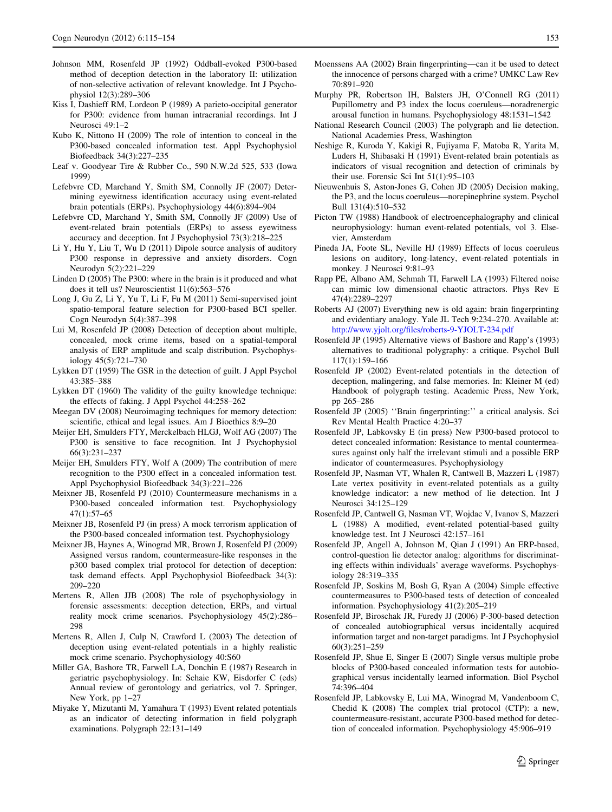- <span id="page-38-0"></span>Johnson MM, Rosenfeld JP (1992) Oddball-evoked P300-based method of deception detection in the laboratory II: utilization of non-selective activation of relevant knowledge. Int J Psychophysiol 12(3):289–306
- Kiss I, Dashieff RM, Lordeon P (1989) A parieto-occipital generator for P300: evidence from human intracranial recordings. Int J Neurosci 49:1–2
- Kubo K, Nittono H (2009) The role of intention to conceal in the P300-based concealed information test. Appl Psychophysiol Biofeedback 34(3):227–235
- Leaf v. Goodyear Tire & Rubber Co., 590 N.W.2d 525, 533 (Iowa 1999)
- Lefebvre CD, Marchand Y, Smith SM, Connolly JF (2007) Determining eyewitness identification accuracy using event-related brain potentials (ERPs). Psychophysiology 44(6):894–904
- Lefebvre CD, Marchand Y, Smith SM, Connolly JF (2009) Use of event-related brain potentials (ERPs) to assess eyewitness accuracy and deception. Int J Psychophysiol 73(3):218–225
- Li Y, Hu Y, Liu T, Wu D (2011) Dipole source analysis of auditory P300 response in depressive and anxiety disorders. Cogn Neurodyn 5(2):221–229
- Linden D (2005) The P300: where in the brain is it produced and what does it tell us? Neuroscientist 11(6):563–576
- Long J, Gu Z, Li Y, Yu T, Li F, Fu M (2011) Semi-supervised joint spatio-temporal feature selection for P300-based BCI speller. Cogn Neurodyn 5(4):387–398
- Lui M, Rosenfeld JP (2008) Detection of deception about multiple, concealed, mock crime items, based on a spatial-temporal analysis of ERP amplitude and scalp distribution. Psychophysiology 45(5):721–730
- Lykken DT (1959) The GSR in the detection of guilt. J Appl Psychol 43:385–388
- Lykken DT (1960) The validity of the guilty knowledge technique: the effects of faking. J Appl Psychol 44:258–262
- Meegan DV (2008) Neuroimaging techniques for memory detection: scientific, ethical and legal issues. Am J Bioethics 8:9–20
- Meijer EH, Smulders FTY, Merckelbach HLGJ, Wolf AG (2007) The P300 is sensitive to face recognition. Int J Psychophysiol 66(3):231–237
- Meijer EH, Smulders FTY, Wolf A (2009) The contribution of mere recognition to the P300 effect in a concealed information test. Appl Psychophysiol Biofeedback 34(3):221–226
- Meixner JB, Rosenfeld PJ (2010) Countermeasure mechanisms in a P300-based concealed information test. Psychophysiology 47(1):57–65
- Meixner JB, Rosenfeld PJ (in press) A mock terrorism application of the P300-based concealed information test. Psychophysiology
- Meixner JB, Haynes A, Winograd MR, Brown J, Rosenfeld PJ (2009) Assigned versus random, countermeasure-like responses in the p300 based complex trial protocol for detection of deception: task demand effects. Appl Psychophysiol Biofeedback 34(3): 209–220
- Mertens R, Allen JJB (2008) The role of psychophysiology in forensic assessments: deception detection, ERPs, and virtual reality mock crime scenarios. Psychophysiology 45(2):286– 298
- Mertens R, Allen J, Culp N, Crawford L (2003) The detection of deception using event-related potentials in a highly realistic mock crime scenario. Psychophysiology 40:S60
- Miller GA, Bashore TR, Farwell LA, Donchin E (1987) Research in geriatric psychophysiology. In: Schaie KW, Eisdorfer C (eds) Annual review of gerontology and geriatrics, vol 7. Springer, New York, pp 1–27
- Miyake Y, Mizutanti M, Yamahura T (1993) Event related potentials as an indicator of detecting information in field polygraph examinations. Polygraph 22:131–149
- Moenssens AA (2002) Brain fingerprinting—can it be used to detect the innocence of persons charged with a crime? UMKC Law Rev 70:891–920
- Murphy PR, Robertson IH, Balsters JH, O'Connell RG (2011) Pupillometry and P3 index the locus coeruleus—noradrenergic arousal function in humans. Psychophysiology 48:1531–1542
- National Research Council (2003) The polygraph and lie detection. National Academies Press, Washington
- Neshige R, Kuroda Y, Kakigi R, Fujiyama F, Matoba R, Yarita M, Luders H, Shibasaki H (1991) Event-related brain potentials as indicators of visual recognition and detection of criminals by their use. Forensic Sci Int 51(1):95–103
- Nieuwenhuis S, Aston-Jones G, Cohen JD (2005) Decision making, the P3, and the locus coeruleus—norepinephrine system. Psychol Bull 131(4):510–532
- Picton TW (1988) Handbook of electroencephalography and clinical neurophysiology: human event-related potentials, vol 3. Elsevier, Amsterdam
- Pineda JA, Foote SL, Neville HJ (1989) Effects of locus coeruleus lesions on auditory, long-latency, event-related potentials in monkey. J Neurosci 9:81–93
- Rapp PE, Albano AM, Schmah TI, Farwell LA (1993) Filtered noise can mimic low dimensional chaotic attractors. Phys Rev E 47(4):2289–2297
- Roberts AJ (2007) Everything new is old again: brain fingerprinting and evidentiary analogy. Yale JL Tech 9:234–270. Available at: <http://www.yjolt.org/files/roberts-9-YJOLT-234.pdf>
- Rosenfeld JP (1995) Alternative views of Bashore and Rapp's (1993) alternatives to traditional polygraphy: a critique. Psychol Bull 117(1):159–166
- Rosenfeld JP (2002) Event-related potentials in the detection of deception, malingering, and false memories. In: Kleiner M (ed) Handbook of polygraph testing. Academic Press, New York, pp 265–286
- Rosenfeld JP (2005) ''Brain fingerprinting:'' a critical analysis. Sci Rev Mental Health Practice 4:20–37
- Rosenfeld JP, Labkovsky E (in press) New P300-based protocol to detect concealed information: Resistance to mental countermeasures against only half the irrelevant stimuli and a possible ERP indicator of countermeasures. Psychophysiology
- Rosenfeld JP, Nasman VT, Whalen R, Cantwell B, Mazzeri L (1987) Late vertex positivity in event-related potentials as a guilty knowledge indicator: a new method of lie detection. Int J Neurosci 34:125–129
- Rosenfeld JP, Cantwell G, Nasman VT, Wojdac V, Ivanov S, Mazzeri L (1988) A modified, event-related potential-based guilty knowledge test. Int J Neurosci 42:157–161
- Rosenfeld JP, Angell A, Johnson M, Qian J (1991) An ERP-based, control-question lie detector analog: algorithms for discriminating effects within individuals' average waveforms. Psychophysiology 28:319–335
- Rosenfeld JP, Soskins M, Bosh G, Ryan A (2004) Simple effective countermeasures to P300-based tests of detection of concealed information. Psychophysiology 41(2):205–219
- Rosenfeld JP, Biroschak JR, Furedy JJ (2006) P-300-based detection of concealed autobiographical versus incidentally acquired information target and non-target paradigms. Int J Psychophysiol 60(3):251–259
- Rosenfeld JP, Shue E, Singer E (2007) Single versus multiple probe blocks of P300-based concealed information tests for autobiographical versus incidentally learned information. Biol Psychol 74:396–404
- Rosenfeld JP, Labkovsky E, Lui MA, Winograd M, Vandenboom C, Chedid K (2008) The complex trial protocol (CTP): a new, countermeasure-resistant, accurate P300-based method for detection of concealed information. Psychophysiology 45:906–919